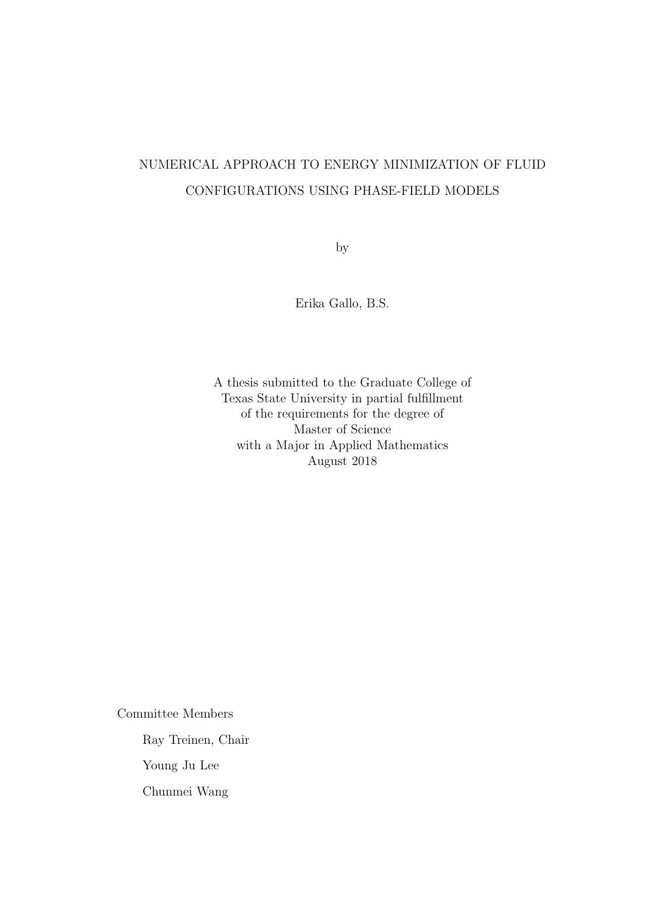# NUMERICAL APPROACH TO ENERGY MINIMIZATION OF FLUID CONFIGURATIONS USING PHASE-FIELD MODELS

by

Erika Gallo, B.S.

A thesis submitted to the Graduate College of Texas State University in partial fulfillment of the requirements for the degree of Master of Science with a Major in Applied Mathematics August 2018

Committee Members

Ray Treinen, Chair

Young Ju Lee

Chunmei Wang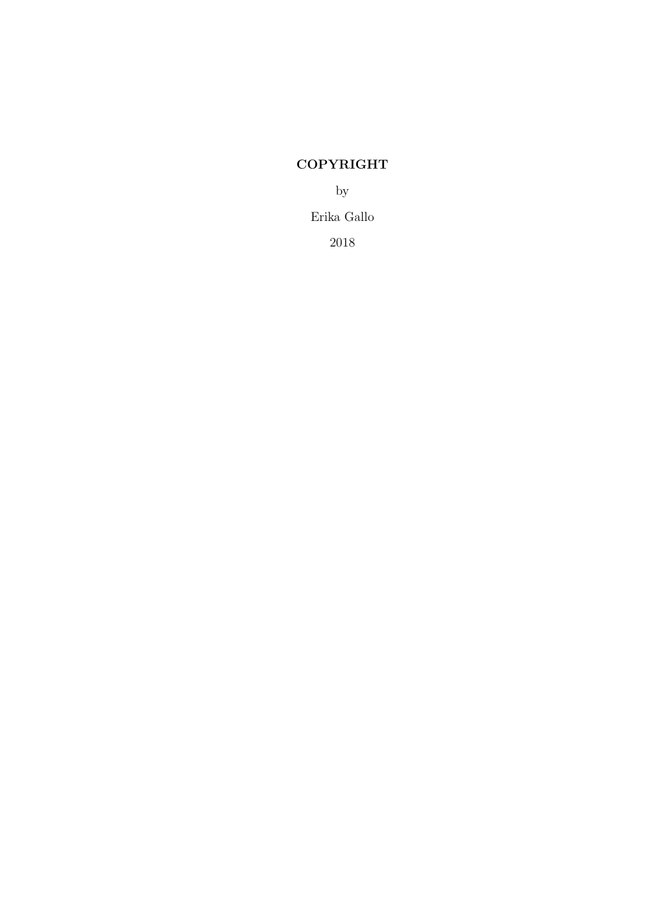# COPYRIGHT

by

Erika Gallo

2018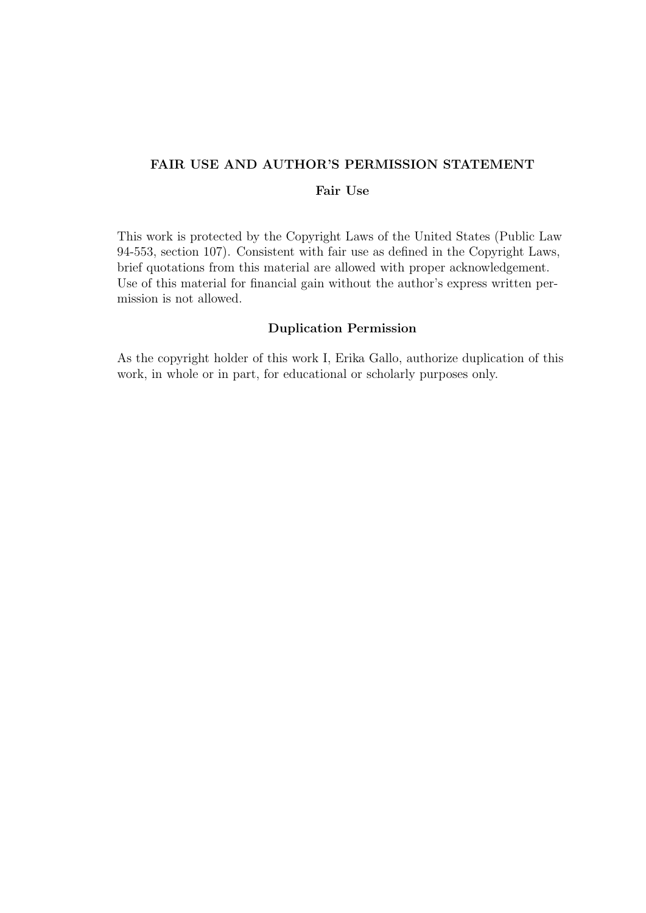## FAIR USE AND AUTHOR'S PERMISSION STATEMENT

## Fair Use

This work is protected by the Copyright Laws of the United States (Public Law 94-553, section 107). Consistent with fair use as defined in the Copyright Laws, brief quotations from this material are allowed with proper acknowledgement. Use of this material for financial gain without the author's express written permission is not allowed.

#### Duplication Permission

As the copyright holder of this work I, Erika Gallo, authorize duplication of this work, in whole or in part, for educational or scholarly purposes only.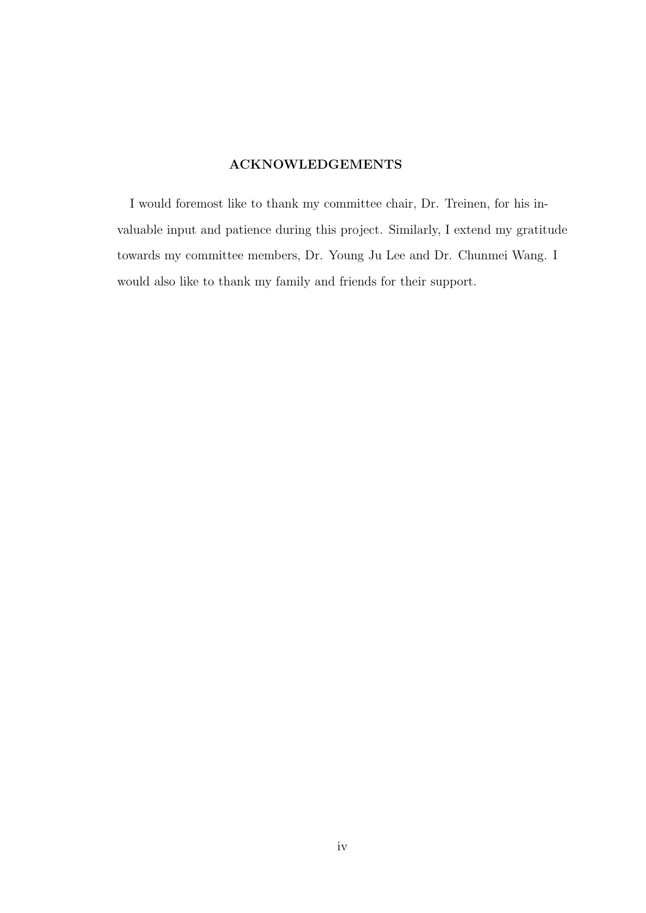## ACKNOWLEDGEMENTS

I would foremost like to thank my committee chair, Dr. Treinen, for his invaluable input and patience during this project. Similarly, I extend my gratitude towards my committee members, Dr. Young Ju Lee and Dr. Chunmei Wang. I would also like to thank my family and friends for their support.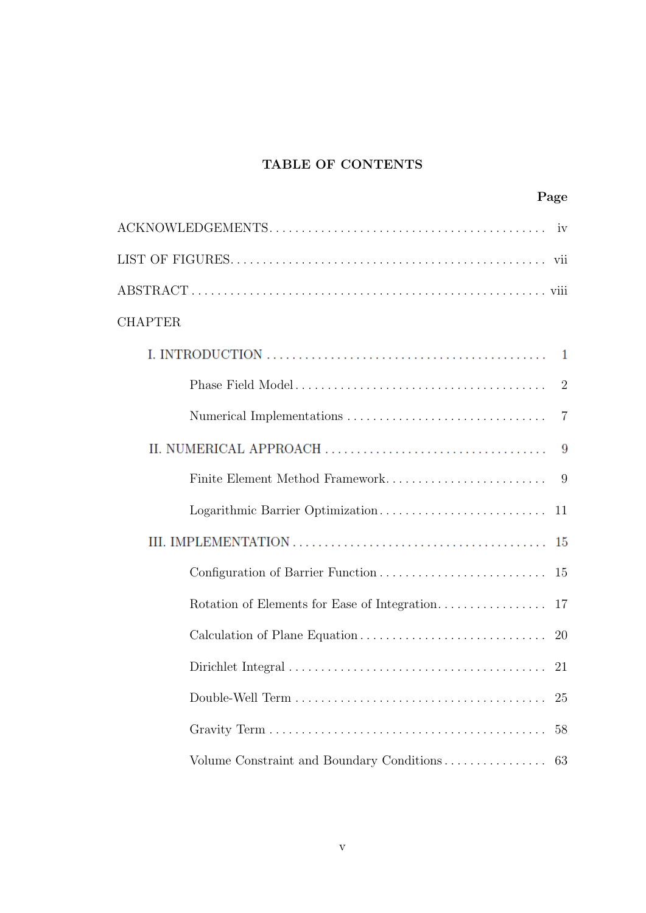## TABLE OF CONTENTS

| Page                                            |
|-------------------------------------------------|
|                                                 |
|                                                 |
|                                                 |
| <b>CHAPTER</b>                                  |
|                                                 |
| 2                                               |
| $\overline{7}$                                  |
|                                                 |
| Finite Element Method Framework<br>-9           |
|                                                 |
|                                                 |
|                                                 |
|                                                 |
|                                                 |
|                                                 |
| 25                                              |
| 58                                              |
| Volume Constraint and Boundary Conditions<br>63 |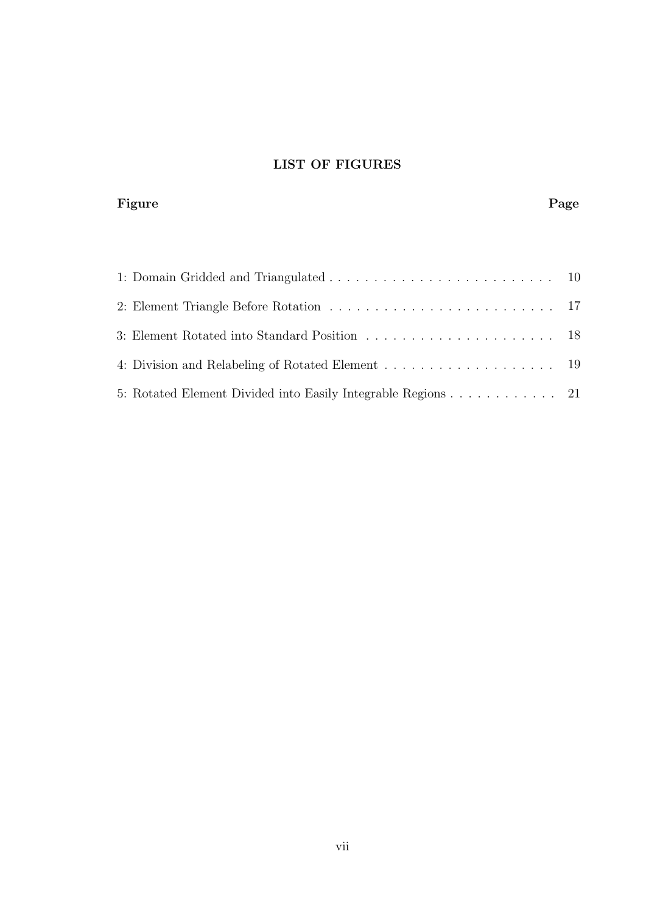# LIST OF FIGURES

#### Figure Page Page 2014 Page 2014 Page 2014 Page 2014 Page 2014 Page 2014 Page 2014 Page 2014 Page 2014 Page 2014

| 5: Rotated Element Divided into Easily Integrable Regions 21 |  |
|--------------------------------------------------------------|--|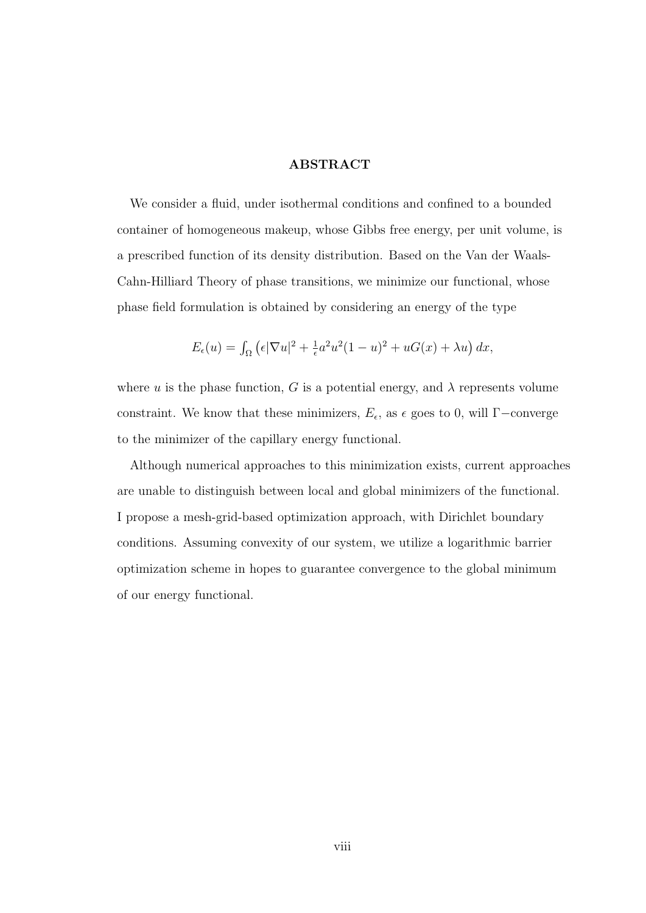#### ABSTRACT

We consider a fluid, under isothermal conditions and confined to a bounded container of homogeneous makeup, whose Gibbs free energy, per unit volume, is a prescribed function of its density distribution. Based on the Van der Waals-Cahn-Hilliard Theory of phase transitions, we minimize our functional, whose phase field formulation is obtained by considering an energy of the type

$$
E_{\epsilon}(u) = \int_{\Omega} \left( \epsilon |\nabla u|^2 + \frac{1}{\epsilon} a^2 u^2 (1 - u)^2 + uG(x) + \lambda u \right) dx,
$$

where u is the phase function, G is a potential energy, and  $\lambda$  represents volume constraint. We know that these minimizers,  $E_{\epsilon}$ , as  $\epsilon$  goes to 0, will  $\Gamma$ -converge to the minimizer of the capillary energy functional.

Although numerical approaches to this minimization exists, current approaches are unable to distinguish between local and global minimizers of the functional. I propose a mesh-grid-based optimization approach, with Dirichlet boundary conditions. Assuming convexity of our system, we utilize a logarithmic barrier optimization scheme in hopes to guarantee convergence to the global minimum of our energy functional.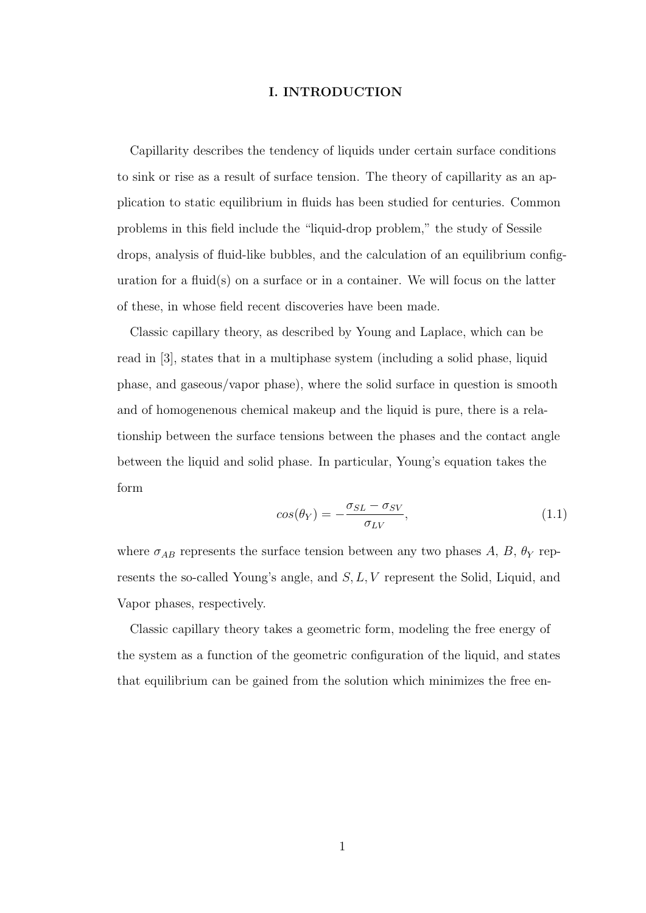#### I. INTRODUCTION

Capillarity describes the tendency of liquids under certain surface conditions to sink or rise as a result of surface tension. The theory of capillarity as an application to static equilibrium in fluids has been studied for centuries. Common problems in this field include the "liquid-drop problem," the study of Sessile drops, analysis of fluid-like bubbles, and the calculation of an equilibrium configuration for a fluid(s) on a surface or in a container. We will focus on the latter of these, in whose field recent discoveries have been made.

Classic capillary theory, as described by Young and Laplace, which can be read in [3], states that in a multiphase system (including a solid phase, liquid phase, and gaseous/vapor phase), where the solid surface in question is smooth and of homogenenous chemical makeup and the liquid is pure, there is a relationship between the surface tensions between the phases and the contact angle between the liquid and solid phase. In particular, Young's equation takes the form

$$
cos(\theta_Y) = -\frac{\sigma_{SL} - \sigma_{SV}}{\sigma_{LV}},
$$
\n(1.1)

where  $\sigma_{AB}$  represents the surface tension between any two phases A, B,  $\theta_Y$  represents the so-called Young's angle, and S, L, V represent the Solid, Liquid, and Vapor phases, respectively.

Classic capillary theory takes a geometric form, modeling the free energy of the system as a function of the geometric configuration of the liquid, and states that equilibrium can be gained from the solution which minimizes the free en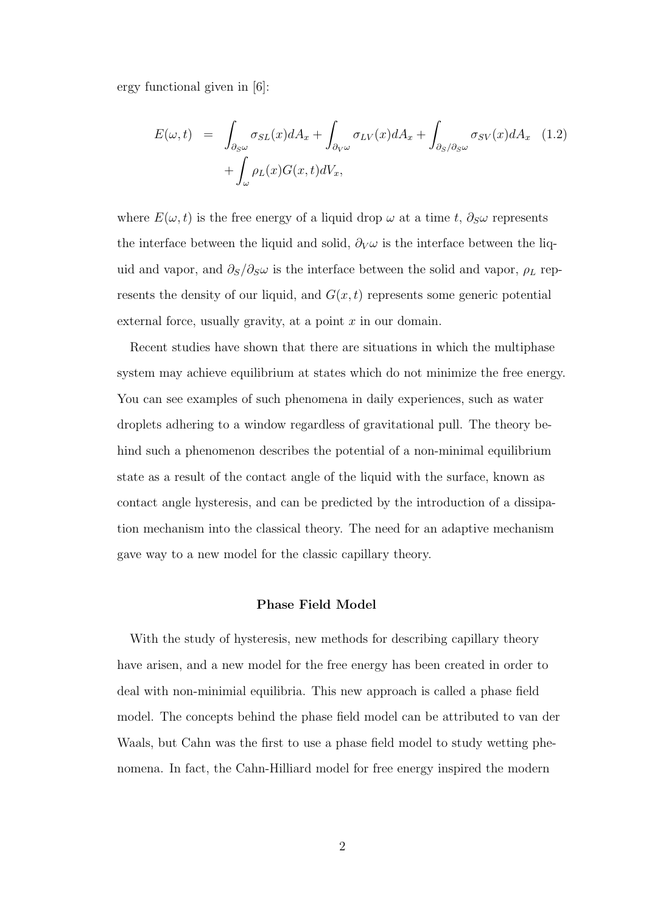ergy functional given in [6]:

$$
E(\omega, t) = \int_{\partial_S \omega} \sigma_{SL}(x) dA_x + \int_{\partial_V \omega} \sigma_{LV}(x) dA_x + \int_{\partial_S/\partial_S \omega} \sigma_{SV}(x) dA_x \quad (1.2)
$$

$$
+ \int_{\omega} \rho_L(x) G(x, t) dV_x,
$$

where  $E(\omega, t)$  is the free energy of a liquid drop  $\omega$  at a time t,  $\partial_S \omega$  represents the interface between the liquid and solid,  $\partial_V \omega$  is the interface between the liquid and vapor, and  $\partial_S/\partial_S\omega$  is the interface between the solid and vapor,  $\rho_L$  represents the density of our liquid, and  $G(x, t)$  represents some generic potential external force, usually gravity, at a point  $x$  in our domain.

Recent studies have shown that there are situations in which the multiphase system may achieve equilibrium at states which do not minimize the free energy. You can see examples of such phenomena in daily experiences, such as water droplets adhering to a window regardless of gravitational pull. The theory behind such a phenomenon describes the potential of a non-minimal equilibrium state as a result of the contact angle of the liquid with the surface, known as contact angle hysteresis, and can be predicted by the introduction of a dissipation mechanism into the classical theory. The need for an adaptive mechanism gave way to a new model for the classic capillary theory.

#### Phase Field Model

With the study of hysteresis, new methods for describing capillary theory have arisen, and a new model for the free energy has been created in order to deal with non-minimial equilibria. This new approach is called a phase field model. The concepts behind the phase field model can be attributed to van der Waals, but Cahn was the first to use a phase field model to study wetting phenomena. In fact, the Cahn-Hilliard model for free energy inspired the modern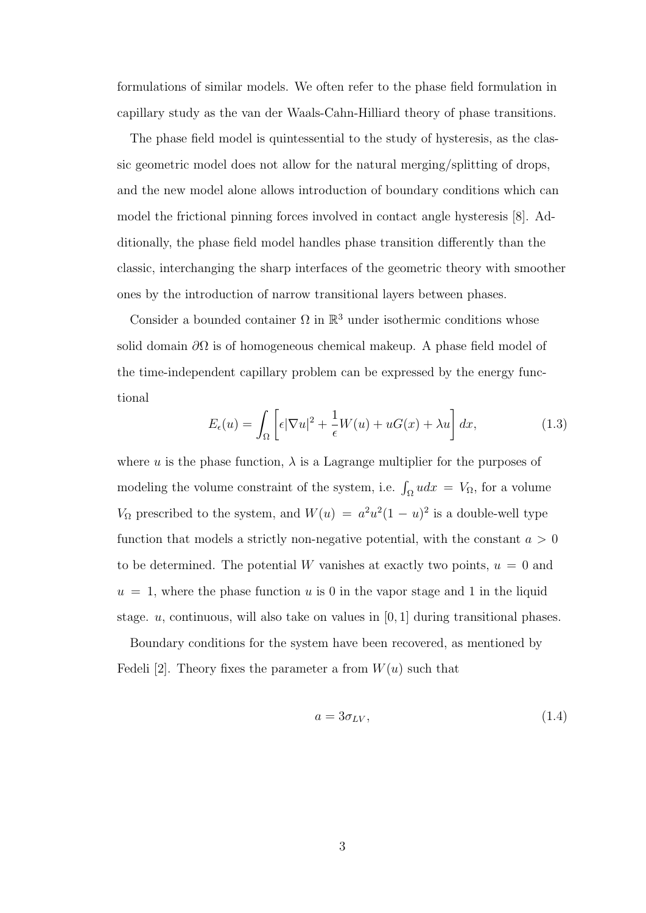formulations of similar models. We often refer to the phase field formulation in capillary study as the van der Waals-Cahn-Hilliard theory of phase transitions.

The phase field model is quintessential to the study of hysteresis, as the classic geometric model does not allow for the natural merging/splitting of drops, and the new model alone allows introduction of boundary conditions which can model the frictional pinning forces involved in contact angle hysteresis [8]. Additionally, the phase field model handles phase transition differently than the classic, interchanging the sharp interfaces of the geometric theory with smoother ones by the introduction of narrow transitional layers between phases.

Consider a bounded container  $\Omega$  in  $\mathbb{R}^3$  under isothermic conditions whose solid domain  $\partial\Omega$  is of homogeneous chemical makeup. A phase field model of the time-independent capillary problem can be expressed by the energy functional

$$
E_{\epsilon}(u) = \int_{\Omega} \left[ \epsilon |\nabla u|^2 + \frac{1}{\epsilon} W(u) + uG(x) + \lambda u \right] dx, \tag{1.3}
$$

where u is the phase function,  $\lambda$  is a Lagrange multiplier for the purposes of modeling the volume constraint of the system, i.e.  $\int_{\Omega} u dx = V_{\Omega}$ , for a volume  $V_{\Omega}$  prescribed to the system, and  $W(u) = a^2u^2(1-u)^2$  is a double-well type function that models a strictly non-negative potential, with the constant  $a > 0$ to be determined. The potential W vanishes at exactly two points,  $u = 0$  and  $u = 1$ , where the phase function u is 0 in the vapor stage and 1 in the liquid stage.  $u$ , continuous, will also take on values in [0, 1] during transitional phases.

Boundary conditions for the system have been recovered, as mentioned by Fedeli [2]. Theory fixes the parameter a from  $W(u)$  such that

$$
a = 3\sigma_{LV},\tag{1.4}
$$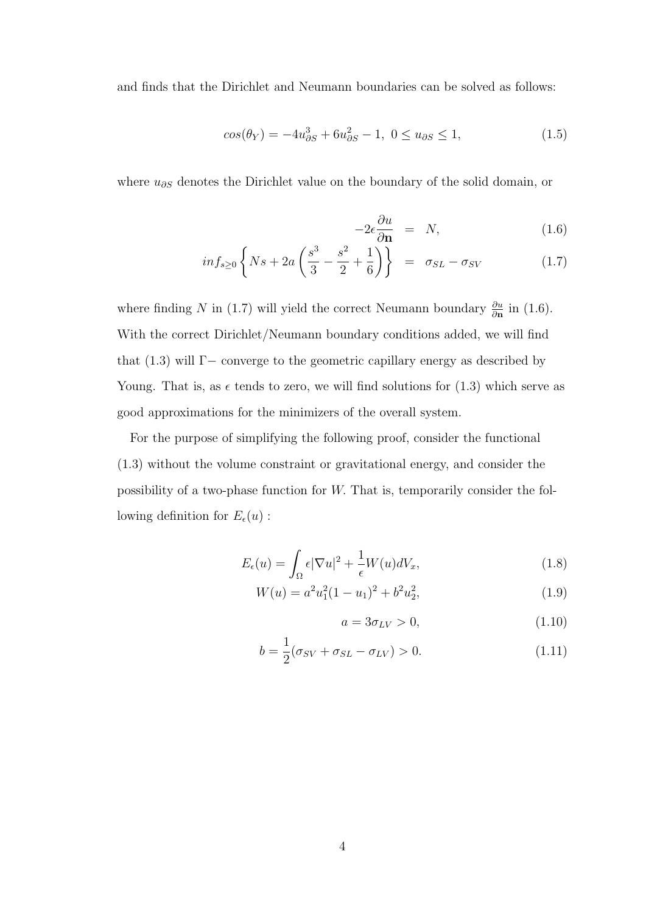and finds that the Dirichlet and Neumann boundaries can be solved as follows:

$$
cos(\theta_Y) = -4u_{\partial S}^3 + 6u_{\partial S}^2 - 1, \ 0 \le u_{\partial S} \le 1,\tag{1.5}
$$

where  $u_{\partial S}$  denotes the Dirichlet value on the boundary of the solid domain, or

$$
-2\epsilon \frac{\partial u}{\partial \mathbf{n}} = N, \tag{1.6}
$$

$$
inf_{s\geq 0}\left\{Ns+2a\left(\frac{s^3}{3}-\frac{s^2}{2}+\frac{1}{6}\right)\right\} = \sigma_{SL}-\sigma_{SV}
$$
 (1.7)

where finding N in (1.7) will yield the correct Neumann boundary  $\frac{\partial u}{\partial \mathbf{n}}$  in (1.6). With the correct Dirichlet/Neumann boundary conditions added, we will find that  $(1.3)$  will Γ− converge to the geometric capillary energy as described by Young. That is, as  $\epsilon$  tends to zero, we will find solutions for (1.3) which serve as good approximations for the minimizers of the overall system.

For the purpose of simplifying the following proof, consider the functional (1.3) without the volume constraint or gravitational energy, and consider the possibility of a two-phase function for W. That is, temporarily consider the following definition for  $E_{\epsilon}(u)$ :

$$
E_{\epsilon}(u) = \int_{\Omega} \epsilon |\nabla u|^2 + \frac{1}{\epsilon} W(u) dV_x, \qquad (1.8)
$$

$$
W(u) = a^2 u_1^2 (1 - u_1)^2 + b^2 u_2^2,
$$
\n(1.9)

$$
a = 3\sigma_{LV} > 0,\tag{1.10}
$$

$$
b = \frac{1}{2}(\sigma_{SV} + \sigma_{SL} - \sigma_{LV}) > 0.
$$
 (1.11)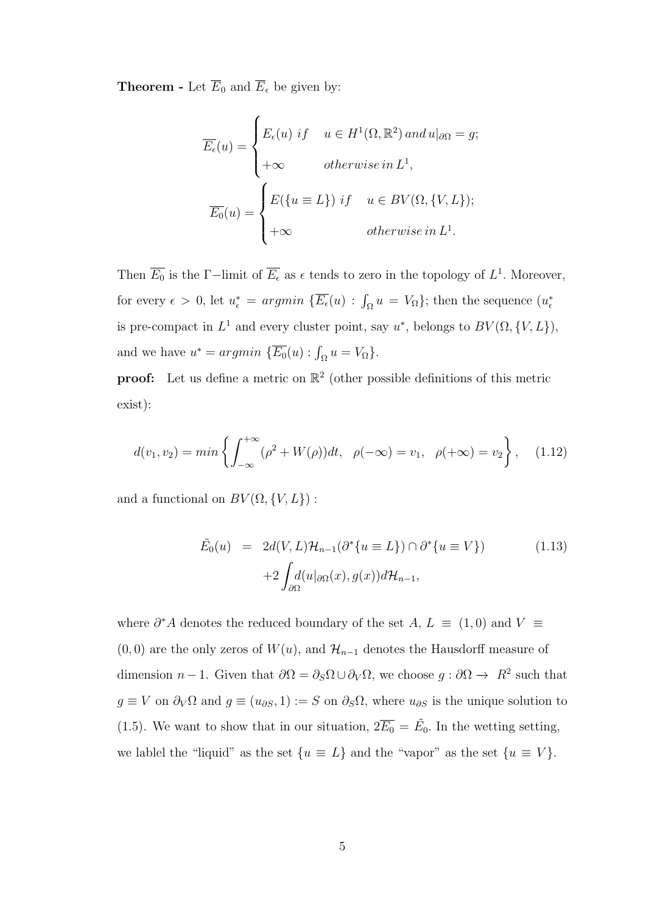**Theorem -** Let  $\overline{E}_0$  and  $\overline{E}_\epsilon$  be given by:

$$
\overline{E_{\epsilon}}(u) = \begin{cases} E_{\epsilon}(u) \; if & u \in H^{1}(\Omega, \mathbb{R}^{2}) \; and \; u|_{\partial\Omega} = g; \\ +\infty & otherwise \; in \; L^{1}, \\ E_{0}(u) = \begin{cases} E(\{u \equiv L\}) \; if & u \in BV(\Omega, \{V, L\}); \\ +\infty & otherwise \; in \; L^{1}. \end{cases} \end{cases}
$$

Then  $\overline{E_0}$  is the Γ−limit of  $\overline{E_\epsilon}$  as  $\epsilon$  tends to zero in the topology of  $L^1$ . Moreover, for every  $\epsilon > 0$ , let  $u_{\epsilon}^* = argmin \{ \overline{E_{\epsilon}}(u) : \int_{\Omega} u = V_{\Omega} \}$ ; then the sequence  $(u_{\epsilon}^*$ is pre-compact in  $L^1$  and every cluster point, say  $u^*$ , belongs to  $BV(\Omega, \{V, L\})$ , and we have  $u^* = argmin \{ \overline{E_0}(u) : \int_{\Omega} u = V_{\Omega} \}.$ 

**proof:** Let us define a metric on  $\mathbb{R}^2$  (other possible definitions of this metric exist):

$$
d(v_1, v_2) = \min \left\{ \int_{-\infty}^{+\infty} (\rho^2 + W(\rho)) dt, \ \rho(-\infty) = v_1, \ \rho(+\infty) = v_2 \right\}, \quad (1.12)
$$

and a functional on  $BV(\Omega,\{V,L\})$  :

$$
\tilde{E}_0(u) = 2d(V, L)\mathcal{H}_{n-1}(\partial^*\{u \equiv L\}) \cap \partial^*\{u \equiv V\})
$$
\n
$$
+2\int_{\partial\Omega} d(u|_{\partial\Omega}(x), g(x))d\mathcal{H}_{n-1},
$$
\n(1.13)

where  $\partial^* A$  denotes the reduced boundary of the set A,  $L \equiv (1,0)$  and  $V \equiv$  $(0, 0)$  are the only zeros of  $W(u)$ , and  $\mathcal{H}_{n-1}$  denotes the Hausdorff measure of dimension  $n-1$ . Given that  $\partial\Omega = \partial_S \Omega \cup \partial_V \Omega$ , we choose  $g : \partial \Omega \to R^2$  such that  $g \equiv V$  on  $\partial_V \Omega$  and  $g \equiv (u_{\partial S}, 1) := S$  on  $\partial_S \Omega$ , where  $u_{\partial S}$  is the unique solution to (1.5). We want to show that in our situation,  $2\overline{E_0} = \tilde{E_0}$ . In the wetting setting, we lablel the "liquid" as the set  $\{u \equiv L\}$  and the "vapor" as the set  $\{u \equiv V\}$ .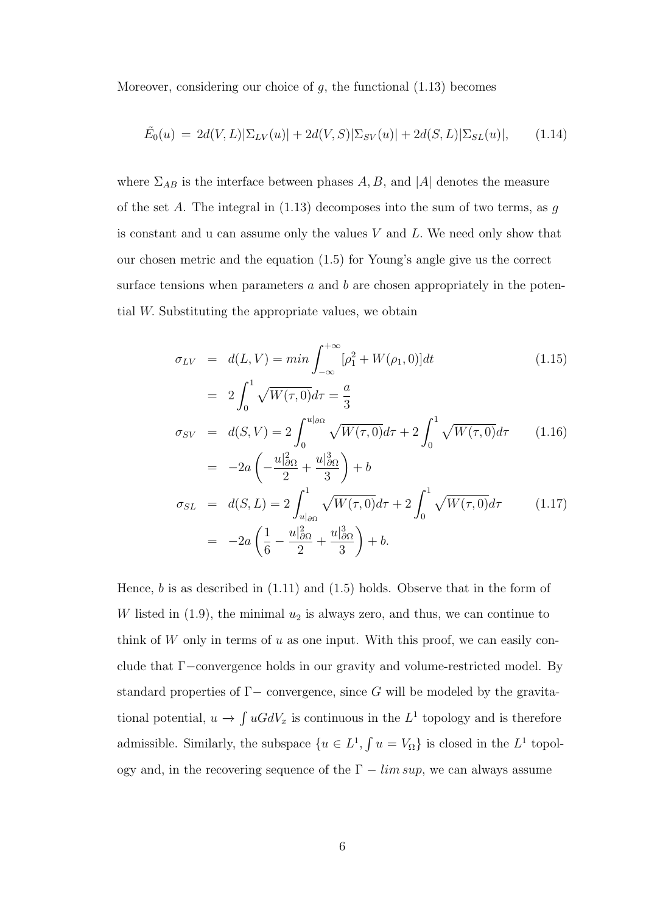Moreover, considering our choice of  $g$ , the functional  $(1.13)$  becomes

$$
\tilde{E}_0(u) = 2d(V, L)|\Sigma_{LV}(u)| + 2d(V, S)|\Sigma_{SV}(u)| + 2d(S, L)|\Sigma_{SL}(u)|, \qquad (1.14)
$$

where  $\Sigma_{AB}$  is the interface between phases A, B, and |A| denotes the measure of the set A. The integral in  $(1.13)$  decomposes into the sum of two terms, as g is constant and u can assume only the values  $V$  and  $L$ . We need only show that our chosen metric and the equation (1.5) for Young's angle give us the correct surface tensions when parameters  $a$  and  $b$  are chosen appropriately in the potential W. Substituting the appropriate values, we obtain

$$
\sigma_{LV} = d(L, V) = \min \int_{-\infty}^{+\infty} [\rho_1^2 + W(\rho_1, 0)] dt
$$
\n
$$
= 2 \int_{-\infty}^{1} \sqrt{W(\tau, 0)} d\tau = \frac{a}{2}
$$
\n(1.15)

$$
\sigma_{SV} = d(S, V) = 2 \int_0^{u|_{\partial\Omega}} \sqrt{W(\tau, 0)} d\tau + 2 \int_0^1 \sqrt{W(\tau, 0)} d\tau
$$
 (1.16)

$$
= -2a\left(-\frac{u_{\partial\Omega}}{2} + \frac{u_{\partial\Omega}}{3}\right) + b
$$
  
\n
$$
\sigma_{SL} = d(S, L) = 2\int_{u_{\partial\Omega}}^{1} \sqrt{W(\tau, 0)}d\tau + 2\int_{0}^{1} \sqrt{W(\tau, 0)}d\tau
$$
  
\n
$$
= -2a\left(\frac{1}{6} - \frac{u_{\partial\Omega}^2}{2} + \frac{u_{\partial\Omega}^3}{3}\right) + b.
$$
\n(1.17)

Hence,  $b$  is as described in  $(1.11)$  and  $(1.5)$  holds. Observe that in the form of W listed in  $(1.9)$ , the minimal  $u_2$  is always zero, and thus, we can continue to think of  $W$  only in terms of  $u$  as one input. With this proof, we can easily conclude that Γ−convergence holds in our gravity and volume-restricted model. By standard properties of  $\Gamma-$  convergence, since G will be modeled by the gravitational potential,  $u \to \int uGdV_x$  is continuous in the  $L^1$  topology and is therefore admissible. Similarly, the subspace  $\{u \in L^1, \int u = V_{\Omega}\}\)$  is closed in the  $L^1$  topology and, in the recovering sequence of the  $\Gamma - \limsup$ , we can always assume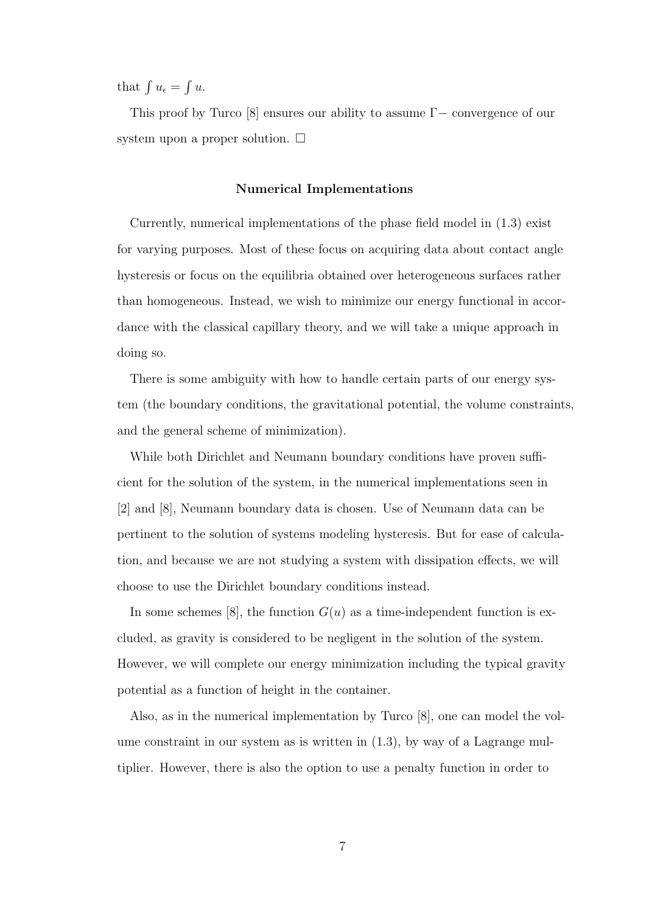that  $\int u_{\epsilon} = \int u$ .

This proof by Turco [8] ensures our ability to assume Γ− convergence of our system upon a proper solution.  $\square$ 

#### Numerical Implementations

Currently, numerical implementations of the phase field model in (1.3) exist for varying purposes. Most of these focus on acquiring data about contact angle hysteresis or focus on the equilibria obtained over heterogeneous surfaces rather than homogeneous. Instead, we wish to minimize our energy functional in accordance with the classical capillary theory, and we will take a unique approach in doing so.

There is some ambiguity with how to handle certain parts of our energy system (the boundary conditions, the gravitational potential, the volume constraints, and the general scheme of minimization).

While both Dirichlet and Neumann boundary conditions have proven sufficient for the solution of the system, in the numerical implementations seen in [2] and [8], Neumann boundary data is chosen. Use of Neumann data can be pertinent to the solution of systems modeling hysteresis. But for ease of calculation, and because we are not studying a system with dissipation effects, we will choose to use the Dirichlet boundary conditions instead.

In some schemes [8], the function  $G(u)$  as a time-independent function is excluded, as gravity is considered to be negligent in the solution of the system. However, we will complete our energy minimization including the typical gravity potential as a function of height in the container.

Also, as in the numerical implementation by Turco [8], one can model the volume constraint in our system as is written in  $(1.3)$ , by way of a Lagrange multiplier. However, there is also the option to use a penalty function in order to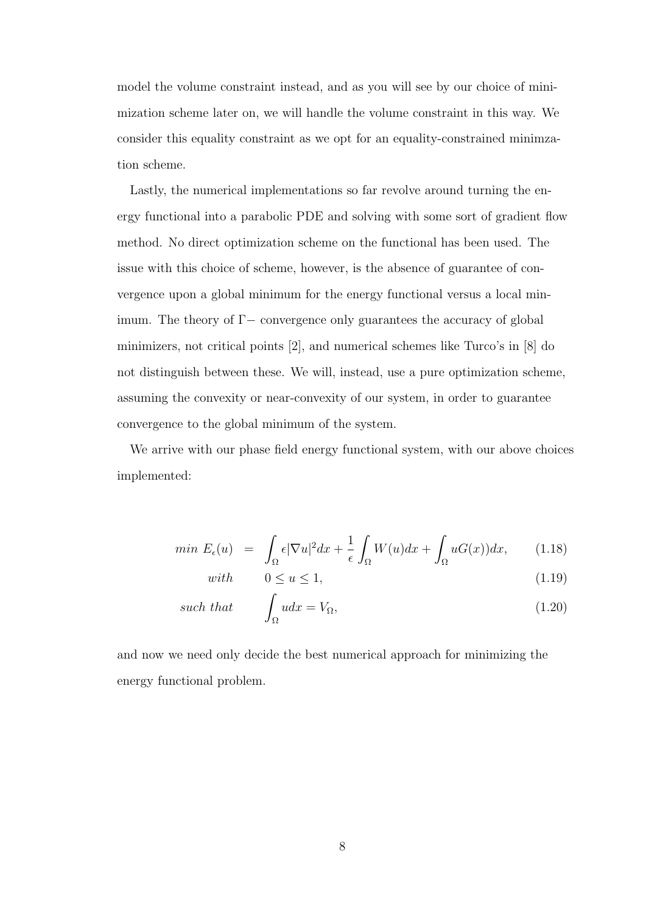model the volume constraint instead, and as you will see by our choice of minimization scheme later on, we will handle the volume constraint in this way. We consider this equality constraint as we opt for an equality-constrained minimzation scheme.

Lastly, the numerical implementations so far revolve around turning the energy functional into a parabolic PDE and solving with some sort of gradient flow method. No direct optimization scheme on the functional has been used. The issue with this choice of scheme, however, is the absence of guarantee of convergence upon a global minimum for the energy functional versus a local minimum. The theory of  $\Gamma$  – convergence only guarantees the accuracy of global minimizers, not critical points [2], and numerical schemes like Turco's in [8] do not distinguish between these. We will, instead, use a pure optimization scheme, assuming the convexity or near-convexity of our system, in order to guarantee convergence to the global minimum of the system.

We arrive with our phase field energy functional system, with our above choices implemented:

$$
min \ E_{\epsilon}(u) = \int_{\Omega} \epsilon |\nabla u|^2 dx + \frac{1}{\epsilon} \int_{\Omega} W(u) dx + \int_{\Omega} uG(x)) dx, \qquad (1.18)
$$

$$
with \t 0 \le u \le 1,\t(1.19)
$$

such that 
$$
\int_{\Omega} u dx = V_{\Omega}, \qquad (1.20)
$$

and now we need only decide the best numerical approach for minimizing the energy functional problem.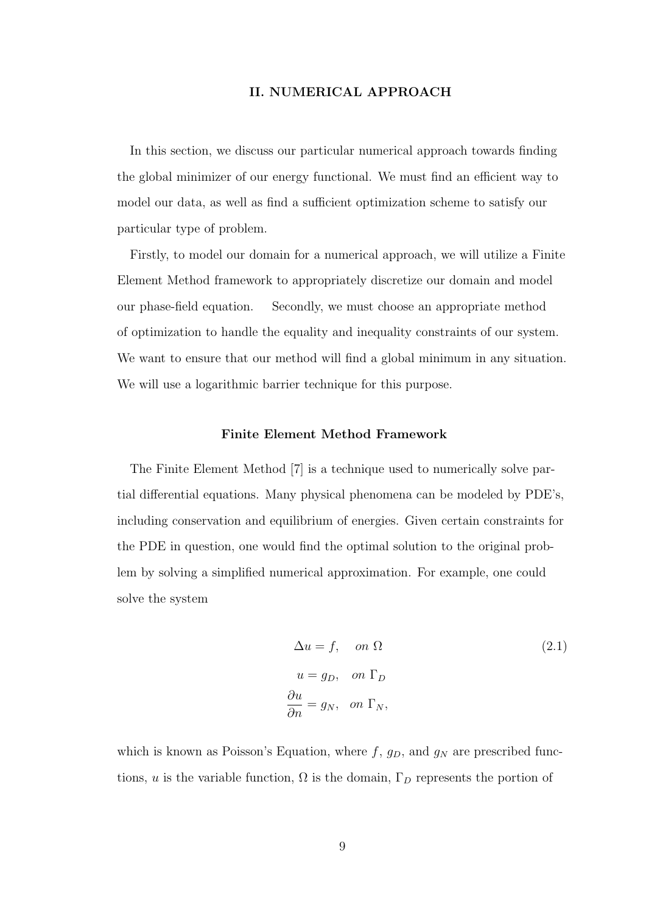#### II. NUMERICAL APPROACH

In this section, we discuss our particular numerical approach towards finding the global minimizer of our energy functional. We must find an efficient way to model our data, as well as find a sufficient optimization scheme to satisfy our particular type of problem.

Firstly, to model our domain for a numerical approach, we will utilize a Finite Element Method framework to appropriately discretize our domain and model our phase-field equation. Secondly, we must choose an appropriate method of optimization to handle the equality and inequality constraints of our system. We want to ensure that our method will find a global minimum in any situation. We will use a logarithmic barrier technique for this purpose.

#### Finite Element Method Framework

The Finite Element Method [7] is a technique used to numerically solve partial differential equations. Many physical phenomena can be modeled by PDE's, including conservation and equilibrium of energies. Given certain constraints for the PDE in question, one would find the optimal solution to the original problem by solving a simplified numerical approximation. For example, one could solve the system

$$
\Delta u = f, \quad on \Omega
$$
  
\n
$$
u = g_D, \quad on \Gamma_D
$$
  
\n
$$
\frac{\partial u}{\partial n} = g_N, \quad on \Gamma_N,
$$
  
\n(2.1)

which is known as Poisson's Equation, where  $f$ ,  $g_D$ , and  $g_N$  are prescribed functions, u is the variable function,  $\Omega$  is the domain,  $\Gamma_D$  represents the portion of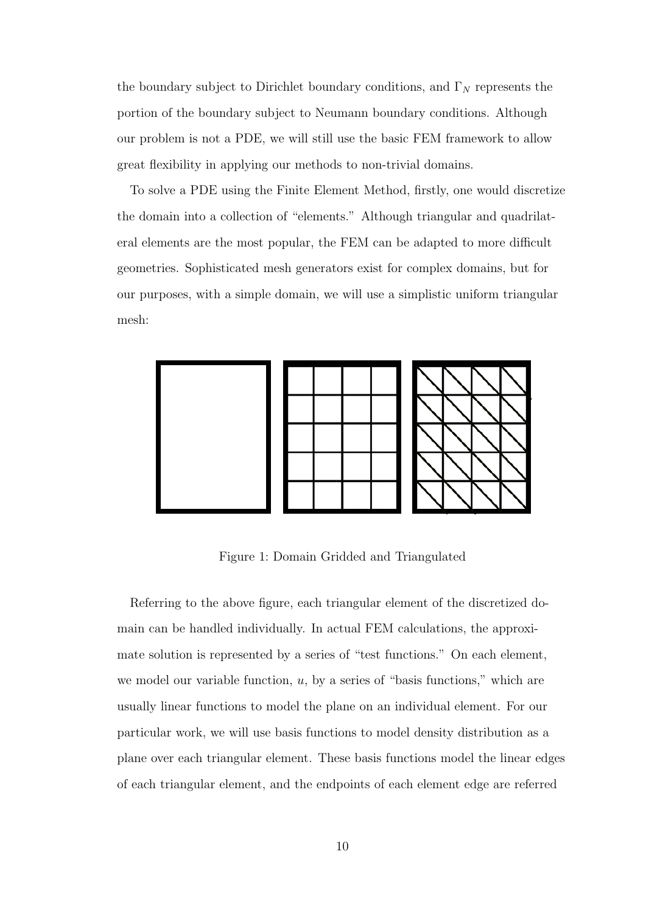the boundary subject to Dirichlet boundary conditions, and  $\Gamma_N$  represents the portion of the boundary subject to Neumann boundary conditions. Although our problem is not a PDE, we will still use the basic FEM framework to allow great flexibility in applying our methods to non-trivial domains.

To solve a PDE using the Finite Element Method, firstly, one would discretize the domain into a collection of "elements." Although triangular and quadrilateral elements are the most popular, the FEM can be adapted to more difficult geometries. Sophisticated mesh generators exist for complex domains, but for our purposes, with a simple domain, we will use a simplistic uniform triangular mesh:



Figure 1: Domain Gridded and Triangulated

Referring to the above figure, each triangular element of the discretized domain can be handled individually. In actual FEM calculations, the approximate solution is represented by a series of "test functions." On each element, we model our variable function,  $u$ , by a series of "basis functions," which are usually linear functions to model the plane on an individual element. For our particular work, we will use basis functions to model density distribution as a plane over each triangular element. These basis functions model the linear edges of each triangular element, and the endpoints of each element edge are referred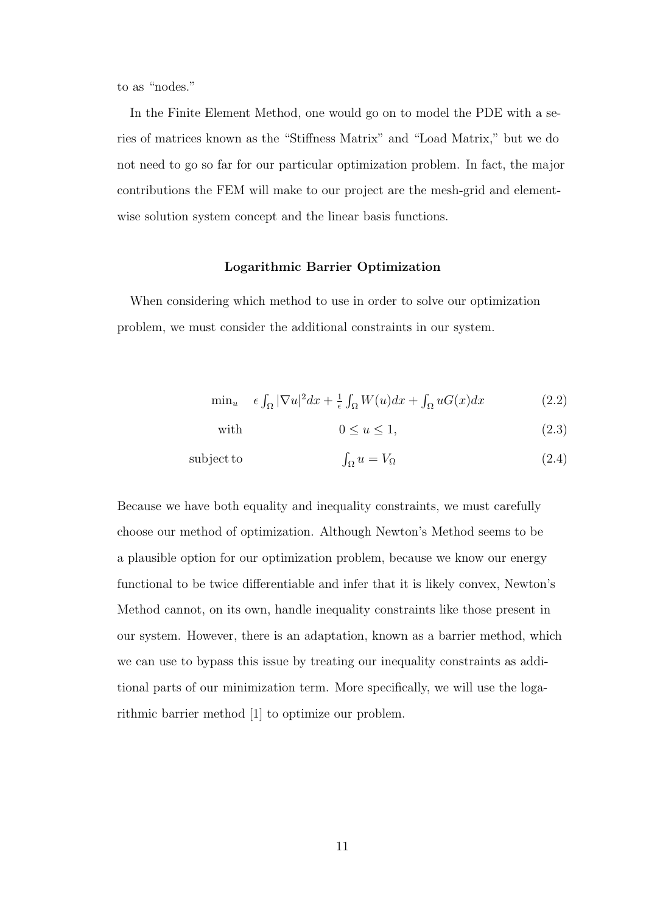to as "nodes."

In the Finite Element Method, one would go on to model the PDE with a series of matrices known as the "Stiffness Matrix" and "Load Matrix," but we do not need to go so far for our particular optimization problem. In fact, the major contributions the FEM will make to our project are the mesh-grid and elementwise solution system concept and the linear basis functions.

#### Logarithmic Barrier Optimization

When considering which method to use in order to solve our optimization problem, we must consider the additional constraints in our system.

$$
\min_{u} \quad \epsilon \int_{\Omega} |\nabla u|^2 dx + \frac{1}{\epsilon} \int_{\Omega} W(u) dx + \int_{\Omega} uG(x) dx \tag{2.2}
$$

with  $0 \le u \le 1$ , (2.3)

subject to 
$$
\int_{\Omega} u = V_{\Omega} \tag{2.4}
$$

Because we have both equality and inequality constraints, we must carefully choose our method of optimization. Although Newton's Method seems to be a plausible option for our optimization problem, because we know our energy functional to be twice differentiable and infer that it is likely convex, Newton's Method cannot, on its own, handle inequality constraints like those present in our system. However, there is an adaptation, known as a barrier method, which we can use to bypass this issue by treating our inequality constraints as additional parts of our minimization term. More specifically, we will use the logarithmic barrier method [1] to optimize our problem.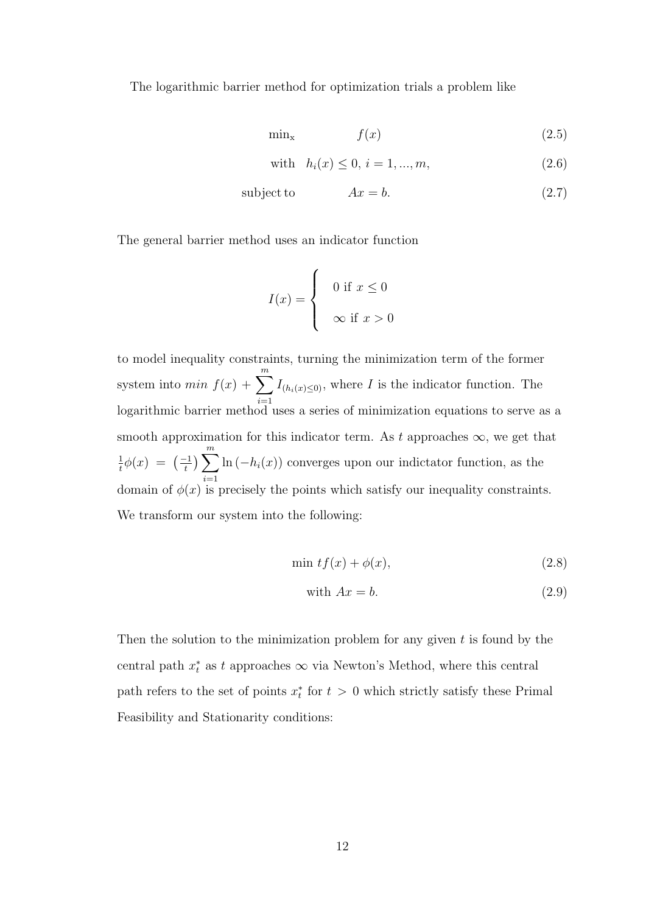The logarithmic barrier method for optimization trials a problem like

$$
\min_{\mathbf{x}} \qquad \qquad f(x) \tag{2.5}
$$

with 
$$
h_i(x) \le 0, i = 1, ..., m,
$$
 (2.6)

$$
subject to \t\t Ax = b.
$$
\t(2.7)

The general barrier method uses an indicator function

$$
I(x) = \begin{cases} 0 \text{ if } x \le 0 \\ \infty \text{ if } x > 0 \end{cases}
$$

to model inequality constraints, turning the minimization term of the former system into  $min f(x) + \sum_{n=1}^{m}$  $i=1$  $I_{(h_i(x)\leq 0)}$ , where I is the indicator function. The logarithmic barrier method uses a series of minimization equations to serve as a smooth approximation for this indicator term. As t approaches  $\infty$ , we get that 1  $\frac{1}{t}\phi(x) = \left(\frac{-1}{t}\right)$  $\left(\frac{-1}{t}\right)\sum^m$  $i=1$  $\ln(-h_i(x))$  converges upon our indictator function, as the domain of  $\phi(x)$  is precisely the points which satisfy our inequality constraints. We transform our system into the following:

$$
\min tf(x) + \phi(x),\tag{2.8}
$$

with 
$$
Ax = b
$$
. (2.9)

Then the solution to the minimization problem for any given  $t$  is found by the central path  $x_t^*$  as t approaches  $\infty$  via Newton's Method, where this central path refers to the set of points  $x_t^*$  for  $t > 0$  which strictly satisfy these Primal Feasibility and Stationarity conditions: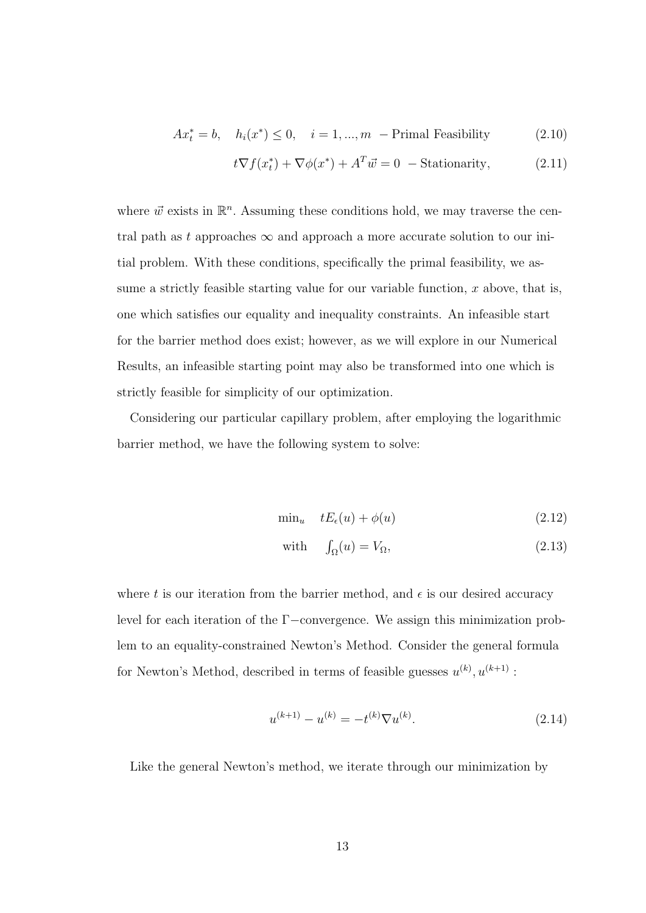$$
Ax_t^* = b, \quad h_i(x^*) \le 0, \quad i = 1, \dots, m \quad \text{Primal Feasibility} \tag{2.10}
$$

$$
t\nabla f(x_t^*) + \nabla \phi(x^*) + A^T \vec{w} = 0 - \text{Stationarity}, \qquad (2.11)
$$

where  $\vec{w}$  exists in  $\mathbb{R}^n$ . Assuming these conditions hold, we may traverse the central path as t approaches  $\infty$  and approach a more accurate solution to our initial problem. With these conditions, specifically the primal feasibility, we assume a strictly feasible starting value for our variable function,  $x$  above, that is, one which satisfies our equality and inequality constraints. An infeasible start for the barrier method does exist; however, as we will explore in our Numerical Results, an infeasible starting point may also be transformed into one which is strictly feasible for simplicity of our optimization.

Considering our particular capillary problem, after employing the logarithmic barrier method, we have the following system to solve:

$$
\min_{u} \quad tE_{\epsilon}(u) + \phi(u) \tag{2.12}
$$

with 
$$
\int_{\Omega} (u) = V_{\Omega},
$$
 (2.13)

where t is our iteration from the barrier method, and  $\epsilon$  is our desired accuracy level for each iteration of the Γ−convergence. We assign this minimization problem to an equality-constrained Newton's Method. Consider the general formula for Newton's Method, described in terms of feasible guesses  $u^{(k)}$ ,  $u^{(k+1)}$ :

$$
u^{(k+1)} - u^{(k)} = -t^{(k)} \nabla u^{(k)}.
$$
\n(2.14)

Like the general Newton's method, we iterate through our minimization by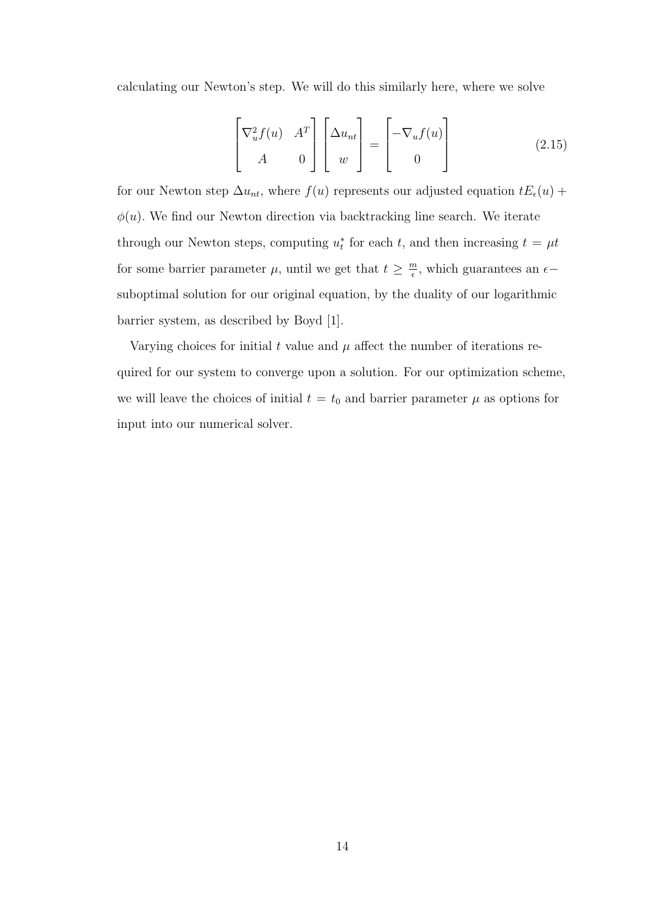calculating our Newton's step. We will do this similarly here, where we solve

$$
\begin{bmatrix} \nabla_u^2 f(u) & A^T \\ A & 0 \end{bmatrix} \begin{bmatrix} \Delta u_{nt} \\ w \end{bmatrix} = \begin{bmatrix} -\nabla_u f(u) \\ 0 \end{bmatrix}
$$
 (2.15)

for our Newton step  $\Delta u_{nt}$ , where  $f(u)$  represents our adjusted equation  $tE_{\epsilon}(u)$  +  $\phi(u)$ . We find our Newton direction via backtracking line search. We iterate through our Newton steps, computing  $u_t^*$  for each t, and then increasing  $t = \mu t$ for some barrier parameter  $\mu$ , until we get that  $t \geq \frac{m}{\epsilon}$  $\frac{m}{\epsilon}$ , which guarantees an  $\epsilon$ suboptimal solution for our original equation, by the duality of our logarithmic barrier system, as described by Boyd [1].

Varying choices for initial t value and  $\mu$  affect the number of iterations required for our system to converge upon a solution. For our optimization scheme, we will leave the choices of initial  $t = t_0$  and barrier parameter  $\mu$  as options for input into our numerical solver.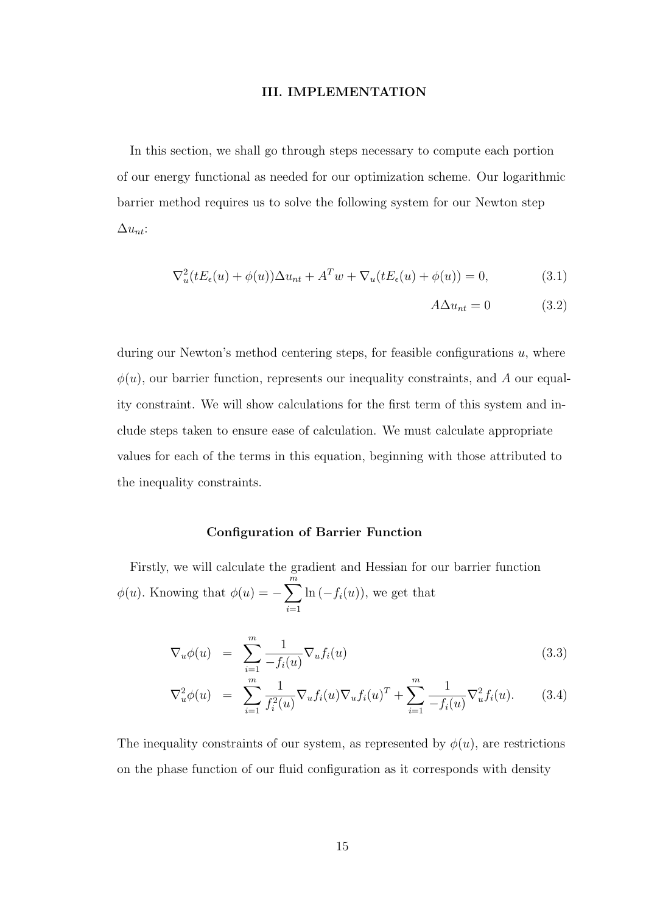#### III. IMPLEMENTATION

In this section, we shall go through steps necessary to compute each portion of our energy functional as needed for our optimization scheme. Our logarithmic barrier method requires us to solve the following system for our Newton step  $\Delta u_{nt}$ :

$$
\nabla_u^2(tE_\epsilon(u) + \phi(u))\Delta u_{nt} + A^T w + \nabla_u(tE_\epsilon(u) + \phi(u)) = 0,
$$
\n(3.1)

$$
A\Delta u_{nt} = 0 \tag{3.2}
$$

during our Newton's method centering steps, for feasible configurations  $u$ , where  $\phi(u)$ , our barrier function, represents our inequality constraints, and A our equality constraint. We will show calculations for the first term of this system and include steps taken to ensure ease of calculation. We must calculate appropriate values for each of the terms in this equation, beginning with those attributed to the inequality constraints.

#### Configuration of Barrier Function

Firstly, we will calculate the gradient and Hessian for our barrier function  $\phi(u)$ . Knowing that  $\phi(u) = -\sum_{n=1}^{\infty}$  $i=1$  $\ln(-f_i(u))$ , we get that

$$
\nabla_u \phi(u) = \sum_{i=1}^m \frac{1}{-f_i(u)} \nabla_u f_i(u) \tag{3.3}
$$

$$
\nabla_u^2 \phi(u) = \sum_{i=1}^m \frac{1}{f_i^2(u)} \nabla_u f_i(u) \nabla_u f_i(u)^T + \sum_{i=1}^m \frac{1}{-f_i(u)} \nabla_u^2 f_i(u). \tag{3.4}
$$

The inequality constraints of our system, as represented by  $\phi(u)$ , are restrictions on the phase function of our fluid configuration as it corresponds with density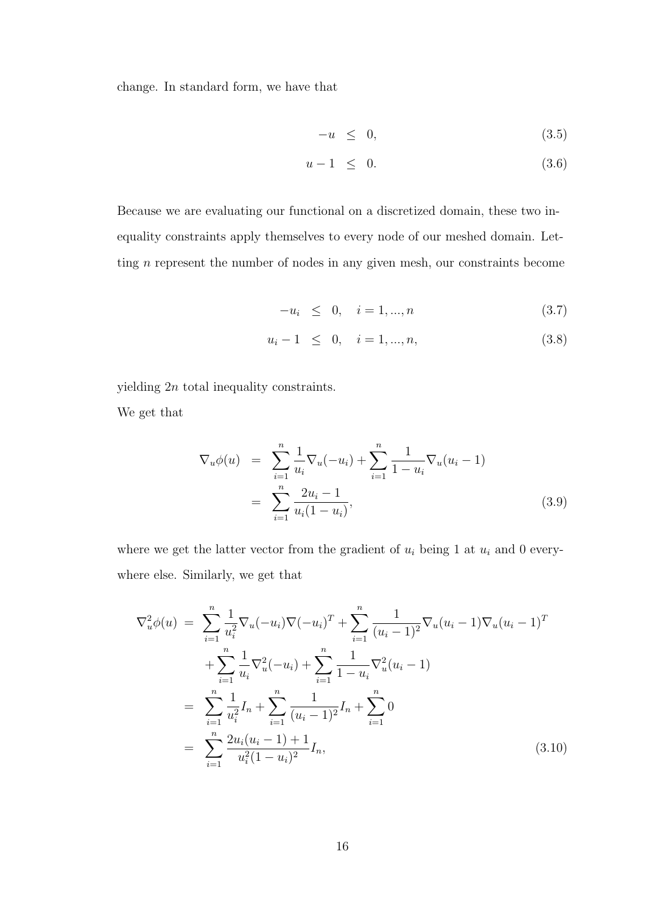change. In standard form, we have that

$$
-u \leq 0, \tag{3.5}
$$

$$
u - 1 \leq 0. \tag{3.6}
$$

Because we are evaluating our functional on a discretized domain, these two inequality constraints apply themselves to every node of our meshed domain. Letting n represent the number of nodes in any given mesh, our constraints become

$$
-u_i \leq 0, \quad i = 1, ..., n \tag{3.7}
$$

$$
u_i - 1 \leq 0, \quad i = 1, ..., n,
$$
\n(3.8)

yielding 2n total inequality constraints.

We get that

$$
\nabla_u \phi(u) = \sum_{i=1}^n \frac{1}{u_i} \nabla_u(-u_i) + \sum_{i=1}^n \frac{1}{1 - u_i} \nabla_u(u_i - 1)
$$
  
= 
$$
\sum_{i=1}^n \frac{2u_i - 1}{u_i(1 - u_i)},
$$
(3.9)

where we get the latter vector from the gradient of  $u_i$  being 1 at  $u_i$  and 0 everywhere else. Similarly, we get that

$$
\nabla_u^2 \phi(u) = \sum_{i=1}^n \frac{1}{u_i^2} \nabla_u (-u_i) \nabla (-u_i)^T + \sum_{i=1}^n \frac{1}{(u_i - 1)^2} \nabla_u (u_i - 1) \nabla_u (u_i - 1)^T
$$
  
+ 
$$
\sum_{i=1}^n \frac{1}{u_i} \nabla_u^2 (-u_i) + \sum_{i=1}^n \frac{1}{1 - u_i} \nabla_u^2 (u_i - 1)
$$
  
= 
$$
\sum_{i=1}^n \frac{1}{u_i^2} I_n + \sum_{i=1}^n \frac{1}{(u_i - 1)^2} I_n + \sum_{i=1}^n 0
$$
  
= 
$$
\sum_{i=1}^n \frac{2u_i (u_i - 1) + 1}{u_i^2 (1 - u_i)^2} I_n,
$$
 (3.10)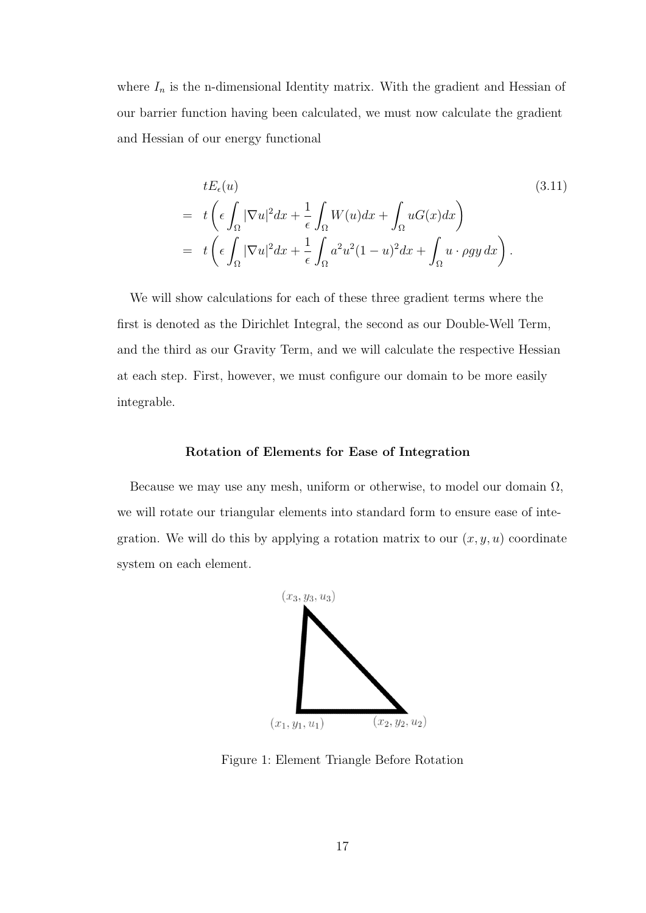where  $I_n$  is the n-dimensional Identity matrix. With the gradient and Hessian of our barrier function having been calculated, we must now calculate the gradient and Hessian of our energy functional

$$
tE_{\epsilon}(u)
$$
\n
$$
= t\left(\epsilon \int_{\Omega} |\nabla u|^2 dx + \frac{1}{\epsilon} \int_{\Omega} W(u) dx + \int_{\Omega} uG(x) dx\right)
$$
\n
$$
= t\left(\epsilon \int_{\Omega} |\nabla u|^2 dx + \frac{1}{\epsilon} \int_{\Omega} a^2 u^2 (1 - u)^2 dx + \int_{\Omega} u \cdot \rho gy dx\right).
$$
\n(3.11)

We will show calculations for each of these three gradient terms where the first is denoted as the Dirichlet Integral, the second as our Double-Well Term, and the third as our Gravity Term, and we will calculate the respective Hessian at each step. First, however, we must configure our domain to be more easily integrable.

### Rotation of Elements for Ease of Integration

Because we may use any mesh, uniform or otherwise, to model our domain  $\Omega$ , we will rotate our triangular elements into standard form to ensure ease of integration. We will do this by applying a rotation matrix to our  $(x, y, u)$  coordinate system on each element.



Figure 1: Element Triangle Before Rotation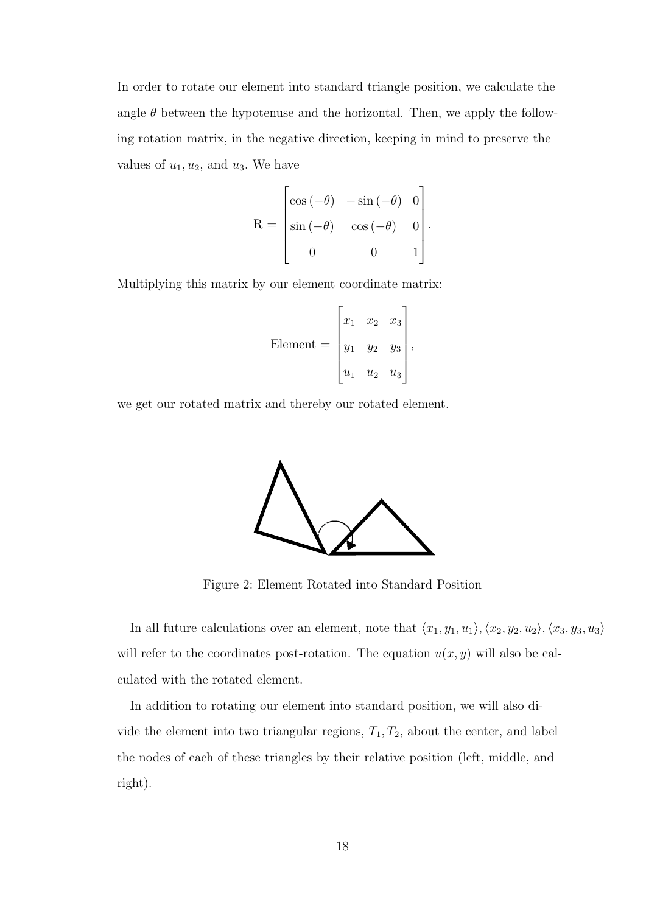In order to rotate our element into standard triangle position, we calculate the angle  $\theta$  between the hypotenuse and the horizontal. Then, we apply the following rotation matrix, in the negative direction, keeping in mind to preserve the values of  $u_1, u_2$ , and  $u_3$ . We have

$$
R = \begin{bmatrix} \cos(-\theta) & -\sin(-\theta) & 0 \\ \sin(-\theta) & \cos(-\theta) & 0 \\ 0 & 0 & 1 \end{bmatrix}.
$$

Multiplying this matrix by our element coordinate matrix:

Element = 
$$
\begin{bmatrix} x_1 & x_2 & x_3 \ y_1 & y_2 & y_3 \ u_1 & u_2 & u_3 \end{bmatrix}
$$
,

we get our rotated matrix and thereby our rotated element.



Figure 2: Element Rotated into Standard Position

In all future calculations over an element, note that  $\langle x_1, y_1, u_1 \rangle, \langle x_2, y_2, u_2 \rangle, \langle x_3, y_3, u_3 \rangle$ will refer to the coordinates post-rotation. The equation  $u(x, y)$  will also be calculated with the rotated element.

In addition to rotating our element into standard position, we will also divide the element into two triangular regions,  $T_1, T_2$ , about the center, and label the nodes of each of these triangles by their relative position (left, middle, and right).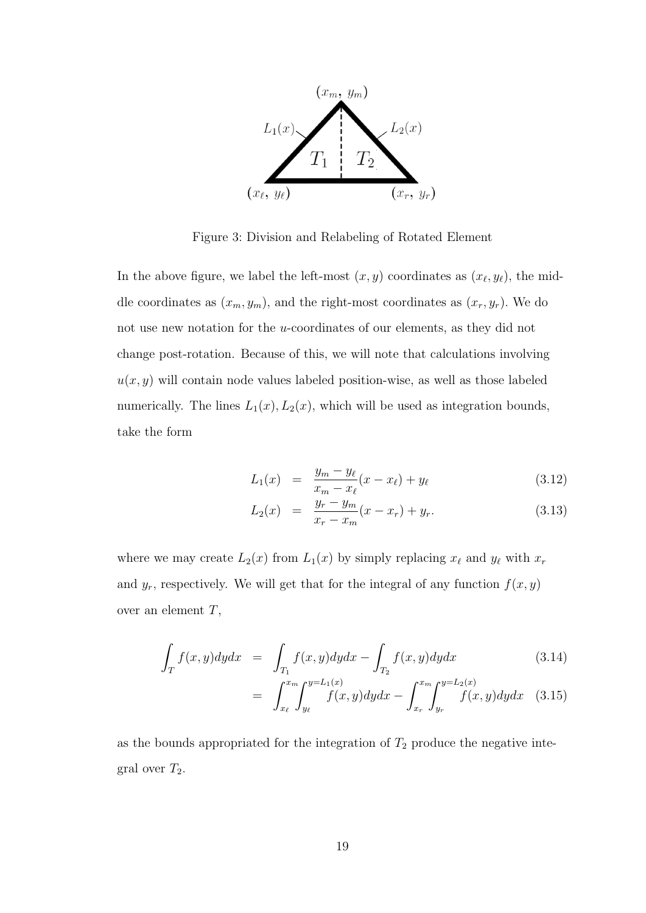

Figure 3: Division and Relabeling of Rotated Element

In the above figure, we label the left-most  $(x, y)$  coordinates as  $(x_{\ell}, y_{\ell})$ , the middle coordinates as  $(x_m, y_m)$ , and the right-most coordinates as  $(x_r, y_r)$ . We do not use new notation for the u-coordinates of our elements, as they did not change post-rotation. Because of this, we will note that calculations involving  $u(x, y)$  will contain node values labeled position-wise, as well as those labeled numerically. The lines  $L_1(x)$ ,  $L_2(x)$ , which will be used as integration bounds, take the form

$$
L_1(x) = \frac{y_m - y_\ell}{x_m - x_\ell}(x - x_\ell) + y_\ell \tag{3.12}
$$

$$
L_2(x) = \frac{y_r - y_m}{x_r - x_m}(x - x_r) + y_r.
$$
 (3.13)

where we may create  $L_2(x)$  from  $L_1(x)$  by simply replacing  $x_\ell$  and  $y_\ell$  with  $x_r$ and  $y_r$ , respectively. We will get that for the integral of any function  $f(x, y)$ over an element  $T$ ,

$$
\int_{T} f(x, y) dy dx = \int_{T_1} f(x, y) dy dx - \int_{T_2} f(x, y) dy dx \qquad (3.14)
$$

$$
= \int_{x_{\ell}}^{x_m} \int_{y_{\ell}}^{y=L_1(x)} f(x,y) dy dx - \int_{x_r}^{x_m} \int_{y_r}^{y=L_2(x)} f(x,y) dy dx \quad (3.15)
$$

as the bounds appropriated for the integration of  $T_2$  produce the negative integral over  $T_2$ .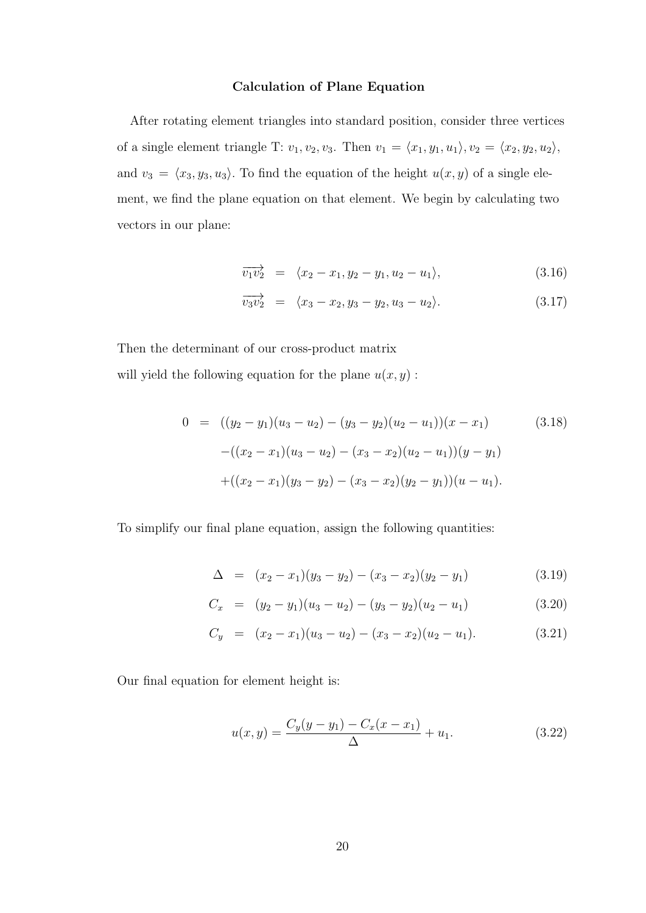#### Calculation of Plane Equation

After rotating element triangles into standard position, consider three vertices of a single element triangle T:  $v_1, v_2, v_3$ . Then  $v_1 = \langle x_1, y_1, u_1 \rangle, v_2 = \langle x_2, y_2, u_2 \rangle$ , and  $v_3 = \langle x_3, y_3, u_3 \rangle$ . To find the equation of the height  $u(x, y)$  of a single element, we find the plane equation on that element. We begin by calculating two vectors in our plane:

$$
\overrightarrow{v_1v_2} = \langle x_2 - x_1, y_2 - y_1, u_2 - u_1 \rangle, \tag{3.16}
$$

$$
\overrightarrow{v_3v_2} = \langle x_3 - x_2, y_3 - y_2, u_3 - u_2 \rangle. \tag{3.17}
$$

Then the determinant of our cross-product matrix will yield the following equation for the plane  $u(x, y)$ :

$$
0 = ((y_2 - y_1)(u_3 - u_2) - (y_3 - y_2)(u_2 - u_1))(x - x_1)
$$
\n
$$
-((x_2 - x_1)(u_3 - u_2) - (x_3 - x_2)(u_2 - u_1))(y - y_1)
$$
\n
$$
+((x_2 - x_1)(y_3 - y_2) - (x_3 - x_2)(y_2 - y_1))(u - u_1).
$$
\n(3.18)

To simplify our final plane equation, assign the following quantities:

$$
\Delta = (x_2 - x_1)(y_3 - y_2) - (x_3 - x_2)(y_2 - y_1) \tag{3.19}
$$

$$
C_x = (y_2 - y_1)(u_3 - u_2) - (y_3 - y_2)(u_2 - u_1)
$$
\n(3.20)

$$
C_y = (x_2 - x_1)(u_3 - u_2) - (x_3 - x_2)(u_2 - u_1). \tag{3.21}
$$

Our final equation for element height is:

$$
u(x,y) = \frac{C_y(y-y_1) - C_x(x-x_1)}{\Delta} + u_1.
$$
 (3.22)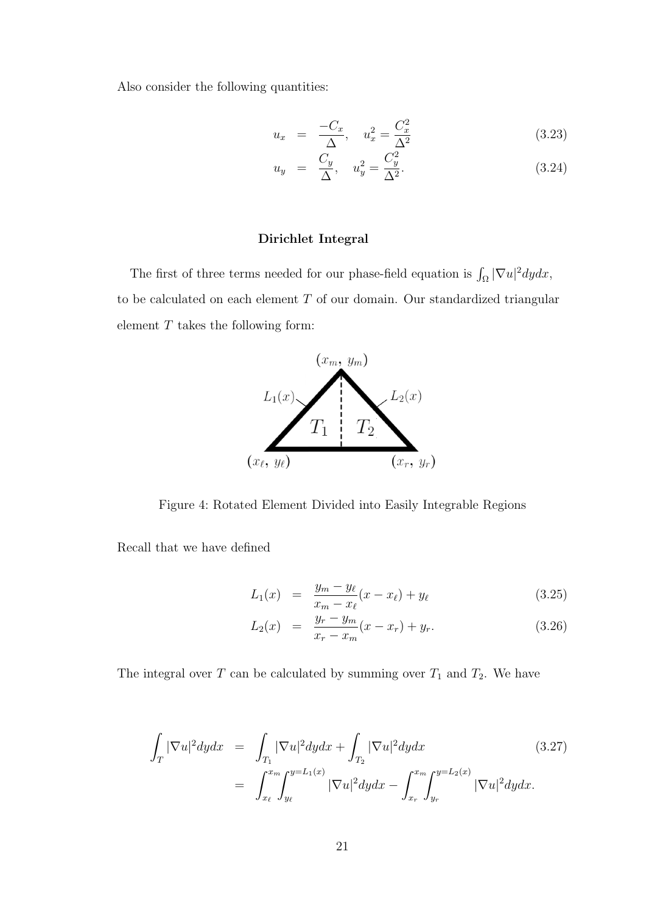Also consider the following quantities:

$$
u_x = \frac{-C_x}{\Delta}, \quad u_x^2 = \frac{C_x^2}{\Delta^2} \tag{3.23}
$$

$$
u_y = \frac{C_y}{\Delta}, \quad u_y^2 = \frac{C_y^2}{\Delta^2}.
$$
 (3.24)

#### Dirichlet Integral

The first of three terms needed for our phase-field equation is  $\int_{\Omega} |\nabla u|^2 dy dx$ , to be calculated on each element  $T$  of our domain. Our standardized triangular element  $T$  takes the following form:



Figure 4: Rotated Element Divided into Easily Integrable Regions

Recall that we have defined

$$
L_1(x) = \frac{y_m - y_\ell}{x_m - x_\ell}(x - x_\ell) + y_\ell \tag{3.25}
$$

$$
L_2(x) = \frac{y_r - y_m}{x_r - x_m}(x - x_r) + y_r.
$$
 (3.26)

The integral over  $T$  can be calculated by summing over  $T_1$  and  $T_2$ . We have

$$
\int_{T} |\nabla u|^{2} dy dx = \int_{T_{1}} |\nabla u|^{2} dy dx + \int_{T_{2}} |\nabla u|^{2} dy dx
$$
\n(3.27)\n
$$
= \int_{x_{\ell}}^{x_{m}} \int_{y_{\ell}}^{y=L_{1}(x)} |\nabla u|^{2} dy dx - \int_{x_{r}}^{x_{m}} \int_{y_{r}}^{y=L_{2}(x)} |\nabla u|^{2} dy dx.
$$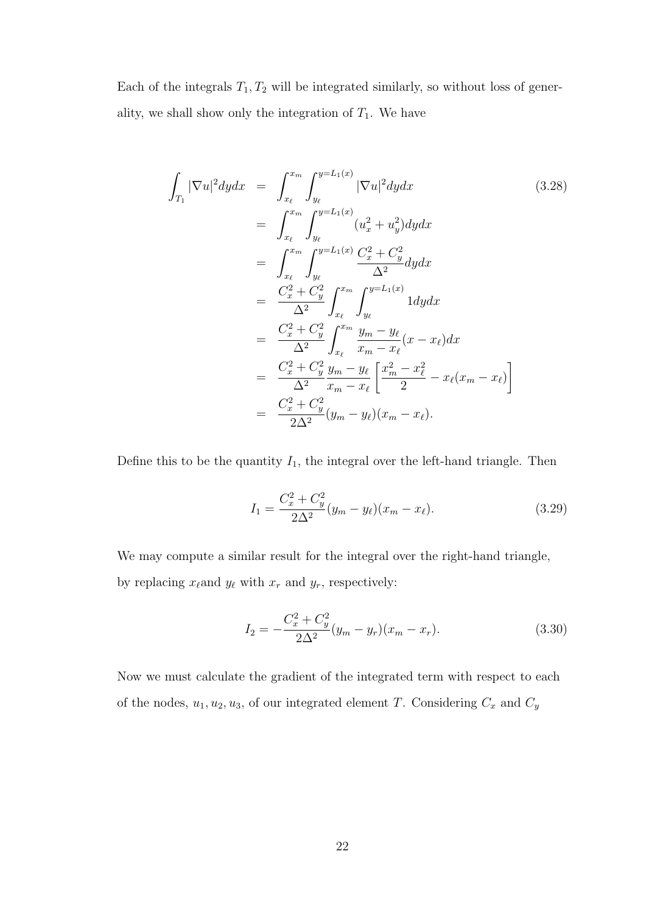Each of the integrals  $T_1, T_2$  will be integrated similarly, so without loss of generality, we shall show only the integration of  $T_1$ . We have

$$
\int_{T_1} |\nabla u|^2 dy dx = \int_{x_\ell}^{x_m} \int_{y_\ell}^{y=L_1(x)} |\nabla u|^2 dy dx \qquad (3.28)
$$
\n
$$
= \int_{x_\ell}^{x_m} \int_{y_\ell}^{y=L_1(x)} (u_x^2 + u_y^2) dy dx
$$
\n
$$
= \int_{x_\ell}^{x_m} \int_{y_\ell}^{y=L_1(x)} \frac{C_x^2 + C_y^2}{\Delta^2} dy dx
$$
\n
$$
= \frac{C_x^2 + C_y^2}{\Delta^2} \int_{x_\ell}^{x_m} \int_{y_\ell}^{y=L_1(x)} 1 dy dx
$$
\n
$$
= \frac{C_x^2 + C_y^2}{\Delta^2} \int_{x_\ell}^{x_m} \frac{y_m - y_\ell}{x_m - x_\ell} (x - x_\ell) dx
$$
\n
$$
= \frac{C_x^2 + C_y^2}{\Delta^2} \frac{y_m - y_\ell}{x_m - x_\ell} \left[ \frac{x_m^2 - x_\ell^2}{2} - x_\ell (x_m - x_\ell) \right]
$$
\n
$$
= \frac{C_x^2 + C_y^2}{2\Delta^2} (y_m - y_\ell)(x_m - x_\ell).
$$
\n(3.28)

Define this to be the quantity  $I_1$ , the integral over the left-hand triangle. Then

$$
I_1 = \frac{C_x^2 + C_y^2}{2\Delta^2} (y_m - y_\ell)(x_m - x_\ell). \tag{3.29}
$$

We may compute a similar result for the integral over the right-hand triangle, by replacing  $x_{\ell}$  and  $y_{\ell}$  with  $x_r$  and  $y_r$ , respectively:

$$
I_2 = -\frac{C_x^2 + C_y^2}{2\Delta^2} (y_m - y_r)(x_m - x_r).
$$
 (3.30)

Now we must calculate the gradient of the integrated term with respect to each of the nodes,  $u_1, u_2, u_3$ , of our integrated element T. Considering  $C_x$  and  $C_y$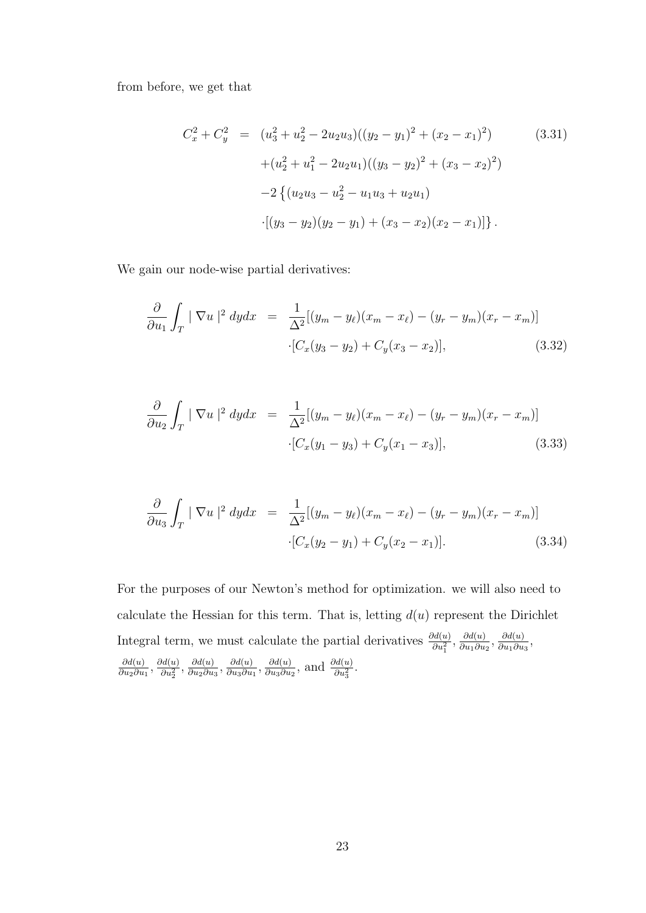from before, we get that

$$
C_x^2 + C_y^2 = (u_3^2 + u_2^2 - 2u_2u_3)((y_2 - y_1)^2 + (x_2 - x_1)^2)
$$
(3.31)  
+ 
$$
(u_2^2 + u_1^2 - 2u_2u_1)((y_3 - y_2)^2 + (x_3 - x_2)^2)
$$

$$
-2 \{ (u_2u_3 - u_2^2 - u_1u_3 + u_2u_1)
$$

$$
\cdot [(y_3 - y_2)(y_2 - y_1) + (x_3 - x_2)(x_2 - x_1)] \}.
$$

We gain our node-wise partial derivatives:

$$
\frac{\partial}{\partial u_1} \int_T |\nabla u|^2 dy dx = \frac{1}{\Delta^2} [(y_m - y_\ell)(x_m - x_\ell) - (y_r - y_m)(x_r - x_m)]
$$
  
 
$$
\cdot [C_x(y_3 - y_2) + C_y(x_3 - x_2)], \qquad (3.32)
$$

$$
\frac{\partial}{\partial u_2} \int_T |\nabla u|^2 dy dx = \frac{1}{\Delta^2} [(y_m - y_\ell)(x_m - x_\ell) - (y_r - y_m)(x_r - x_m)]
$$
  
 
$$
\cdot [C_x(y_1 - y_3) + C_y(x_1 - x_3)], \qquad (3.33)
$$

$$
\frac{\partial}{\partial u_3} \int_T |\nabla u|^2 dy dx = \frac{1}{\Delta^2} [(y_m - y_\ell)(x_m - x_\ell) - (y_r - y_m)(x_r - x_m)]
$$
  
-(C<sub>x</sub>(y<sub>2</sub> - y<sub>1</sub>) + C<sub>y</sub>(x<sub>2</sub> - x<sub>1</sub>)]. (3.34)

For the purposes of our Newton's method for optimization. we will also need to calculate the Hessian for this term. That is, letting  $d(u)$  represent the Dirichlet Integral term, we must calculate the partial derivatives  $\frac{\partial d(u)}{\partial u_1^2}$ ,  $\frac{\partial d(u)}{\partial u_1 \partial u}$  $\frac{\partial d(u)}{\partial u_1 \partial u_2}, \frac{\partial d(u)}{\partial u_1 \partial u}$  $\frac{\partial a(u)}{\partial u_1 \partial u_3}$  $\partial d(u)$  $\frac{\partial d(u)}{\partial u_2 \partial u_1}, \frac{\partial d(u)}{\partial u_2^2}$  $\frac{\partial d(u)}{\partial u_2^2}, \frac{\partial d(u)}{\partial u_2 \partial u}$  $\frac{\partial d(u)}{\partial u_2 \partial u_3}, \frac{\partial d(u)}{\partial u_3 \partial u}$  $\frac{\partial d(u)}{\partial u_3 \partial u_1}, \frac{\partial d(u)}{\partial u_3 \partial u}$  $\frac{\partial d(u)}{\partial u_3 \partial u_2}$ , and  $\frac{\partial d(u)}{\partial u_3^2}$ .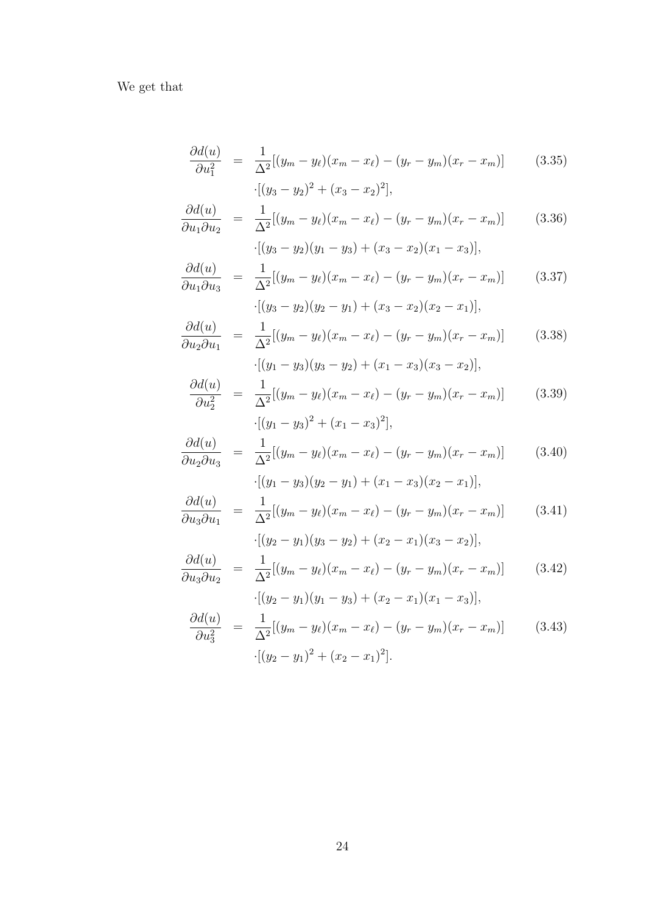We get that

$$
\frac{\partial d(u)}{\partial u_1^2} = \frac{1}{\Delta^2} [(y_m - y_\ell)(x_m - x_\ell) - (y_r - y_m)(x_r - x_m)] \qquad (3.35)
$$

$$
\cdot [(y_3 - y_2)^2 + (x_3 - x_2)^2],
$$

$$
\frac{\partial d(u)}{\partial u_1 \partial u_2} = \frac{1}{\Delta^2} [(y_m - y_\ell)(x_m - x_\ell) - (y_r - y_m)(x_r - x_m)] \qquad (3.36)
$$

$$
\cdot [(y_3 - y_2)(y_1 - y_3) + (x_3 - x_2)(x_1 - x_3)],
$$

$$
\frac{\partial d(u)}{\partial u_1 \partial u_3} = \frac{1}{\Delta^2} [(y_m - y_\ell)(x_m - x_\ell) - (y_r - y_m)(x_r - x_m)] \qquad (3.37)
$$

$$
\cdot [(y_3 - y_2)(y_2 - y_1) + (x_3 - x_2)(x_2 - x_1)],
$$

$$
\frac{\partial d(u)}{\partial u_2 \partial u_1} = \frac{1}{\Delta^2} [(y_m - y_\ell)(x_m - x_\ell) - (y_r - y_m)(x_r - x_m)] \qquad (3.38)
$$

$$
\cdot [(y_1 - y_3)(y_3 - y_2) + (x_1 - x_3)(x_3 - x_2)],
$$

$$
\frac{\partial d(u)}{\partial u_2^2} = \frac{1}{\Delta^2} [(y_m - y_\ell)(x_m - x_\ell) - (y_r - y_m)(x_r - x_m)] \qquad (3.39)
$$

$$
\cdot [(y_1 - y_3)^2 + (x_1 - x_3)^2],
$$

$$
\frac{\partial d(u)}{\partial u_2 \partial u_3} = \frac{1}{\Delta^2} [(y_m - y_\ell)(x_m - x_\ell) - (y_r - y_m)(x_r - x_m)] \qquad (3.40)
$$

$$
\cdot [(y_1 - y_3)(y_2 - y_1) + (x_1 - x_3)(x_2 - x_1)],
$$

$$
\frac{\partial d(u)}{\partial u_3 \partial u_1} = \frac{1}{\Delta^2} [(y_m - y_\ell)(x_m - x_\ell) - (y_r - y_m)(x_r - x_m)] \qquad (3.41)
$$

$$
\cdot [(y_2 - y_1)(y_3 - y_2) + (x_2 - x_1)(x_3 - x_2)],
$$

$$
\frac{\partial d(u)}{\partial u_3 \partial u_2} = \frac{1}{\Delta^2} [(y_m - y_\ell)(x_m - x_\ell) - (y_r - y_m)(x_r - x_m)] \qquad (3.42)
$$

$$
\cdot [(y_2 - y_1)(y_1 - y_3) + (x_2 - x_1)(x_1 - x_3)],
$$

$$
\frac{\partial d(u)}{\partial u_3^2} = \frac{1}{\Delta^2} [(y_m - y_\ell)(x_m - x_\ell) - (y_r - y_m)(x_r - x_m)] \qquad (3.43)
$$

$$
\cdot [(y_2 - y_1)^2 + (x_2 - x_1)^2].
$$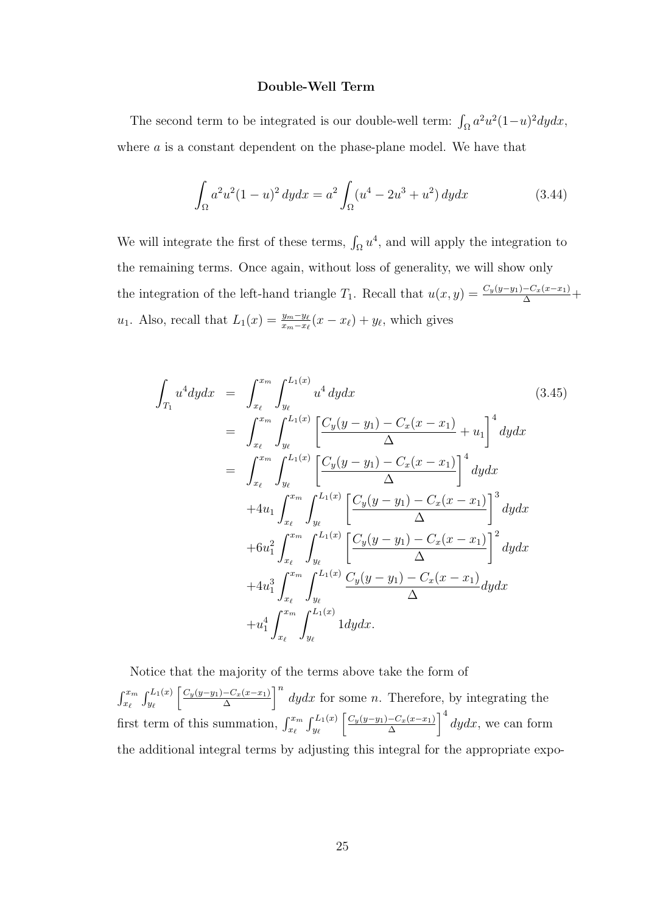#### Double-Well Term

The second term to be integrated is our double-well term:  $\int_{\Omega} a^2 u^2 (1-u)^2 dy dx$ , where  $a$  is a constant dependent on the phase-plane model. We have that

$$
\int_{\Omega} a^2 u^2 (1 - u)^2 \, dy dx = a^2 \int_{\Omega} (u^4 - 2u^3 + u^2) \, dy dx \tag{3.44}
$$

We will integrate the first of these terms,  $\int_{\Omega} u^4$ , and will apply the integration to the remaining terms. Once again, without loss of generality, we will show only the integration of the left-hand triangle  $T_1$ . Recall that  $u(x, y) = \frac{C_y(y-y_1) - C_x(x-x_1)}{\Delta} +$  $u_1$ . Also, recall that  $L_1(x) = \frac{y_m - y_\ell}{x_m - x_\ell}(x - x_\ell) + y_\ell$ , which gives

$$
\int_{T_1} u^4 dy dx = \int_{x_\ell}^{x_m} \int_{y_\ell}^{L_1(x)} u^4 dy dx
$$
\n
$$
= \int_{x_\ell}^{x_m} \int_{y_\ell}^{L_1(x)} \left[ \frac{C_y(y - y_1) - C_x(x - x_1)}{\Delta} + u_1 \right]^4 dy dx
$$
\n
$$
= \int_{x_\ell}^{x_m} \int_{y_\ell}^{L_1(x)} \left[ \frac{C_y(y - y_1) - C_x(x - x_1)}{\Delta} \right]^4 dy dx
$$
\n
$$
+ 4u_1 \int_{x_\ell}^{x_m} \int_{y_\ell}^{L_1(x)} \left[ \frac{C_y(y - y_1) - C_x(x - x_1)}{\Delta} \right]^3 dy dx
$$
\n
$$
+ 6u_1^2 \int_{x_\ell}^{x_m} \int_{y_\ell}^{L_1(x)} \left[ \frac{C_y(y - y_1) - C_x(x - x_1)}{\Delta} \right]^2 dy dx
$$
\n
$$
+ 4u_1^3 \int_{x_\ell}^{x_m} \int_{y_\ell}^{L_1(x)} \frac{C_y(y - y_1) - C_x(x - x_1)}{\Delta} dy dx
$$
\n
$$
+ u_1^4 \int_{x_\ell}^{x_m} \int_{y_\ell}^{L_1(x)} 1 dy dx.
$$
\n(3.45)

Notice that the majority of the terms above take the form of  $\int_{x_{\ell}}^{x_m} \int_{y_{\ell}}^{L_1(x)}$  $C_y(y-y_1) - C_x(x-x_1)$  $\left[\frac{-C_x(x-x_1)}{\Delta}\right]^n$  dydx for some n. Therefore, by integrating the first term of this summation,  $\int_{x_\ell}^{x_m} \int_{y_\ell}^{L_1(x)}$  $C_y(y-y_1) - C_x(x-x_1)$  $\int_{\Delta}^{-C_x(x-x_1)} \int_0^4 dy dx$ , we can form the additional integral terms by adjusting this integral for the appropriate expo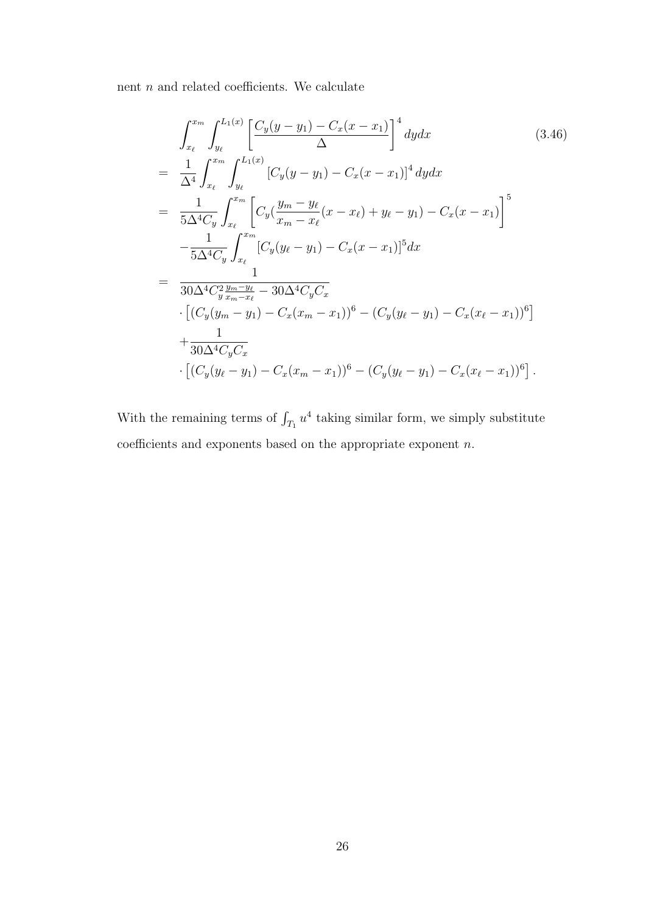nent $\boldsymbol{n}$  and related coefficients. We calculate

$$
\int_{x_{\ell}}^{x_{m}} \int_{y_{\ell}}^{L_{1}(x)} \left[ \frac{C_{y}(y-y_{1}) - C_{x}(x-x_{1})}{\Delta} \right]^{4} dy dx
$$
\n
$$
= \frac{1}{\Delta^{4}} \int_{x_{\ell}}^{x_{m}} \int_{y_{\ell}}^{L_{1}(x)} \left[ C_{y}(y-y_{1}) - C_{x}(x-x_{1}) \right]^{4} dy dx
$$
\n
$$
= \frac{1}{5\Delta^{4}C_{y}} \int_{x_{\ell}}^{x_{m}} \left[ C_{y}(\frac{y_{m} - y_{\ell}}{x_{m} - x_{\ell}}(x-x_{\ell}) + y_{\ell} - y_{1}) - C_{x}(x-x_{1}) \right]^{5}
$$
\n
$$
- \frac{1}{5\Delta^{4}C_{y}} \int_{x_{\ell}}^{x_{m}} \left[ C_{y}(y_{\ell} - y_{1}) - C_{x}(x-x_{1}) \right]^{5} dx
$$
\n
$$
= \frac{1}{30\Delta^{4}C_{y}^{2} \frac{y_{m} - y_{\ell}}{x_{m} - x_{\ell}} - 30\Delta^{4}C_{y}C_{x}}
$$
\n
$$
\cdot \left[ (C_{y}(y_{m} - y_{1}) - C_{x}(x_{m} - x_{1}))^{6} - (C_{y}(y_{\ell} - y_{1}) - C_{x}(x_{\ell} - x_{1}))^{6} \right]
$$
\n
$$
+ \frac{1}{30\Delta^{4}C_{y}C_{x}}
$$
\n
$$
\cdot \left[ (C_{y}(y_{\ell} - y_{1}) - C_{x}(x_{m} - x_{1}))^{6} - (C_{y}(y_{\ell} - y_{1}) - C_{x}(x_{\ell} - x_{1}))^{6} \right].
$$
\n(8.46)

With the remaining terms of  $\int_{T_1} u^4$  taking similar form, we simply substitute coefficients and exponents based on the appropriate exponent  $n$ .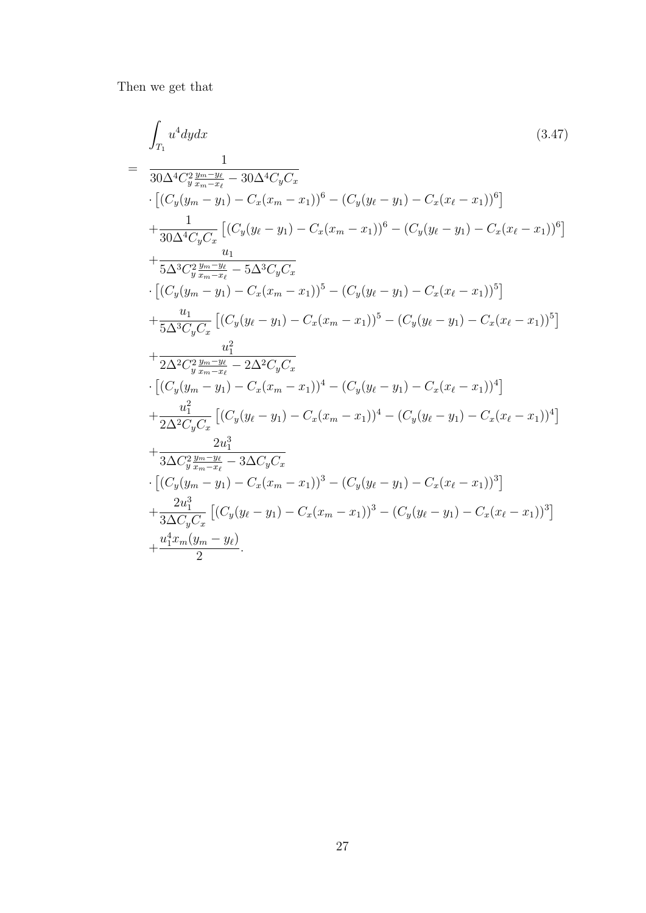Then we get that

$$
\int_{T_1} u^4 dy dx
$$
\n
$$
= \frac{1}{30\Delta^4 C_y^2 \frac{y_{m} - y_{\ell}}{x_{m} - x_{\ell}} - 30\Delta^4 C_y C_x}
$$
\n
$$
\cdot \left[ (C_y(y_m - y_1) - C_x(x_m - x_1))^6 - (C_y(y_{\ell} - y_1) - C_x(x_{\ell} - x_1))^6 \right]
$$
\n
$$
+ \frac{1}{30\Delta^4 C_y C_x} \left[ (C_y(y_{\ell} - y_1) - C_x(x_m - x_1))^6 - (C_y(y_{\ell} - y_1) - C_x(x_{\ell} - x_1))^6 \right]
$$
\n
$$
+ \frac{1}{5\Delta^3 C_y^2 \frac{y_m - y_{\ell}}{x_{m} - x_{\ell}} - 5\Delta^3 C_y C_x}
$$
\n
$$
\cdot \left[ (C_y(y_m - y_1) - C_x(x_m - x_1))^5 - (C_y(y_{\ell} - y_1) - C_x(x_{\ell} - x_1))^5 \right]
$$
\n
$$
+ \frac{u_1}{5\Delta^3 C_y C_x} \left[ (C_y(y_{\ell} - y_1) - C_x(x_m - x_1))^5 - (C_y(y_{\ell} - y_1) - C_x(x_{\ell} - x_1))^5 \right]
$$
\n
$$
+ \frac{u_1^2}{2\Delta^2 C_y^2 \frac{y_{m} - y_{\ell}}{x_{m} - x_{\ell}} - 2\Delta^2 C_y C_x}
$$
\n
$$
\cdot \left[ (C_y(y_m - y_1) - C_x(x_m - x_1))^4 - (C_y(y_{\ell} - y_1) - C_x(x_{\ell} - x_1))^4 \right]
$$
\n
$$
+ \frac{u_1^2}{2\Delta^2 C_y C_x} \left[ (C_y(y_{\ell} - y_1) - C_x(x_m - x_1))^4 - (C_y(y_{\ell} - y_1) - C_x(x_{\ell} - x_1))^4 \right]
$$
\n
$$
+ \frac{2u_1^3}{3\Delta C_y^2 \frac{y_{m} - y_{\ell}}{x_{m} - x_{\ell}} - 3\Delta C_y C_x}
$$
\n
$$
\cdot \left[ (C_y(y_m - y_1) - C_x(x_m - x_1))^3 - (C_y(y_{\ell} - y_1) - C_x
$$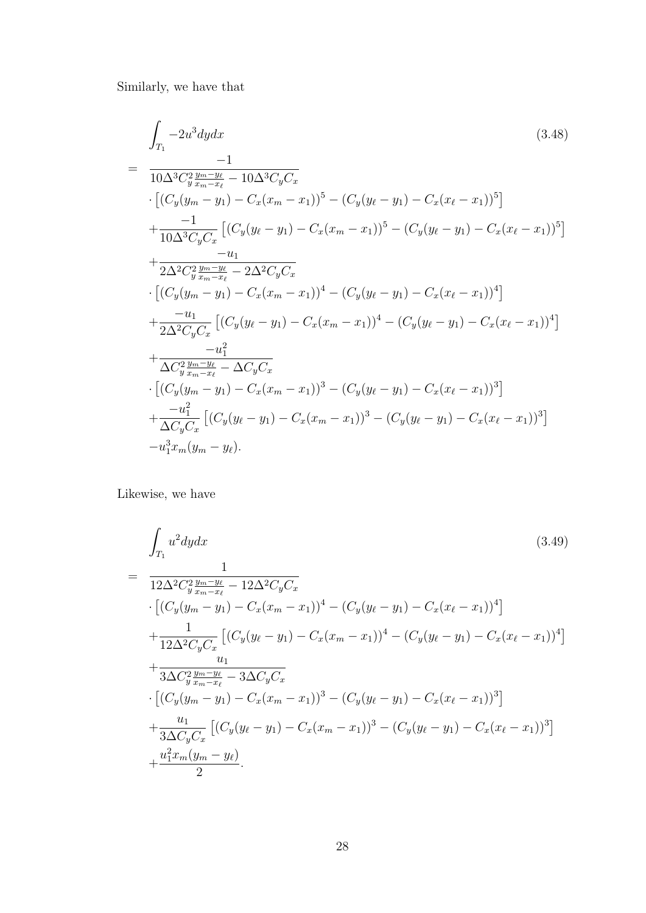Similarly, we have that

$$
\int_{T_1} -2u^3 dy dx
$$
\n
$$
= \frac{-1}{10\Delta^3 C_y^2 \frac{y_m - y_\ell}{x_m - x_\ell} - 10\Delta^3 C_y C_x}
$$
\n
$$
\cdot \left[ (C_y(y_m - y_1) - C_x(x_m - x_1))^5 - (C_y(y_\ell - y_1) - C_x(x_\ell - x_1))^5 \right]
$$
\n
$$
+ \frac{-1}{10\Delta^3 C_y C_x} \left[ (C_y(y_\ell - y_1) - C_x(x_m - x_1))^5 - (C_y(y_\ell - y_1) - C_x(x_\ell - x_1))^5 \right]
$$
\n
$$
+ \frac{-u_1}{2\Delta^2 C_y^2 \frac{y_m - y_\ell}{x_m - x_\ell} - 2\Delta^2 C_y C_x}
$$
\n
$$
\cdot \left[ (C_y(y_m - y_1) - C_x(x_m - x_1))^4 - (C_y(y_\ell - y_1) - C_x(x_\ell - x_1))^4 \right]
$$
\n
$$
+ \frac{-u_1}{2\Delta^2 C_y C_x} \left[ (C_y(y_\ell - y_1) - C_x(x_m - x_1))^4 - (C_y(y_\ell - y_1) - C_x(x_\ell - x_1))^4 \right]
$$
\n
$$
+ \frac{-u_1^2}{\Delta C_y^2 \frac{y_m - y_\ell}{x_m - x_\ell} - \Delta C_y C_x}
$$
\n
$$
\cdot \left[ (C_y(y_m - y_1) - C_x(x_m - x_1))^3 - (C_y(y_\ell - y_1) - C_x(x_\ell - x_1))^3 \right]
$$
\n
$$
+ \frac{-u_1^2}{\Delta C_y C_x} \left[ (C_y(y_\ell - y_1) - C_x(x_m - x_1))^3 - (C_y(y_\ell - y_1) - C_x(x_\ell - x_1))^3 \right]
$$
\n
$$
- u_1^3 x_m (y_m - y_\ell).
$$
\n(8.48)

Likewise, we have

$$
\int_{T_1} u^2 dy dx
$$
\n
$$
= \frac{1}{12\Delta^2 C_y^2 \frac{y_m - y_\ell}{x_m - x_\ell} - 12\Delta^2 C_y C_x}
$$
\n
$$
\cdot \left[ (C_y(y_m - y_1) - C_x(x_m - x_1))^4 - (C_y(y_\ell - y_1) - C_x(x_\ell - x_1))^4 \right]
$$
\n
$$
+ \frac{1}{12\Delta^2 C_y C_x} \left[ (C_y(y_\ell - y_1) - C_x(x_m - x_1))^4 - (C_y(y_\ell - y_1) - C_x(x_\ell - x_1))^4 \right]
$$
\n
$$
+ \frac{u_1}{3\Delta C_y^2 \frac{y_m - y_\ell}{x_m - x_\ell} - 3\Delta C_y C_x}
$$
\n
$$
\cdot \left[ (C_y(y_m - y_1) - C_x(x_m - x_1))^3 - (C_y(y_\ell - y_1) - C_x(x_\ell - x_1))^3 \right]
$$
\n
$$
+ \frac{u_1}{3\Delta C_y C_x} \left[ (C_y(y_\ell - y_1) - C_x(x_m - x_1))^3 - (C_y(y_\ell - y_1) - C_x(x_\ell - x_1))^3 \right]
$$
\n
$$
+ \frac{u_1^2 x_m (y_m - y_\ell)}{2}.
$$
\n(3.49)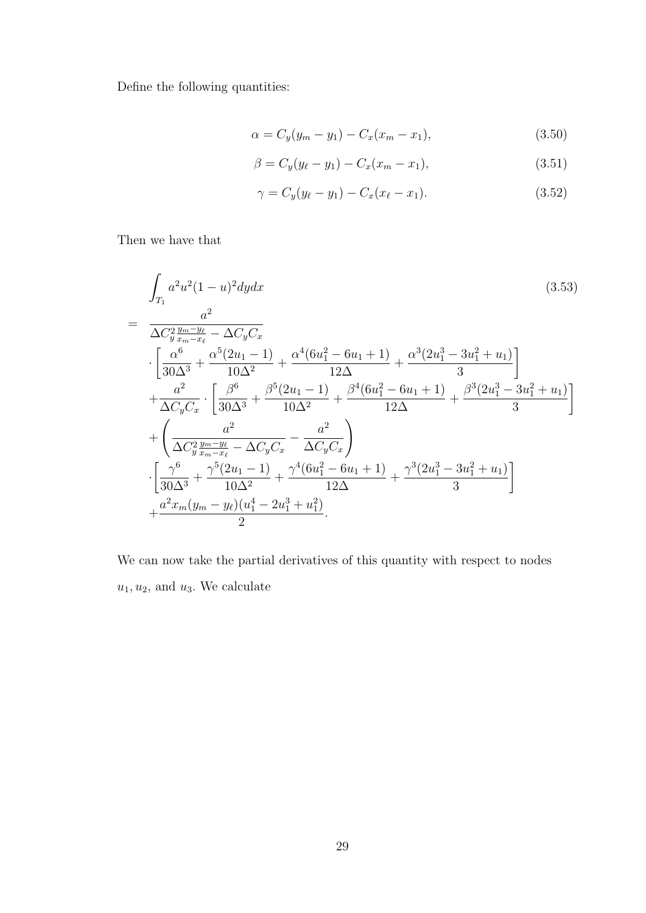Define the following quantities:

$$
\alpha = C_y(y_m - y_1) - C_x(x_m - x_1),\tag{3.50}
$$

$$
\beta = C_y(y_{\ell} - y_1) - C_x(x_m - x_1), \tag{3.51}
$$

$$
\gamma = C_y(y_\ell - y_1) - C_x(x_\ell - x_1). \tag{3.52}
$$

Then we have that

$$
\int_{T_1} a^2 u^2 (1 - u)^2 dy dx
$$
\n
$$
= \frac{a^2}{\Delta C_y^2 \frac{y_m - y_\ell}{x_m - x_\ell} - \Delta C_y C_x}
$$
\n
$$
\cdot \left[ \frac{\alpha^6}{30\Delta^3} + \frac{\alpha^5 (2u_1 - 1)}{10\Delta^2} + \frac{\alpha^4 (6u_1^2 - 6u_1 + 1)}{12\Delta} + \frac{\alpha^3 (2u_1^3 - 3u_1^2 + u_1)}{3} \right]
$$
\n
$$
+ \frac{a^2}{\Delta C_y C_x} \cdot \left[ \frac{\beta^6}{30\Delta^3} + \frac{\beta^5 (2u_1 - 1)}{10\Delta^2} + \frac{\beta^4 (6u_1^2 - 6u_1 + 1)}{12\Delta} + \frac{\beta^3 (2u_1^3 - 3u_1^2 + u_1)}{3} \right]
$$
\n
$$
+ \left( \frac{a^2}{\Delta C_y^2 \frac{y_m - y_\ell}{x_m - x_\ell} - \Delta C_y C_x} - \frac{a^2}{\Delta C_y C_x} \right)
$$
\n
$$
\cdot \left[ \frac{\gamma^6}{30\Delta^3} + \frac{\gamma^5 (2u_1 - 1)}{10\Delta^2} + \frac{\gamma^4 (6u_1^2 - 6u_1 + 1)}{12\Delta} + \frac{\gamma^3 (2u_1^3 - 3u_1^2 + u_1)}{3} \right]
$$
\n
$$
+ \frac{a^2 x_m (y_m - y_\ell) (u_1^4 - 2u_1^3 + u_1^2)}{2}.
$$
\n(3.53)

We can now take the partial derivatives of this quantity with respect to nodes  $u_1, u_2$ , and  $u_3$ . We calculate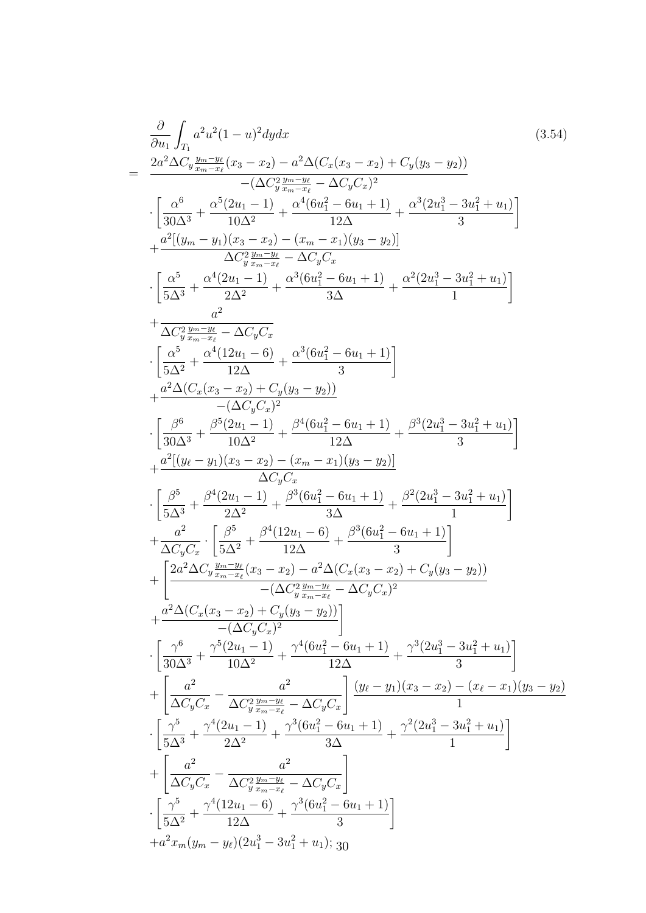$$
\frac{\partial}{\partial u_1} \int_{T_1} a^2 u^2 (1-u)^2 dy dx
$$
\n
$$
= \frac{2a^2 \Delta C_y \frac{y_m - y_k}{\pi_{m-x_\ell}} (x_3 - x_2) - a^2 \Delta (C_x (x_3 - x_2) + C_y (y_3 - y_2))}{1 - (\Delta y \frac{y_m - y_\ell}{3\pi_{m-x_\ell}} - \Delta C_y C_x)^2}
$$
\n
$$
\cdot \left[ \frac{\alpha^6}{30 \Delta^3} + \frac{\alpha^5 (2u_1 - 1)}{10 \Delta^2} + \frac{\alpha^4 (6u_1^2 - 6u_1 + 1)}{12 \Delta} + \frac{\alpha^3 (2u_1^3 - 3u_1^2 + u_1)}{3} \right]
$$
\n
$$
+ \frac{a^2 [(y_m - y_1)(x_3 - x_2) - (x_m - x_1)(y_3 - y_2)]}{\Delta C_y^2 \frac{y_m - y_\ell}{2\pi_{m-x_\ell}}} - \Delta C_y C_x
$$
\n
$$
\cdot \left[ \frac{\alpha^5}{5 \Delta^3} + \frac{\alpha^4 (2u_1 - 1)}{2 \Delta^2} + \frac{\alpha^3 (6u_1^2 - 6u_1 + 1)}{3 \Delta} + \frac{\alpha^2 (2u_1^3 - 3u_1^2 + u_1)}{1} \right]
$$
\n
$$
+ \frac{a^2 \Delta (C_x (x_3 - x_2) + C_y (y_3 - y_2))}{\Delta C_x^2}
$$
\n
$$
\cdot \left[ \frac{\alpha^6}{5 \Delta^2} + \frac{\alpha^4 (12u_1 - 6)}{12 \Delta} + \frac{\alpha^3 (6u_1^2 - 6u_1 + 1)}{3} \right]
$$
\n
$$
+ \frac{a^2 \Delta (C_x (x_3 - x_2) + C_y (y_3 - y_2))}{\Delta C_y C_x}
$$
\n
$$
\cdot \left[ \frac{\beta^6}{30 \Delta^3} + \frac{\beta^6 (2u_1 - 1)}{10 \Delta^2} + \frac{\beta^4 (6u_1^2 - 6u_1 + 1)}{12 \Delta} + \frac{\beta^3 (2u_1^3 - 3u_1^2 + u_1)}{3} \right]
$$
\n
$$
+ \frac{a^
$$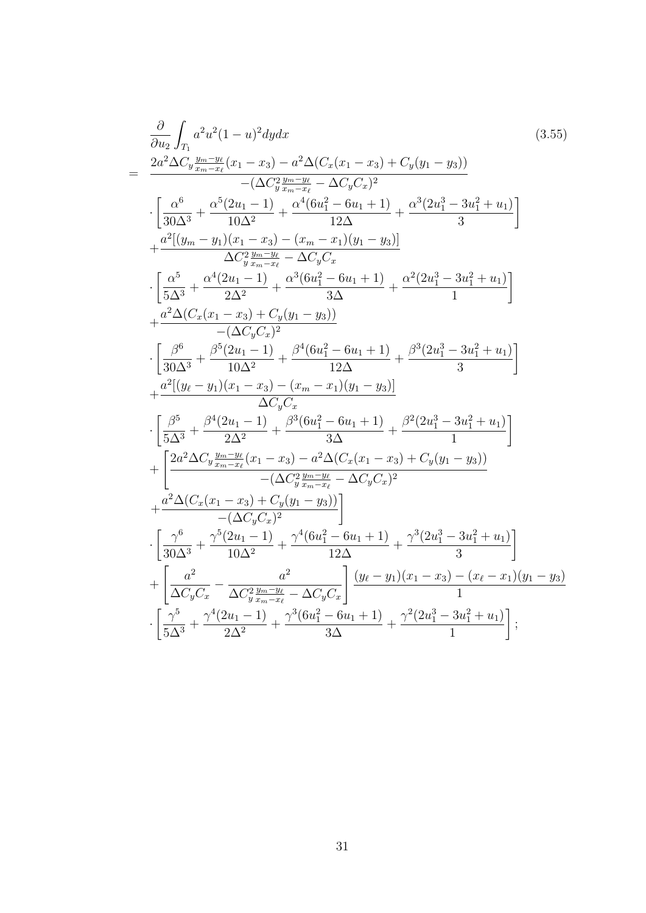$$
\frac{\partial}{\partial u_2} \int_{T_1} a^2 u^2 (1 - u)^2 dy dx
$$
\n
$$
= \frac{2a^2 \Delta C_y \frac{y_m - y_t}{x_m - x_t} (x_1 - x_3) - a^2 \Delta (C_x (x_1 - x_3) + C_y (y_1 - y_3))}{-(\Delta C_y \frac{y_m - y_t}{x_m - x_t} - \Delta C_y C_x)^2}
$$
\n
$$
\cdot \left[ \frac{\alpha^6}{30 \Delta^3} + \frac{\alpha^5 (2u_1 - 1)}{10 \Delta^2} + \frac{\alpha^4 (6u_1^2 - 6u_1 + 1)}{12 \Delta} + \frac{\alpha^3 (2u_1^3 - 3u_1^2 + u_1)}{3} \right]
$$
\n
$$
+ \frac{a^2 [(y_m - y_1)(x_1 - x_3) - (x_m - x_1)(y_1 - y_3)]}{\Delta C_y^2 \frac{y_m - y_t}{2\Delta}} - \frac{\alpha^3 (6u_1^2 - 6u_1 + 1)}{3\Delta} + \frac{\alpha^2 (2u_1^3 - 3u_1^2 + u_1)}{1} \right]
$$
\n
$$
+ \frac{a^2 \Delta (C_x (x_1 - x_3) + C_y (y_1 - y_3))}{-(\Delta C_y C_x)^2}
$$
\n
$$
\cdot \left[ \frac{\beta^6}{5 \Delta^3} + \frac{\beta^5 (2u_1 - 1)}{10 \Delta^2} + \frac{\beta^4 (6u_1^2 - 6u_1 + 1)}{12 \Delta} + \frac{\beta^3 (2u_1^3 - 3u_1^2 + u_1)}{3} \right]
$$
\n
$$
+ \frac{a^2 [(y_\ell - y_1)(x_1 - x_3) - (x_m - x_1)(y_1 - y_3)]}{\Delta C_y C_x}
$$
\n
$$
\cdot \left[ \frac{\beta^5}{5 \Delta^3} + \frac{\beta^4 (2u_1 - 1)}{2 \Delta^2} + \frac{\beta^3 (6u_1^2 - 6u_1 + 1)}{12 \Delta} + \frac{\beta^2 (2u_1^3 - 3u_1^2 + u_1)}{3} \right]
$$
\n
$$
+ \frac{a^2 (C_x (x_1 - x_3) - (x_m - x_1)(y_1
$$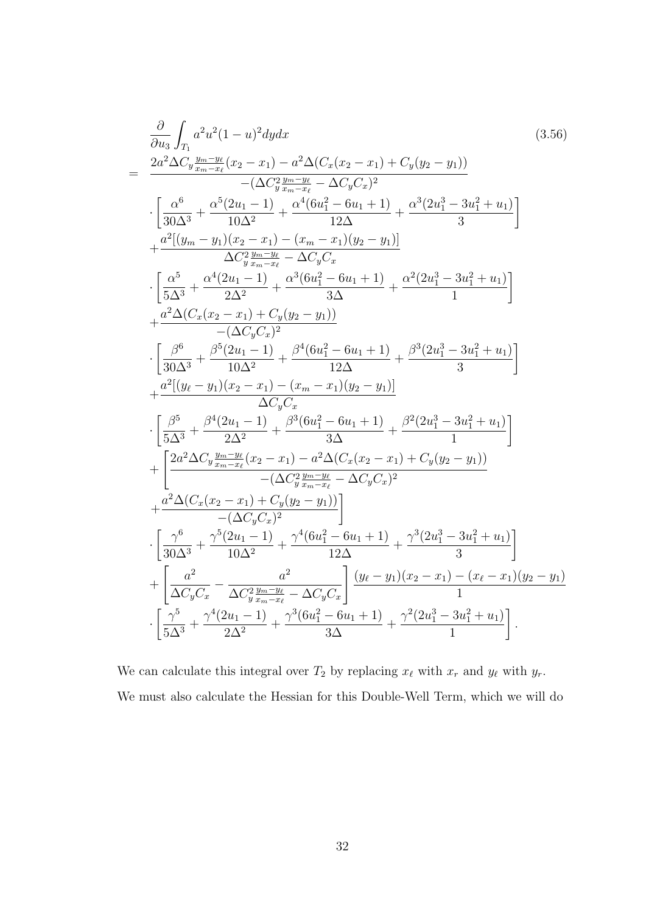$$
\frac{\partial}{\partial u_3} \int_{T_1} a^2 u^2 (1 - u)^2 dy dx \qquad (3.56)
$$
\n
$$
= \frac{2a^2 \Delta C_y \frac{y_m - y_\ell}{x_m - x_\ell} (x_2 - x_1) - a^2 \Delta (C_x (x_2 - x_1) + C_y (y_2 - y_1))}{-(\Delta C_y \frac{y_m - y_\ell}{x_m - x_\ell} - \Delta C_y C_x)^2} \cdot \left[ \frac{\alpha^6}{30 \Delta^3} + \frac{\alpha^5 (2u_1 - 1)}{10 \Delta^2} + \frac{\alpha^4 (6u_1^2 - 6u_1 + 1)}{12 \Delta} + \frac{\alpha^3 (2u_1^3 - 3u_1^2 + u_1)}{3} \right] \Delta C_y^2 \frac{y_m - y_\ell}{x_m - x_\ell} - \Delta C_y C_x \cdot \left[ \frac{\alpha^5}{5 \Delta^3} + \frac{\alpha^4 (2u_1 - 1)}{2 \Delta^2} + \frac{\alpha^3 (6u_1^2 - 6u_1 + 1)}{3 \Delta} + \frac{\alpha^2 (2u_1^3 - 3u_1^2 + u_1)}{1} \right] \Delta C_y^2 \frac{y_m - y_\ell}{x_m - x_\ell} - \Delta C_y C_x \cdot \left[ \frac{\alpha^5}{5 \Delta^3} + \frac{\alpha^4 (2u_1 - 1)}{2 \Delta^2} + \frac{\alpha^3 (6u_1^2 - 6u_1 + 1)}{3 \Delta} + \frac{\alpha^2 (2u_1^3 - 3u_1^2 + u_1)}{1} \right] \Delta C_y C_x \cdot \left[ \frac{\beta^6}{30 \Delta^3} + \frac{\beta^6 (2u_1 - 1)}{10 \Delta^2} + \frac{\beta^4 (6u_1^2 - 6u_1 + 1)}{12 \Delta} + \frac{\beta^3 (2u_1^3 - 3u_1^2 + u_1)}{3} \right] \Delta C_y C_x \cdot \left[ \frac{\beta^5}{5 \Delta^3} + \frac{\beta^4 (2u_1 - 1)}{2 \Delta^2} + \frac{\beta^3 (6u_1^2 - 6u_1 + 1)}{12 \Delta} + \frac{\beta^2 (2u_1^3 - 3u_1^2 + u_1)}{3} \right] \Delta C_y C_x \cdot \left[ \frac{\beta
$$

We can calculate this integral over  $T_2$  by replacing  $x_{\ell}$  with  $x_r$  and  $y_{\ell}$  with  $y_r$ . We must also calculate the Hessian for this Double-Well Term, which we will do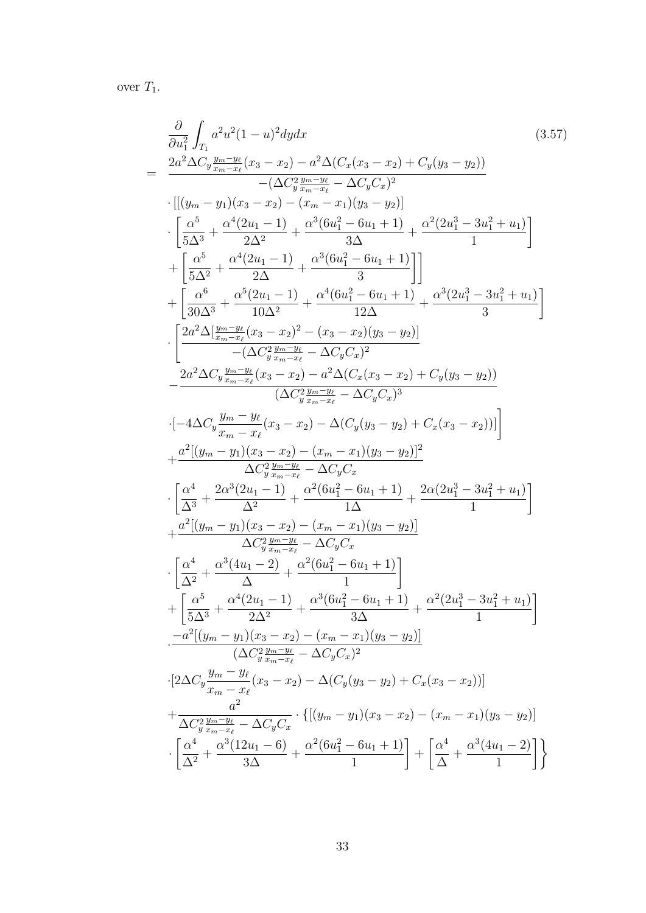over  $T_1$ .

$$
\frac{\partial}{\partial u_{1}^{2}} \int_{T_{1}} a^{2}u^{2}(1-u)^{2}dydx
$$
\n
$$
= \frac{2a^{2}\Delta C_{y}\frac{y_{m}-y_{k}}{x_{m}-x_{\ell}}(x_{3}-x_{2})-a^{2}\Delta (C_{x}(x_{3}-x_{2})+C_{y}(y_{3}-y_{2}))}{-(\Delta C_{y}^{2}\frac{y_{m}-y_{k}}{x_{m}-x_{\ell}}-\Delta C_{y}C_{x})^{2}}
$$
\n
$$
\cdot\left[\frac{(y_{m}-y_{1})(x_{3}-x_{2})-(x_{m}-x_{1})(y_{3}-y_{2})}{3\Delta^{2}}\right]
$$
\n
$$
\cdot\left[\frac{a^{5}}{5\Delta^{3}}+\frac{\alpha^{4}(2u_{1}-1)}{2\Delta^{2}}+\frac{a^{3}(6u_{1}^{2}-6u_{1}+1)}{3\Delta^{2}}+\frac{\alpha^{2}(2u_{1}^{3}-3u_{1}^{2}+u_{1})}{1}\right]
$$
\n
$$
+\left[\frac{a^{5}}{5\Delta^{2}}+\frac{\alpha^{4}(2u_{1}-1)}{2\Delta}+\frac{\alpha^{3}(6u_{1}^{2}-6u_{1}+1)}{3\Delta^{2}}\right]
$$
\n
$$
\cdot\left[\frac{2a^{2}\Delta[\frac{y_{m}-y_{k}}{x_{m}-x_{\ell}}(x_{3}-x_{2})^{2}-(x_{3}-x_{2})(y_{3}-y_{2})]}{2\Delta^{2}}\right]
$$
\n
$$
\cdot\left[\frac{2a^{2}\Delta[\frac{y_{m}-y_{k}}{x_{m}-x_{\ell}}(x_{3}-x_{2})^{2}-(x_{3}-x_{2})(y_{3}-y_{2})]}{-(\Delta C_{y}\frac{y_{m}-y_{k}}{x_{m}-x_{\ell}}-\Delta C_{y}C_{x})^{2}}\right]
$$
\n
$$
\cdot\left[-4\Delta C_{y}\frac{y_{m}-y_{\ell}}{x_{m}-x_{\ell}}(x_{3}-x_{2})-\alpha^{2}\Delta(C_{x}(x_{3}-x_{2})+C_{y}(y_{3}-y_{2}))\right]
$$
\n
$$
+\frac{a^{2}[(y_{m}-y_{1})(x_{3}-x_{2})-(x_{m}-x_{1})(y_{3}-y_{2})^{2}}{(\Delta C_{y}^{2}\frac{y_{
$$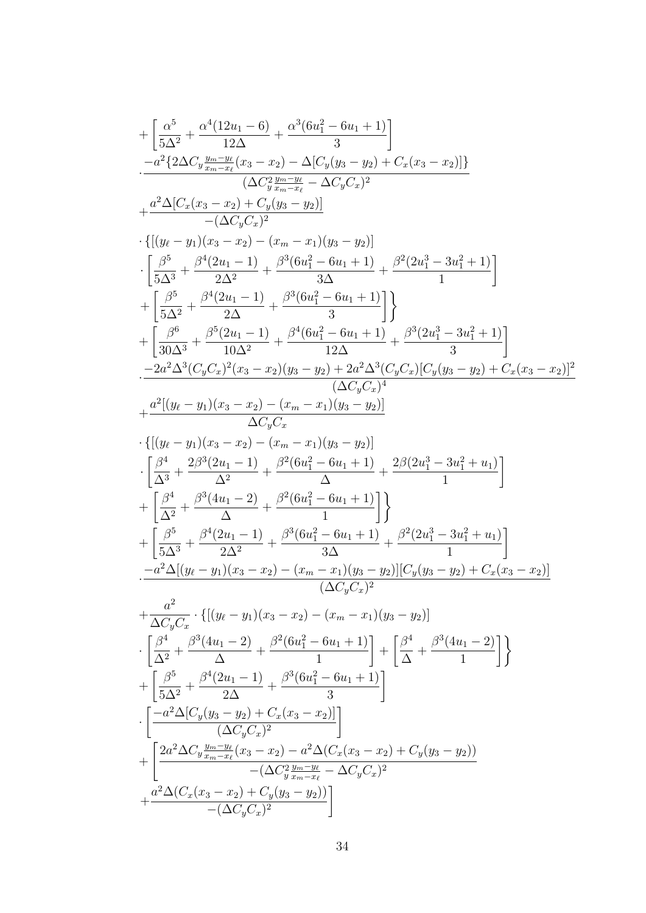$$
\begin{split} &+\left[\frac{\alpha^{5}}{5\Delta^{2}}+\frac{\alpha^{4}(12u_{1}-6)}{12\Delta}-\frac{\alpha^{3}(6u_{1}^{2}-6u_{1}+1)}{3}\right]\\ &\quad -\alpha^{2}\{2\Delta C_{y}\frac{y_{m}-y_{t}}{x_{m}-x_{t}}(x_{3}-x_{2})-\Delta[C_{y}(y_{3}-y_{2})+C_{x}(x_{3}-x_{2})]\} \\ &+\frac{\alpha^{2}\Delta[C_{x}(x_{3}-x_{2})+C_{y}(y_{3}-y_{2})]}{-(\Delta C_{y}C_{x})^{2}}\\ \cdot\left[\frac{\beta^{5}}{(\Delta y^{2}+2)}+\frac{\beta^{3}(6u_{1}^{2}-6u_{1}+1)}{3\Delta}+\frac{\beta^{2}(2u_{1}^{3}-3u_{1}^{2}+1)}{1}\right]\\ &+\left[\frac{\beta^{5}}{5\Delta^{2}}+\frac{\beta^{4}(2u_{1}-1)}{2\Delta}+\frac{\beta^{3}(6u_{1}^{2}-6u_{1}+1)}{3\Delta}\right]\\ &+\left[\frac{\beta^{5}}{30\Delta^{3}}+\frac{\beta^{5}(2u_{1}-1)}{2\Delta}+\frac{\beta^{3}(6u_{1}^{2}-6u_{1}+1)}{12}\right]\\ &\quad -\frac{2a^{2}\Delta^{3}(C_{y}C_{x})^{2}(x_{3}-x_{2})(y_{3}-y_{2})+2a^{2}\Delta^{3}(C_{y}C_{x})(C_{y}(y_{3}-y_{2})+C_{x}(x_{3}-x_{2})]^{2}}{-2a^{2}\Delta^{3}(C_{y}C_{x})^{2}(x_{3}-x_{2})(y_{3}-y_{2})+2a^{2}\Delta^{3}(C_{y}C_{x})(C_{y}(y_{3}-y_{2})+C_{x}(x_{3}-x_{2})]^{2}}\\ &\quad -\frac{2a^{2}\Delta^{3}(2u_{1}-1)}{\Delta C_{y}C_{x}}+\frac{\alpha^{2}((y_{\ell}-y_{1})(x_{3}-x_{2})-(x_{m}-x_{1})(y_{3}-y_{2})]}{\Delta C_{y}C_{x}}\\ &\quad \cdot\left[\frac{\beta^{4}}{\Delta^{3}}+\frac{2\beta^{3}(2u_{1}-1)}{\Delta^{3}}+\frac{\beta^{2}(6u_{1}^{2}-6u_{1}+1)}{1}\right]\\ &+\left[\frac{\beta^{4}}{\Delta^{3}}+\frac{\beta^{3
$$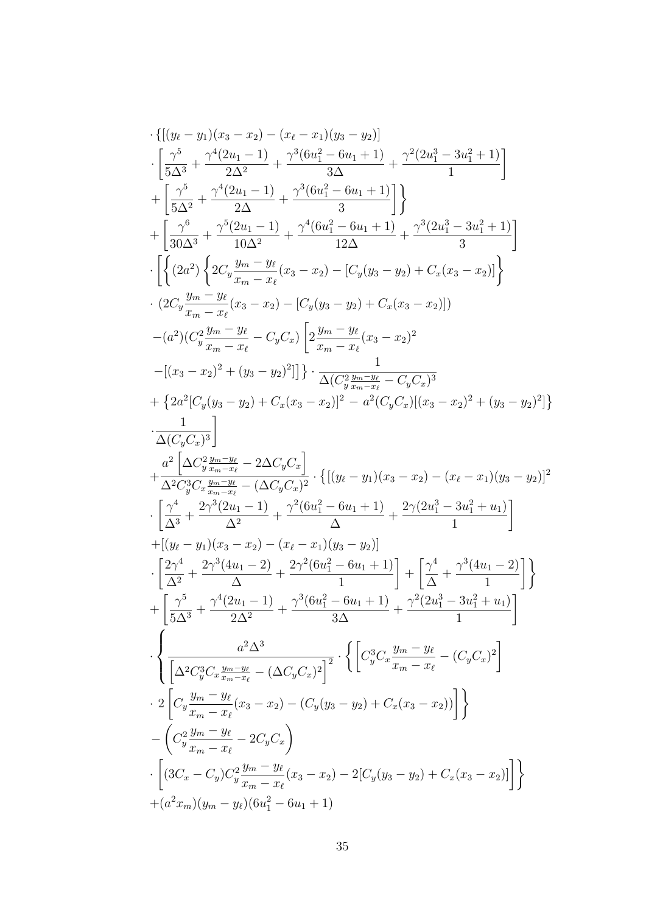$$
\begin{split} &\cdot\left\{[(y_{\ell}-y_{1})(x_{3}-x_{2})-(x_{\ell}-x_{1})(y_{3}-y_{2})\right] \\ &\cdot\left[\frac{\gamma^{5}}{5\Delta^{3}}+\frac{\gamma^{4}(2u_{1}-1)}{2\Delta^{2}}+\frac{\gamma^{3}(6u_{1}^{2}-6u_{1}+1)}{3\Delta}+\frac{\gamma^{2}(2u_{1}^{3}-3u_{1}^{2}+1)}{1}\right] \\ &+\left[\frac{\gamma^{5}}{5\Delta^{2}}+\frac{\gamma^{4}(2u_{1}-1)}{2\Delta}+\frac{\gamma^{3}(6u_{1}^{2}-6u_{1}+1)}{3}\right]\} \\ &\cdot\left[\left\{(2a^{2})\left\{2C_{y}\frac{y_{m}-y_{\ell}}{x_{m}-x_{\ell}}(x_{3}-x_{2})-[C_{y}(y_{3}-y_{2})+C_{x}(x_{3}-x_{2})]\right\}\right. \\ &\cdot\left.\left.\left.\left.\left.\left.\left.\left.\left(2C_{y}\frac{y_{m}-y_{\ell}}{x_{m}-x_{\ell}}(x_{3}-x_{2})-[C_{y}(y_{3}-y_{2})+C_{x}(x_{3}-x_{2})]\right)\right.\right.\right.\right.\right. \\ &\cdot\left.\left.\left.\left.\left.\left.\left.\left.\left.\left(2C_{y}\frac{y_{m}-y_{\ell}}{x_{m}-x_{\ell}}(x_{3}-x_{2})-[C_{y}(y_{3}-y_{2})+C_{x}(x_{3}-x_{2})]\right)\right.\right.\right.\right.\right. \\ &\left.\left.\left.\left.\left.\left.\left.\left.\left(\left.\frac{2}{x_{m}-x_{\ell}}\right)^{2}+(y_{3}-y_{2})\right|\right|\right.\right.\right.\right.\right.\left.\left.\left.\frac{1}{x_{m}-x_{\ell}}(x_{3}-x_{2})^{2} \\ &\left.\left.\left.\left.\left(\left.\frac{2}{x_{m}-x_{\ell}}\right)^{2}+(y_{3}-y_{2})\right|\right|\right.\right.\right.\right.\right. \\ &\left.\left.\left.\left.\left.\left.\left.\left.\frac{2}{x_{m}-x_{\ell}}\right|(-C_{y}C_{x})\right.\right.\right.\right. \\ &\left.\left.\left.\left.\left.\left.\frac{2}{x_{m}-x_{\ell}}\right|(-C_{y}C_{x})\right.\right.\right.\right.\right. \\ &
$$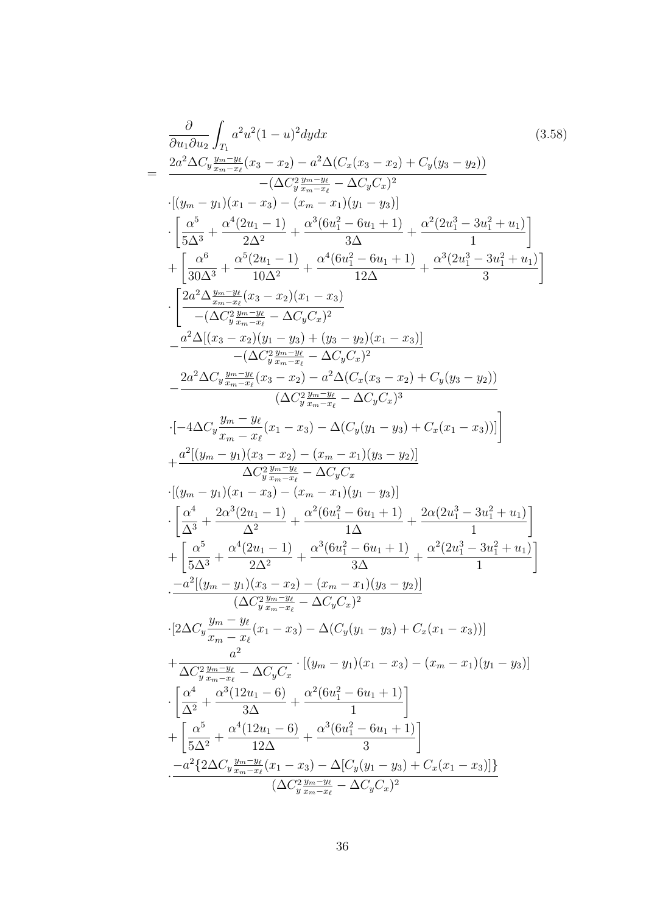$$
\frac{\partial}{\partial u_1 \partial u_2} \int_{T_1} a^2 u^2 (1 - u)^2 dy dx
$$
\n
$$
= \frac{2a^2 \Delta C_y \frac{y_m - y_\ell}{x_m - x_\ell} (x_3 - x_2) - a^2 \Delta (C_x (x_3 - x_2) + C_y (y_3 - y_2))}{-(\Delta C_y \frac{y_m - y_\ell}{x_m - x_\ell} - \Delta C_y C_x)^2}
$$
\n
$$
\cdot [(y_m - y_1)(x_1 - x_3) - (x_m - x_1)(y_1 - y_3)]
$$
\n
$$
\cdot \left[\frac{\Delta^5}{5\Delta^3} + \frac{\alpha^4 (2u_1 - 1)}{2\Delta^2} + \frac{\alpha^3 (6u_1^2 - 6u_1 + 1)}{3\Delta} + \frac{\alpha^2 (2u_1^3 - 3u_1^2 + u_1)}{1}\right]
$$
\n
$$
+ \left[\frac{\alpha^6}{30\Delta^3} + \frac{\alpha^5 (2u_1 - 1)}{10\Delta^2} + \frac{\alpha^4 (6u_1^2 - 6u_1 + 1)}{12\Delta} + \frac{\alpha^3 (2u_1^3 - 3u_1^2 + u_1)}{3}\right]
$$
\n
$$
\cdot \left[\frac{2a^2 \Delta \frac{y_m - y_\ell}{x_m - x_\ell} (x_3 - x_2)(x_1 - x_3)}{10\Delta^2} - \frac{a^2 \Delta ((x_3 - x_2)(y_1 - y_3) + (y_3 - y_2)(x_1 - x_3))}{(2C_y^2 \frac{y_m - y_\ell}{x_m - x_\ell} - \Delta C_y C_x)^2}\right]
$$
\n
$$
- \frac{a^2 \Delta C_y \frac{y_m - y_\ell}{y_m - x_\ell} (x_3 - x_2) - a^2 \Delta (C_x (x_3 - x_2) + C_y (y_3 - y_2))}{(\Delta C_y^2 \frac{y_m - y_\ell}{x_m - x_\ell} - \Delta C_y C_x)^3}
$$
\n
$$
\cdot [-4\Delta C_y \frac{y_m - y_\ell}{x_m - x_\ell} (x_1 - x_3) - \Delta (C_y (y_1 - y_3) + C_x (x_1 - x_3))]]
$$
\n
$$
+ \frac{a^2 [(y_m - y_1
$$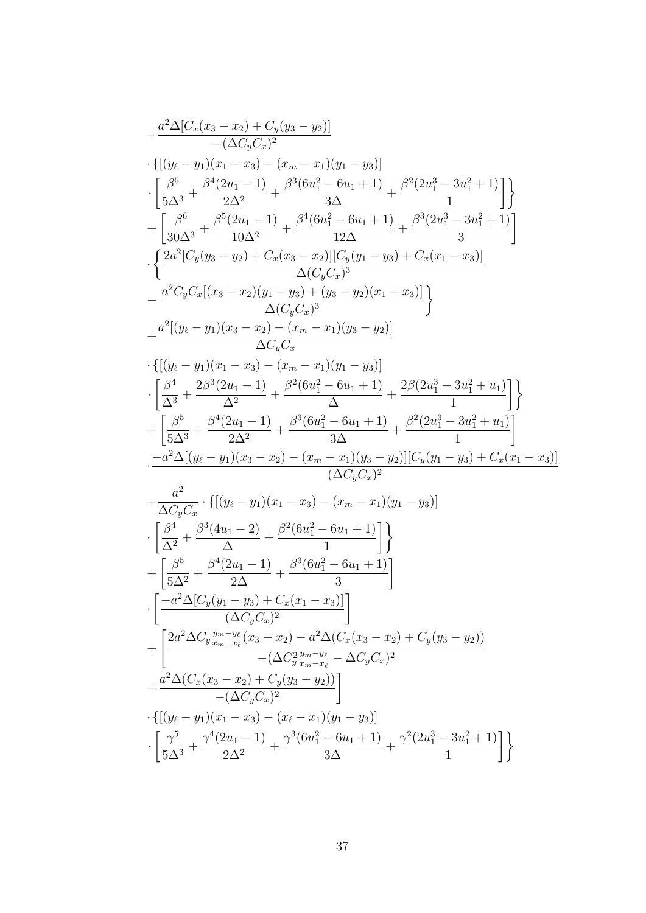$$
\begin{array}{l} +\frac{a^{2}\Delta[C_{x}(x_{3}-x_{2})+C_{y}(y_{3}-y_{2})]}{-(\Delta C_{y}C_{x})^{2}} \\ +\left\{[(y_{\ell}-y_{1})(x_{1}-x_{3})-(x_{m}-x_{1})(y_{1}-y_{3})]\right. \\ \left. +\left[\frac{\beta^{5}}{5\Delta^{3}}+\frac{\beta^{4}(2u_{1}-1)}{2\Delta^{2}}+\frac{\beta^{3}(6u_{1}^{2}-6u_{1}+1)}{3\Delta}+\frac{\beta^{2}(2u_{1}^{3}-3u_{1}^{2}+1)}{1}\right]\right\} \\ +\left\{ \frac{\beta^{6}}{30\Delta^{3}}+\frac{\beta^{5}(2u_{1}-1)}{10\Delta^{2}}+\frac{\beta^{4}(6u_{1}^{2}-6u_{1}+1)}{12\Delta}+\frac{\beta^{3}(2u_{1}^{3}-3u_{1}^{2}+1)}{3}\right] \\ \cdot\left\{ \frac{2a^{2}[C_{y}(y_{3}-y_{2})+C_{x}(x_{3}-x_{2})][C_{y}(y_{1}-y_{3})+C_{x}(x_{1}-x_{3})]}{\Delta(C_{y}C_{x})^{3}}-\frac{a^{2}C_{y}C_{x}[(x_{3}-x_{2})(y_{1}-y_{3})+(y_{3}-y_{2})(x_{1}-x_{3})]}{\Delta(C_{y}C_{x})}\right\} \\ +\frac{a^{2}[(y_{\ell}-y_{1})(x_{3}-x_{2})-(x_{m}-x_{1})(y_{3}-y_{2})]}{\Delta C_{y}C_{x}} \\ +\left\{[(y_{\ell}-y_{1})(x_{1}-x_{3})-(x_{m}-x_{1})(y_{1}-y_{3})]\right. \\ \cdot\left[\frac{\beta^{4}}{\Delta^{3}}+\frac{2\beta^{3}(2u_{1}-1)}{\Delta^{2}}+\frac{\beta^{2}(6u_{1}^{2}-6u_{1}+1)}{\Delta}+\frac{2\beta(2u_{1}^{3}-3u_{1}^{2}+u_{1})}{1}\right]\right\} \\ +\left[\frac{\beta^{5}}{5\Delta^{3}}+\frac{\beta^{4}(2u_{1}-1)}{\Delta^{2}}+\frac{\beta^{3}(6u_{1}^{2}-6u_{1}+1)}{\Delta}+\frac{\beta^{2}(2u_{1}^{3}-3u_{1}^{2}+u_{1})}{1}\right] \\ \cdot\frac{-a^{2}\Delta[(y
$$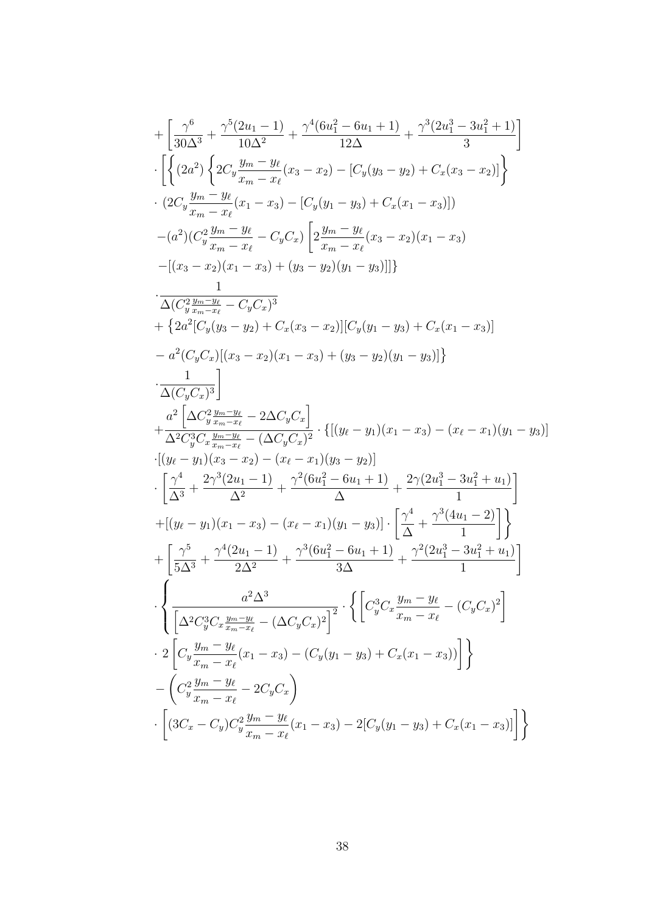$$
+\left[\frac{\gamma^{6}}{30\Delta^{3}}+\frac{\gamma^{5}(2u_{1}-1)}{10\Delta^{2}}+\frac{\gamma^{4}(6u_{1}^{2}-6u_{1}+1)}{12\Delta}+\frac{\gamma^{3}(2u_{1}^{3}-3u_{1}^{2}+1)}{3}\right] \cdot\left[\left\{(2a^{2})\left\{2C_{y}\frac{y_{m}-y_{\ell}}{x_{m}-x_{\ell}}(x_{3}-x_{2})-[C_{y}(y_{3}-y_{2})+C_{x}(x_{3}-x_{2})]\right\}\right. \\ \cdot (2C_{y}\frac{y_{m}-y_{\ell}}{x_{m}-x_{\ell}}(x_{1}-x_{3})-[C_{y}(y_{1}-y_{3})+C_{x}(x_{1}-x_{3})]) \\ - (a^{2})(C_{y}^{2}\frac{y_{m}-y_{\ell}}{x_{m}-x_{\ell}}-C_{y}C_{x})\left[2\frac{y_{m}-y_{\ell}}{x_{m}-x_{\ell}}(x_{3}-x_{2})(x_{1}-x_{3})\right. \\ \left. -[(x_{3}-x_{2})(x_{1}-x_{3})+(y_{3}-y_{2})(y_{1}-y_{3})]]\right\} \\ \cdot\frac{1}{\Delta(C_{y}^{2}\frac{y_{m}-y_{\ell}}{x_{m}-x_{\ell}}-C_{y}C_{x})^{3}} \\ +\left\{2a^{2}[C_{y}(y_{3}-y_{2})+C_{x}(x_{3}-x_{2})][C_{y}(y_{1}-y_{3})+C_{x}(x_{1}-x_{3})]\right.\right. \\ \cdot\frac{1}{\Delta(C_{y}C_{x})}\left[\frac{1}{(x_{3}-x_{2})(x_{1}-x_{3})+(y_{3}-y_{2})(y_{1}-y_{3})]\right\} \\ \cdot\frac{1}{\Delta(C_{y}C_{x})^{3}}\right] \\ -a^{2}\left[C_{y}C_{x}[(x_{3}-x_{2})(x_{1}-x_{3})+(y_{3}-y_{2})(y_{1}-y_{3})]\right\} \\ \cdot\frac{1}{\Delta(C_{y}C_{x})^{3}}\left. +\frac{a^{5}\left[\Delta C_{y}^{2}\frac{y_{m}-y_{\ell}}{x_{m}-x_{\ell}}-2\Delta C_{y}C_{x}\right]}{2\left\{2\left[(y_{\ell}-y_{1})(x_{1}-x_{3})-(x_{\ell}-x_{1})(y_{1}-y
$$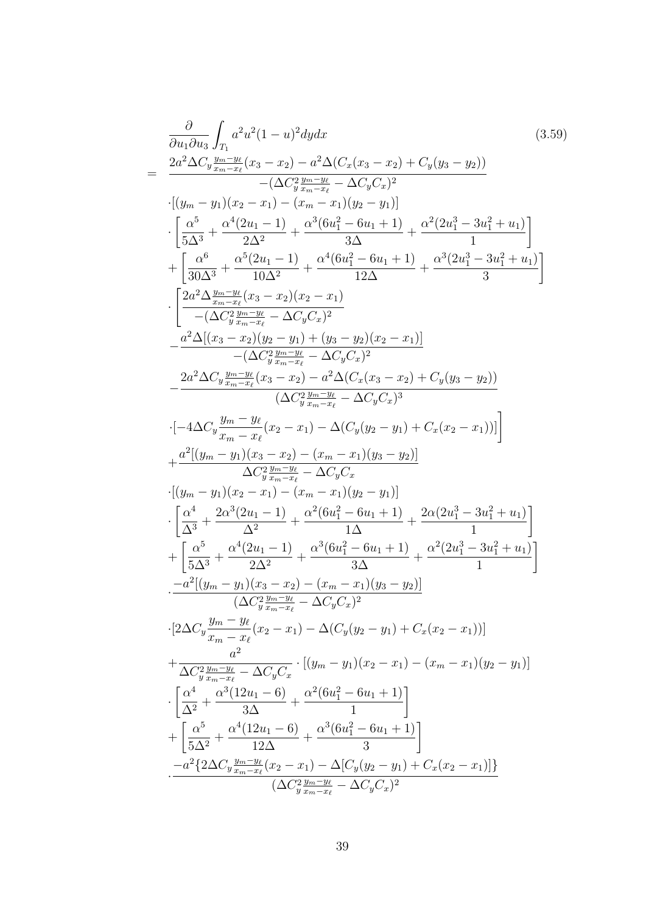$$
\frac{\partial}{\partial u_1 \partial u_3} \int_{T_1} a^2 u^2 (1 - u)^2 dy dx
$$
\n
$$
= \frac{2a^2 \Delta C_y \frac{y_{nm} - y_{\ell}}{z_m - z_{\ell}} (x_3 - x_2) - a^2 \Delta (C_x (x_3 - x_2) + C_y (y_3 - y_2))}{-(\Delta C_y^2 \frac{y_{nm} - y_{\ell}}{z_m - \Delta C_y C_x)^2}
$$
\n
$$
\cdot [(y_m - y_1)(x_2 - x_1) - (x_m - x_1)(y_2 - y_1)]
$$
\n
$$
\cdot \left[ \frac{\alpha^5}{3\Delta^3} + \frac{\alpha^4 (2u_1 - 1)}{2\Delta^2} + \frac{\alpha^3 (6u_1^2 - 6u_1 + 1)}{12\Delta} + \frac{\alpha^2 (2u_1^3 - 3u_1^2 + u_1)}{12}\right]
$$
\n
$$
+ \left[ \frac{\alpha^6}{30\Delta^3} + \frac{\alpha^5 (2u_1 - 1)}{10\Delta^2} + \frac{\alpha^4 (6u_1^2 - 6u_1 + 1)}{12\Delta} + \frac{\alpha^3 (2u_1^3 - 3u_1^2 + u_1)}{3} \right]
$$
\n
$$
\cdot \left[ \frac{2a^2 \Delta \frac{y_{nm} - y_{\ell}}{z_m - z_{\ell}} (x_3 - x_2)(x_2 - x_1)}{10\Delta^2} - \frac{a^2 \Delta ((x_3 - x_2)(y_2 - y_1) + (y_3 - y_2)(x_2 - x_1)}{12\Delta} - \frac{a^2 \Delta (C_y \frac{y_{nm} - y_{\ell}}{z_m - z_{\ell}} - \Delta C_y C_x)^2}{(\Delta C_y \frac{y_{nm} - y_{\ell}}{z_m - z_{\ell}} - \Delta C_y C_x)^3} - \frac{2a^2 \Delta C_y \frac{y_{nm} - y_{\ell}}{z_m - z_{\ell}} (x_2 - x_1) - \Delta (C_y (y_2 - y_1) + C_x (x_2 - x_1))]]
$$
\n
$$
+ \frac{a^2 [(y_m - y_1)(x_3 - x_2) - (x_m - x_1)(y_3 - y_2)]}{\Delta C_y^2 \frac{y_{nm} - y
$$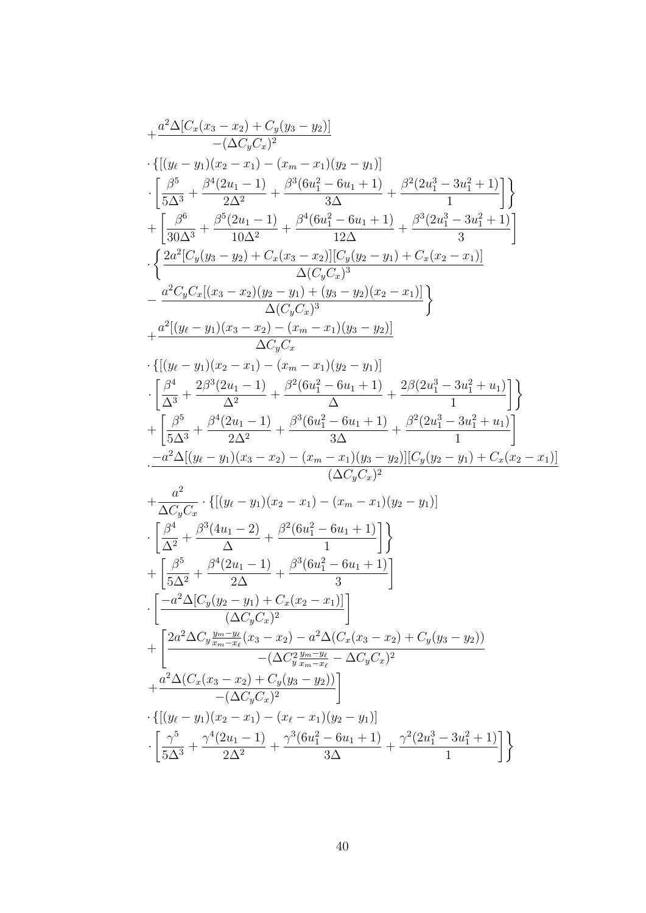$$
\begin{array}{l} +\frac{a^{2}\Delta[C_{x}(x_{3}-x_{2})+C_{y}(y_{3}-y_{2})]}{-(\Delta C_{y}C_{x})^{2}} \\ +\left\{[(y_{\ell}-y_{1})(x_{2}-x_{1})-(x_{m}-x_{1})(y_{2}-y_{1})\right] \\ +\left[\frac{\beta^{5}}{5\Delta^{3}}+\frac{\beta^{4}(2u_{1}-1)}{2\Delta^{2}}+\frac{\beta^{3}(6u_{1}^{2}-6u_{1}+1)}{3\Delta}+\frac{\beta^{2}(2u_{1}^{3}-3u_{1}^{2}+1)}{1}\right] \\ +\left[\frac{\beta^{6}}{30\Delta^{3}}+\frac{\beta^{5}(2u_{1}-1)}{10\Delta^{2}}+\frac{\beta^{4}(6u_{1}^{2}-6u_{1}+1)}{12\Delta}+\frac{\beta^{3}(2u_{1}^{3}-3u_{1}^{2}+1)}{3}\right] \\ +\left\{ \frac{2a^{2}[C_{y}(y_{3}-y_{2})+C_{x}(x_{3}-x_{2})][C_{y}(y_{2}-y_{1})+C_{x}(x_{2}-x_{1})]}{\Delta(C_{y}C_{x})^{3}}-\frac{a^{2}C_{y}C_{x}[(x_{3}-x_{2})(y_{2}-y_{1})+(y_{3}-y_{2})(x_{2}-x_{1})]}{\Delta(C_{y}C_{x})}\right\} \\ +\frac{a^{2}[(y_{\ell}-y_{1})(x_{3}-x_{2})-(x_{m}-x_{1})(y_{2}-y_{1})]}{\Delta C_{y}C_{x}} \\ +\left\{[\frac{\beta^{4}}{3}+\frac{2\beta^{3}(2u_{1}-1)}{\Delta^{2}}+\frac{\beta^{2}(6u_{1}^{2}-6u_{1}+1)}{\Delta}+\frac{2\beta(2u_{1}^{3}-3u_{1}^{2}+u_{1})}{1}\right]\right\} \\ +\left[\frac{\beta^{5}}{5\Delta^{3}}+\frac{\beta^{4}(2u_{1}-1)}{\Delta^{2}}+\frac{\beta^{3}(6u_{1}^{2}-6u_{1}+1)}{\Delta}+\frac{\beta^{2}(2u_{1}^{3}-3u_{1}^{2}+u_{1})}{1}\right] \\ -\frac{a^{2}\Delta[(y_{\ell}-y_{1})(x_{3}-x_{2})-(x_{m}-x_{1})(y_{3}-y_{2})][C_{y}(y_{2}-y_{1})+C_{x}(x_{2}-
$$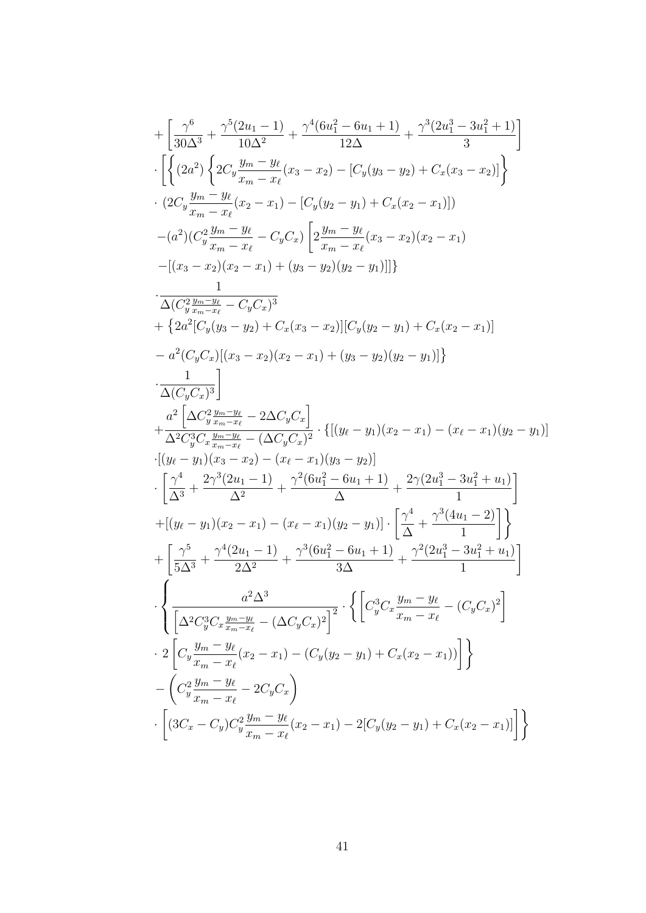$$
+ \left[ \frac{\gamma^6}{30\Delta^3} + \frac{\gamma^5 (2u_1 - 1)}{10\Delta^2} + \frac{\gamma^4 (6u_1^2 - 6u_1 + 1)}{12\Delta} + \frac{\gamma^3 (2u_1^3 - 3u_1^2 + 1)}{3} \right] \n\cdot \left[ \left\{ (2a^2) \left\{ 2C_y \frac{y_m - y_\ell}{x_m - x_\ell} (x_3 - x_2) - [C_y (y_3 - y_2) + C_x (x_3 - x_2)] \right\} \right. \n\left. (2C_y \frac{y_m - y_\ell}{x_m - x_\ell} (x_2 - x_1) - [C_y (y_2 - y_1) + C_x (x_2 - x_1)] \right) \n- (a^2) (C_y^2 \frac{y_m - y_\ell}{x_m - x_\ell} - C_y C_x) \left[ 2 \frac{y_m - y_\ell}{x_m - x_\ell} (x_3 - x_2) (x_2 - x_1) \right. \n- [(x_3 - x_2)(x_2 - x_1) + (y_3 - y_2)(y_2 - y_1)] ] \right\} \n\frac{1}{\Delta(C_y^2 \frac{y_m - y_\ell}{x_m - x_\ell} - C_y C_x)^3} \n+ \left\{ 2a^2 [C_y (y_3 - y_2) + C_x (x_3 - x_2)] [C_y (y_2 - y_1) + C_x (x_2 - x_1)] \right. \n- a^2 (C_y C_x) [(x_3 - x_2)(x_2 - x_1) + (y_3 - y_2)(y_2 - y_1)] \right\} \n\frac{1}{\Delta(C_y C_x)^3} \n+ \frac{1}{\Delta^2 C_y^3 C_x \frac{y_m - y_\ell}{x_m - x_\ell} - 2\Delta C_y C_x)} \cdot \left\{ [(y_\ell - y_1)(x_2 - x_1) - (x_\ell - x_1)(y_2 - y_1)] \right. \n\frac{1}{\Delta(C_y C_x)^3} - \frac{1}{\Delta(x_2 - x_2)} - (x_\ell - x_1)(y_3 - y_2)] \n+ [(y_\ell - y_1)(x_3 - x_2) - (x_\ell - x_1)(y_2 - y_1)] \cdot \left[ \frac{\gamma^4}{\Delta^4} + \frac
$$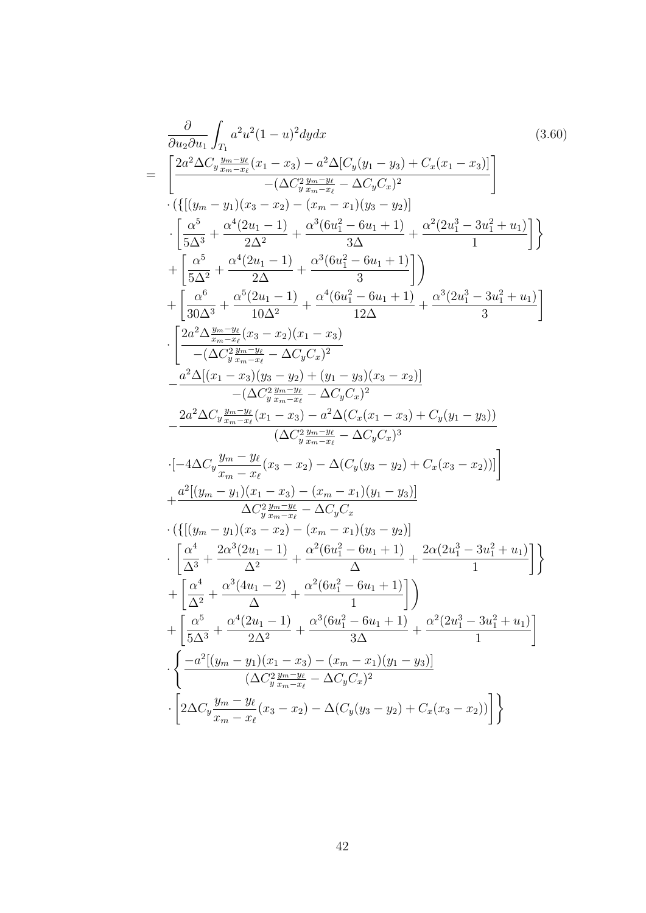$$
\frac{\partial}{\partial u_{2} \partial u_{1}} \int_{T_{1}} a^{2} u^{2} (1 - u)^{2} dy dx
$$
\n
$$
= \left[ \frac{2a^{2} \Delta C_{y} \frac{y_{m} - y_{\ell}}{x_{m} - x_{\ell}} (x_{1} - x_{3}) - a^{2} \Delta [C_{y}(y_{1} - y_{3}) + C_{x}(x_{1} - x_{3})] }{-(\Delta C_{y} \frac{y_{m} - x_{\ell}}{x_{m} - x_{\ell}} - \Delta C_{y} C_{x})^{2}} \right] \cdot \left( \left\{ \left\{ (y_{m} - y_{1})(x_{3} - x_{2}) - (x_{m} - x_{1})(y_{3} - y_{2}) \right\} \right\} \cdot \left\{ \frac{\alpha^{5}}{5\Delta^{3}} + \frac{\alpha^{4} (2u_{1} - 1)}{2\Delta^{2}} + \frac{\alpha^{3} (6u_{1}^{2} - 6u_{1} + 1)}{3\Delta} + \frac{\alpha^{2} (2u_{1}^{3} - 3u_{1}^{2} + u_{1}) }{1} \right\} \right\} + \left\{ \frac{\alpha^{6}}{3\Delta^{2}} + \frac{\alpha^{4} (2u_{1} - 1)}{2\Delta^{2}} + \frac{\alpha^{3} (6u_{1}^{2} - 6u_{1} + 1)}{3} \right\} + \left\{ \frac{\alpha^{6}}{30\Delta^{3}} + \frac{\alpha^{5} (2u_{1} - 1)}{10\Delta^{2}} + \frac{\alpha^{4} (6u_{1}^{2} - 6u_{1} + 1)}{12\Delta} + \frac{\alpha^{3} (2u_{1}^{3} - 3u_{1}^{2} + u_{1}) }{3} \right\} \cdot \left\{ \frac{2a^{2} \Delta \frac{y_{m} - y_{\ell}}{x_{m} - x_{\ell}} (x_{3} - x_{2})(x_{1} - x_{3})}{-(\Delta C_{y} \frac{y_{m} - y_{\ell}}{x_{m} - x_{\ell}} - \Delta C_{y} C_{x})^{2}} - \frac{a^{2} \Delta [(x_{1} - x_{3})(y_{3} - y_{2}) + (y_{1} - y_{3})(x_{3} - x_{2})]}{-(\Delta C_{y} \frac{y_{m} - y_{\ell}}{x_{m} - x_{\ell}} - \
$$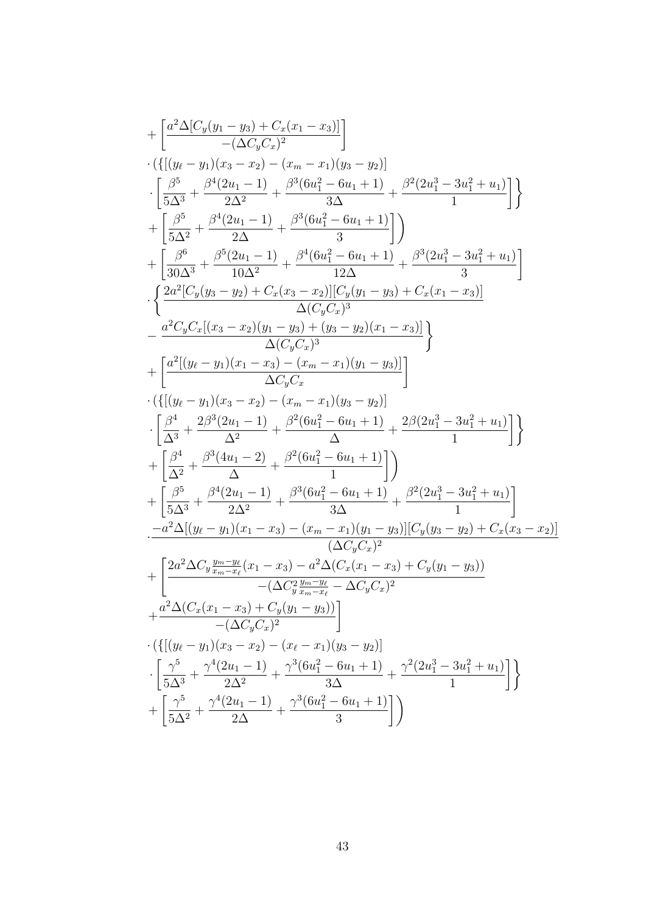$$
+ \left[ \frac{a^2 \Delta[C_y(y_1-y_3)+C_x(x_1-x_3)]}{-(\Delta C_y C_x)^2} \right] \cdot \left\{ \left[ \frac{(y_t-y_1)(x_3-x_2)-(x_m-x_1)(y_3-y_2)}{2\Delta^2} \right] \right. \\ \left. + \left[ \frac{\beta^5}{5\Delta^3} + \frac{\beta^4(2u_1-1)}{2\Delta^2} + \frac{\beta^3(6u_1^2-6u_1+1)}{3\Delta} + \frac{\beta^2(2u_1^3-3u_1^2+u_1)}{1} \right] \right\} \\ + \left[ \frac{\beta^6}{5\Delta^2} + \frac{\beta^4(2u_1-1)}{2\Delta} + \frac{\beta^3(6u_1^2-6u_1+1)}{3} \right] \right) \\ + \left[ \frac{\beta^6}{30\Delta^3} + \frac{\beta^5(2u_1-1)}{10\Delta^2} + \frac{\beta^4(6u_1^2-6u_1+1)}{12\Delta} + \frac{\beta^3(2u_1^3-3u_1^2+u_1)}{3} \right] \\ \cdot \left\{ \frac{2a^2[C_y(y_3-y_2)+C_x(x_3-x_2)][C_y(y_1-y_3)+C_x(x_1-x_3)]}{\Delta(C_y C_x)^3} \right. \\ \left. - \frac{a^2C_yC_x[(x_3-x_2)(y_1-y_3)- (y_3-y_3)(x_1-x_3)]}{\Delta C_y C_x} \right\} \\ + \left[ \frac{a^4[(y_\ell-y_1)(x_1-x_3)-(x_m-x_1)(y_3-y_2)]}{\Delta C_y C_x} \right. \\ \cdot \left\{ \left[ \frac{\beta^4}{\Delta^3} + \frac{2\beta^3(2u_1-1)}{\Delta^2} + \frac{\beta^2(6u_1^2-6u_1+1)}{\Delta} + \frac{2\beta(2u_1^3-3u_1^2+u_1)}{1} \right] \right\} \\ + \left[ \frac{\beta^5}{\Delta^3} + \frac{\beta^4(2u_1-1)}{\Delta^2} + \frac{\beta^2(6u_1^2-6u_1+1)}{\Delta} \right] \left. \right) \\ - \frac{a^2\Delta[(y_\ell-y_1)(x_1-x_3)-a^2\Delta(C_x(x_1-x_3)+C_y
$$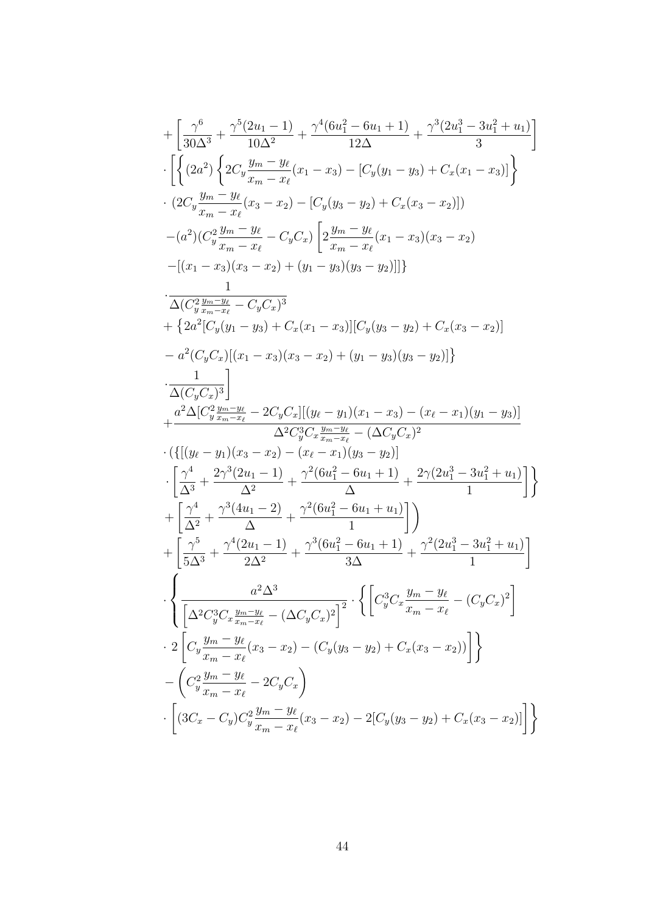$$
+ \left[ \frac{\gamma^6}{30\Delta^3} + \frac{\gamma^5(2u_1-1)}{10\Delta^2} + \frac{\gamma^4(6u_1^2-6u_1+1)}{12\Delta} + \frac{\gamma^3(2u_1^3-3u_1^2+u_1)}{3} \right]
$$
  
\n
$$
\cdot \left[ \left\{ (2a^2) \left\{ 2C_y \frac{y_m-y_\ell}{x_m-x_\ell}(x_1-x_3) - [C_y(y_1-y_3) + C_x(x_1-x_3)] \right\} \right\}
$$
  
\n
$$
\cdot (2C_y \frac{y_m-y_\ell}{x_m-x_\ell}(x_3-x_2) - [C_y(y_3-y_2) + C_x(x_3-x_2)] )
$$
  
\n
$$
- (a^2) (C_y^2 \frac{y_m-y_\ell}{x_m-x_\ell} - C_y C_x) \left[ 2\frac{y_m-y_\ell}{x_m-x_\ell}(x_1-x_3)(x_3-x_2) - [(x_1-x_3)(x_3-x_2) + (y_1-y_3)(y_3-y_2)] ] \right\}
$$
  
\n
$$
\cdot \frac{1}{\Delta(C_y^2 \frac{y_m-y_\ell}{x_m-x_\ell} - C_y C_x)^3}
$$
  
\n
$$
+ \left\{ 2a^2 [C_y(y_1-y_3) + C_x(x_1-x_3)][C_y(y_3-y_2) + C_x(x_3-x_2)] - a^2 (C_y C_x)[(x_1-x_3)(x_3-x_2) + (y_1-y_3)(y_3-y_2)] \right\}
$$
  
\n
$$
+ \frac{a^2 \Delta [C_y^2 \frac{y_m}{x_m-x_\ell} - 2C_y C_x][(y_\ell-y_1)(x_1-x_3) - (x_\ell-x_1)(y_1-y_3)]}{\Delta^2 C_y^3 C_x \frac{y_m-y_\ell}{x_m-x_\ell} - (\Delta C_y C_x)^2}
$$
  
\n
$$
\cdot \left\{ \frac{\gamma^4}{(\Delta^3} + \frac{2\gamma^3(2u_1-1)}{\Delta^2} + \frac{\gamma^2(6u_1^2-6u_1+1)}{\Delta^2} + \frac{2\gamma(2u_1^3-3u_1^2+u_1)}{1} \right\}
$$
  
\n
$$
+ \left[ \frac{\gamma^5}{\Delta^3
$$

 $44\phantom{.}$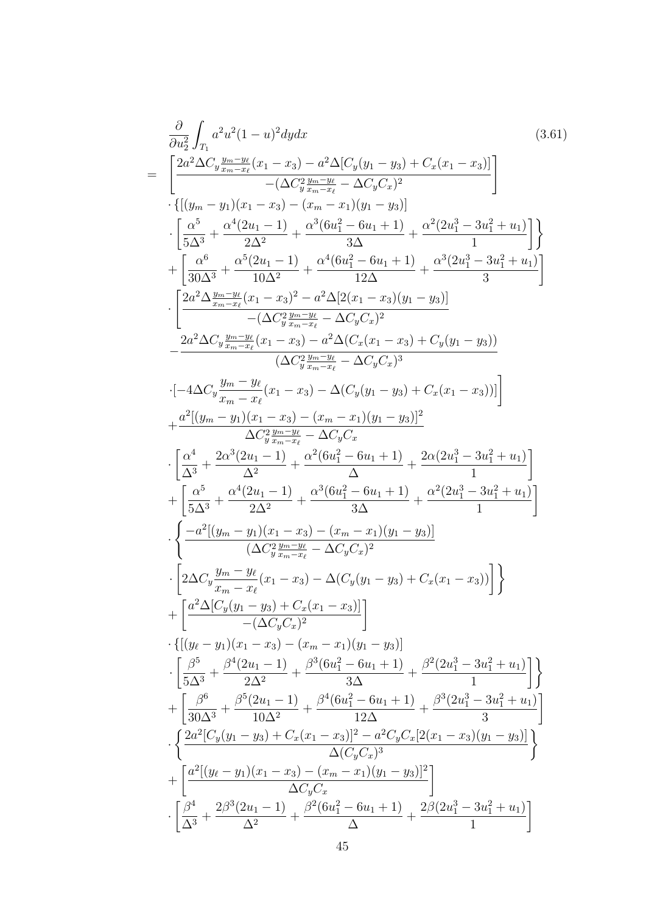$$
\frac{\partial}{\partial u_2^2} \int_{T_1} a^2 u^2 (1-u)^2 dy dx
$$
\n
$$
= \left[ \frac{2a^2 \Delta C_y \frac{y_{m} - y_k}{z_{m} - x_l} (x_1 - x_3) - a^2 \Delta [C_y(y_1 - y_3) + C_x(x_1 - x_3)]}{-(\Delta C_y \frac{y_{m} - y_k}{z_{m} - x_l} - \Delta C_y C_x)^2} \right]
$$
\n
$$
\cdot \left[ \frac{(y_m - y_1)(x_1 - x_3) - (x_m - x_1)(y_1 - y_3)}{5\Delta^3} + \frac{\alpha^4 (2u_1 - 1)}{1} + \frac{\alpha^3 (6u_1^2 - 6u_1 + 1)}{3\Delta} + \frac{\alpha^2 (2u_1^3 - 3u_1^2 + u_1)}{1} \right]
$$
\n
$$
+ \left[ \frac{\alpha^6}{30\Delta^3} + \frac{\alpha^5 (2u_1 - 1)}{10\Delta^2} + \frac{\alpha^4 (6u_1^2 - 6u_1 + 1)}{12\Delta} + \frac{\alpha^3 (2u_1^3 - 3u_1^2 + u_1)}{3} \right]
$$
\n
$$
\cdot \left[ \frac{2a^2 \Delta \frac{y_{m} - y_k}{z_{m} - x_k} (x_1 - x_3)^2 - a^2 \Delta [2(x_1 - x_3)(y_1 - y_3)]}{-(\Delta C_y \frac{y_{m} - y_k}{z_{m} - x_k} - \Delta C_y C_x)^2} \right]
$$
\n
$$
- \frac{2a^2 \Delta C_y \frac{y_{m} - y_k}{z_{m} - x_k} (x_1 - x_3) - a^2 \Delta (C_x(x_1 - x_3) + C_y(y_1 - y_3))}{(\Delta C_y \frac{y_{m} - y_k} - \Delta C_y C_x)^3}
$$
\n
$$
\cdot [-4\Delta C_y \frac{y_m - y_k}{x_m - x_k} (x_1 - x_3) - \Delta (C_y(y_1 - y_3) + C_x(x_1 - x_3))]]
$$
\n
$$
+ \frac{a^2 [(y_m - y_1)(x_1 - x_3) - (x_m - x_1)(y_1 - y_3)]^2}{\Delta C_y^2 \frac{y_{m} - y_k} - \Delta C_y C
$$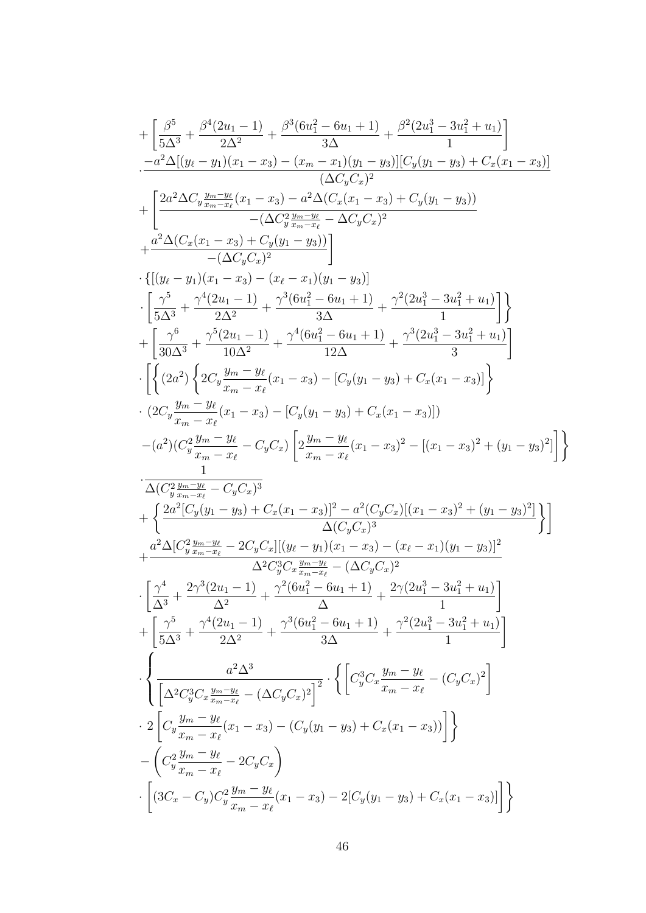$$
+ \left[ \frac{\beta^5}{5 \Delta^3} + \frac{\beta^4 (2u_1-1)}{2 \Delta^2} + \frac{\beta^3 (6u_1^2-6u_1+1)}{\Delta \Delta} + \frac{\beta^2 (2u_1^3-3u_1^2+u_1)}{1} \right] -a^2 \Delta [(y_\ell-y_1)(x_1-x_3)-(x_m-x_1)(y_1-y_3)][C_y(y_1-y_3)+C_x(x_1-x_3)] + \left[ \frac{2 a^2 \Delta C_y \frac{y_m-y_\ell}{x_m-x_\ell}(x_1-x_3)-\alpha^2 \Delta (C_x(x_1-x_3)+C_y(y_1-y_3))}{(\Delta C_y(x_1)-y_3)} \right. \\ \left. + \frac{a^2 \Delta (C_x(x_1-x_3)+C_y(y_1-y_3))}{-(\Delta C_y C_x)^2} \right]\\ + \left. \frac{(x_1-y_1)(x_1-x_3)-(x_\ell-x_1)(y_1-y_3)]}{2 \Delta^2} + \frac{\gamma^4 (6u_1^2-6u_1+1)}{3 \Delta} + \frac{\gamma^2 (2u_1^3-3u_1^2+u_1)}{1} \right] \right\}\\ + \left[ \frac{\gamma^5}{3 \Delta^3} + \frac{\gamma^4 (2u_1-1)}{2 \Delta^2} + \frac{\gamma^4 (6u_1^2-6u_1+1)}{3 \Delta} + \frac{\gamma^2 (2u_1^3-3u_1^2+u_1)}{1} \right] \right\}\\ + \left. \left[ \frac{\gamma^5}{3 \Delta^3} + \frac{\gamma^5 (2u_1-1)}{10 \Delta^2} + \frac{\gamma^4 (6u_1^2-6u_1+1)}{12 \Delta} + \frac{\gamma^3 (2u_1^3-3u_1^2+u_1)}{3} \right] \right. \\ \left. \left. \left( \left(2a^2 \right) \left\{ 2C_y \frac{y_m-y_\ell}{x_m-x_\ell}(x_1-x_3)-\left[ C_y(y_1-y_3)+C_x(x_1-x_3) \right] \right\}\\ - (a^2) (C_y^2 \frac{y_m-y_\ell}{x_m-x_\ell} - C_y C_x) \left[ 2 \frac{y_m-y_\ell}{x_m-x_\ell}(x_1-x_3)^2 - \left[ (x_1-x_3)^2 + (y_1-y_3)^2 \right] \right
$$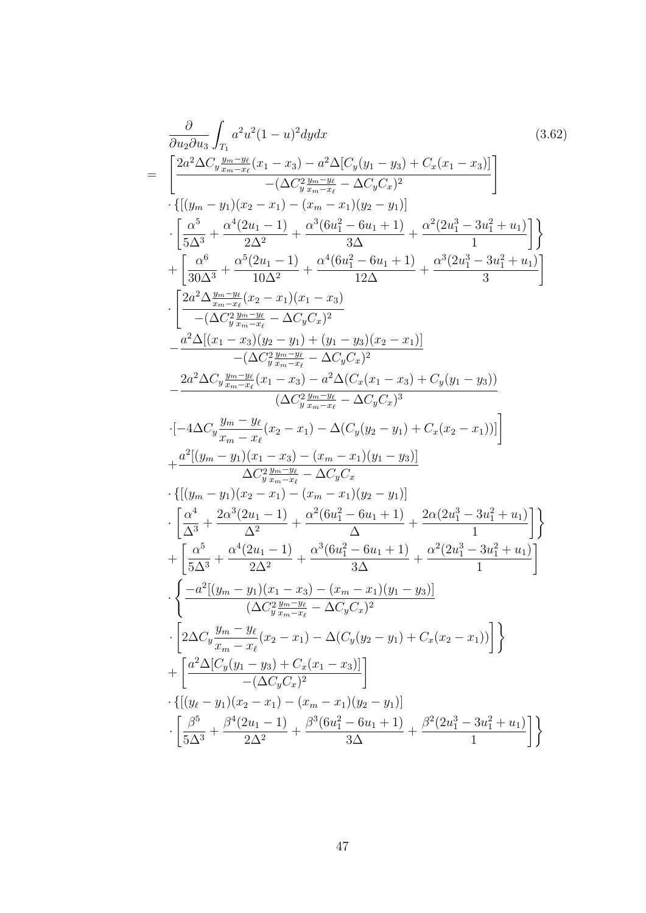$$
\frac{\partial}{\partial u_{2} \partial u_{3}} \int_{T_{1}} a^{2} u^{2} (1 - u)^{2} dy dx
$$
\n
$$
= \left[ \frac{2a^{2} \Delta C_{y} \frac{y_{m} - y_{\ell}}{s_{m} - x_{\ell}} (x_{1} - x_{3}) - a^{2} \Delta [C_{y}(y_{1} - y_{3}) + C_{x}(x_{1} - x_{3})] }{-(\Delta C_{y} \frac{y_{m} - x_{\ell}}{s_{m} - x_{\ell}} - \Delta C_{y} C_{x})^{2}} \right] \cdot \left\{ \left[ (y_{m} - y_{1})(x_{2} - x_{1}) - (x_{m} - x_{1})(y_{2} - y_{1}) \right] \right\} \cdot \left[ \frac{\alpha^{5}}{5\Delta^{3}} + \frac{\alpha^{4} (2u_{1} - 1)}{2\Delta^{2}} + \frac{\alpha^{3} (6u_{1}^{2} - 6u_{1} + 1)}{3\Delta} + \frac{\alpha^{2} (2u_{1}^{3} - 3u_{1}^{2} + u_{1}) }{1} \right] \right\} \cdot \left[ \frac{2a^{2} \Delta \frac{y_{m} - y_{\ell}}{s_{m} - x_{\ell}} (x_{2} - x_{1})(x_{1} - x_{3})}{10\Delta^{2}} + \frac{\alpha^{4} (6u_{1}^{2} - 6u_{1} + 1)}{12\Delta} + \frac{\alpha^{3} (2u_{1}^{3} - 3u_{1}^{2} + u_{1}) }{3} \right] \cdot \left[ \frac{2a^{2} \Delta \frac{y_{m} - y_{\ell}}{s_{m} - x_{\ell}} (x_{2} - x_{1})(x_{1} - x_{3})}{(\Delta C_{y} \frac{y_{m} - y_{\ell}}{s_{m} - x_{\ell}} - \Delta C_{y} C_{x})^{2}} - \frac{a^{2} \Delta [x_{1} - x_{3})(y_{2} - y_{1}) + (y_{1} - y_{3})(x_{2} - x_{1})]}{-(\Delta C_{y} \frac{y_{m} - y_{\ell}}{s_{m} - x_{\ell}} - \Delta C_{y} C_{x})^{2}} - \frac{2a^{2} \Delta C_{y} \frac{y_{m} - y_{\ell}}{s_{m} - x_{\ell}} (x_{1} - x_{3}) - a^{2} \Delta (
$$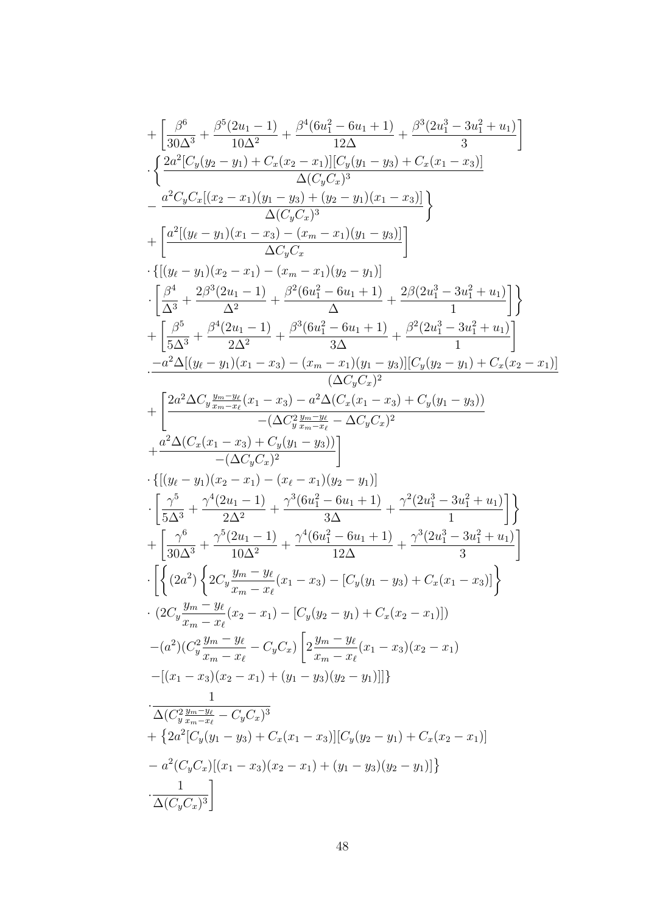$$
+ \left[ \frac{\beta^6}{30\Delta^3} + \frac{\beta^5 (2u_1 - 1)}{10\Delta^2} + \frac{\beta^4 (6u_1^2 - 6u_1 + 1)}{12\Delta} + \frac{\beta^3 (2u_1^3 - 3u_1^2 + u_1)}{3} \right] \\ - \frac{2u^2 [C_y(y_2 - y_1) + C_x(x_2 - x_1)][C_y(y_1 - y_3) + C_x(x_1 - x_3)]}{\Delta (C_y C_y)^3} \\ + \frac{u^2 (y_\ell - y_1)(x_1 - x_3) - (y_\ell - y_1)(x_1 - x_3)]}{\Delta (C_y C_x)} \right\}\\ + \left[ \frac{\alpha^2 [(y_\ell - y_1)(x_1 - x_3) - (x_m - x_1)(y_1 - y_3)]}{\Delta x_y} \right]\\ - \frac{(\beta^4}{\Delta^3} + \frac{2\beta^3 (2u_1 - 1)}{\Delta^2} + \frac{\beta^2 (6u_1^2 - 6u_1 + 1)}{\Delta} + \frac{2\beta (2u_1^3 - 3u_1^2 + u_1)}{1}}{\Delta x} \right]\\ + \left[ \frac{\beta^5}{5\Delta^3} + \frac{\beta^4 (2u_1 - 1)}{2\Delta^2} + \frac{\beta^3 (6u_1^2 - 6u_1 + 1)}{\Delta} + \frac{\beta^2 (2u_1^3 - 3u_1^2 + u_1)}{1}}{\Delta x} \right]\\ - \frac{-a^2 \Delta [(y_\ell - y_1)(x_1 - x_3) - (x_m - x_1)(y_1 - y_3)][C_y(y_2 - y_1) + C_x(x_2 - x_1)]}{(\Delta C_y C_x)^2} \\ + \frac{u^2 \Delta (C_x(x_1 - x_3) + C_y(y_1 - y_3))}{-(\Delta C_y^2 \frac{y_m - y_\ell}{\Delta x} - \Delta C_y C_x)^2} \\ + \frac{u^2 \Delta (C_x(x_1 - x_3) + C_y(y_1 - y_3))}{-(\Delta C_y^2 \frac{y_m - y_\ell}{\Delta x} - \Delta C_y C_x)^2} \\ + \frac{u^2 \Delta (C_x(x_1 - x_3) + C_y(y_1 - y_3))}{-(\Delta C_y^2 \frac{y_m - y_\ell}{\Delta x} - \Delta C_y C_x)^2} \\ + \left[ \frac{2^{6
$$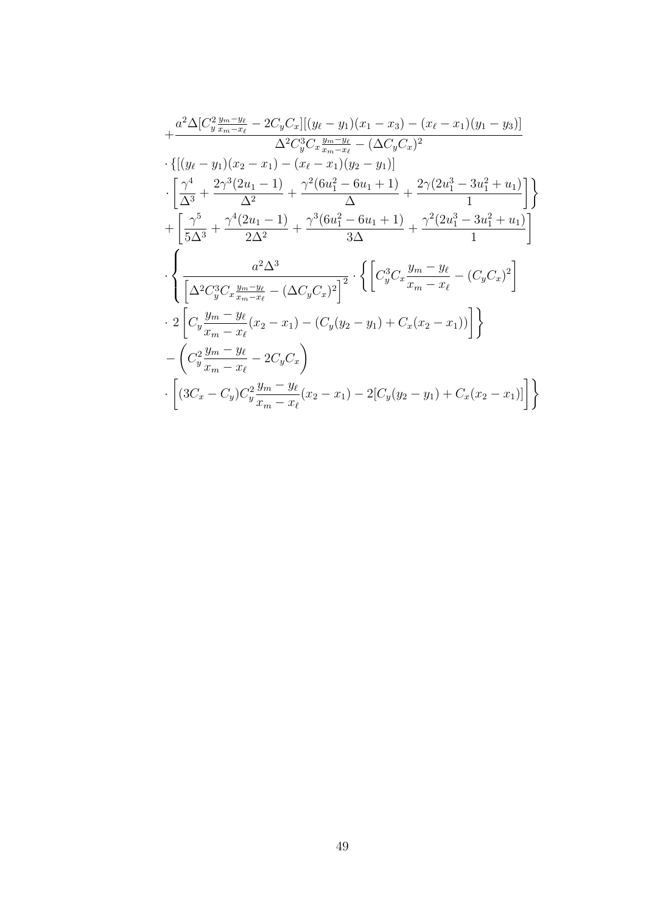$$
+\frac{a^2\Delta[C_y^2\frac{y_m-y_\ell}{x_m-x_\ell}-2C_yC_x][(y_\ell-y_1)(x_1-x_3)-(x_\ell-x_1)(y_1-y_3)]}{\Delta^2C_y^3C_x\frac{y_m-y_\ell}{x_m-x_\ell}-\Delta C_yC_x)^2}\cdot\{[(y_\ell-y_1)(x_2-x_1)-(x_\ell-x_1)(y_2-y_1)]\}\cdot\left[\frac{\gamma^4}{\Delta^3}+\frac{2\gamma^3(2u_1-1)}{\Delta^2}+\frac{\gamma^2(6u_1^2-6u_1+1)}{\Delta}+\frac{2\gamma(2u_1^3-3u_1^2+u_1)}{1}\right]\}\n+\left[\frac{\gamma^5}{5\Delta^3}+\frac{\gamma^4(2u_1-1)}{2\Delta^2}+\frac{\gamma^3(6u_1^2-6u_1+1)}{3\Delta}+\frac{\gamma^2(2u_1^3-3u_1^2+u_1)}{1}\right]\n\cdot\left[\frac{a^2\Delta^3}{\Delta^2C_y^3C_x\frac{y_m-y_\ell}{x_m-x_\ell}-\left(\Delta C_yC_x\right)^2}\right]^2}\cdot\left\{\left[C_y^3C_x\frac{y_m-y_\ell}{x_m-x_\ell}-\left(C_yC_x\right)^2\right]\right]\n\cdot 2\left[C_y\frac{y_m-y_\ell}{x_m-x_\ell}(x_2-x_1)-(C_y(y_2-y_1)+C_x(x_2-x_1))\right]\n- \left(C_y^2\frac{y_m-y_\ell}{x_m-x_\ell}-2C_yC_x\right)\n\cdot \left[(3C_x-C_y)C_y^2\frac{y_m-y_\ell}{x_m-x_\ell}(x_2-x_1)-2[C_y(y_2-y_1)+C_x(x_2-x_1)]\right]\n\right\}
$$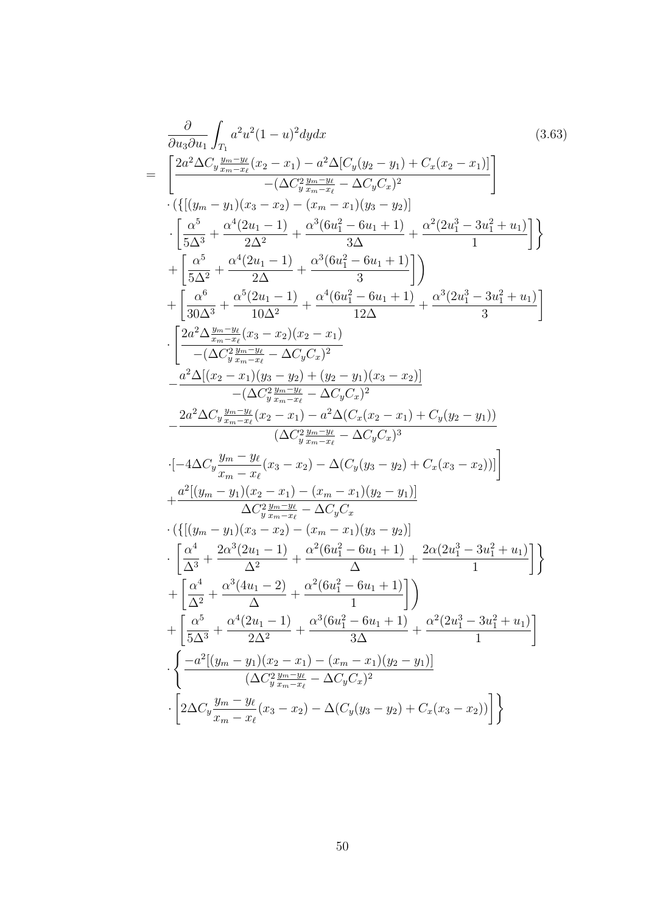$$
\frac{\partial}{\partial u_3 \partial u_1} \int_{T_1} a^2 u^2 (1 - u)^2 dy dx
$$
\n
$$
= \left[ \frac{2a^2 \Delta C_y \frac{y_{m} - y_{\ell}}{y_{m} - x_{\ell}} (x_2 - x_1) - a^2 \Delta [C_y (y_2 - y_1) + C_x (x_2 - x_1)]}{-(\Delta C_y \frac{y_{m} - x_{\ell}}{y_{m} - x_{\ell}} - \Delta C_y C_x)^2} \right] \cdot \left( \left\{ [(y_m - y_1)(x_3 - x_2) - (x_m - x_1)(y_3 - y_2)] \right\} \right] \cdot \left[ \frac{\alpha^5}{5\Delta^3} + \frac{\alpha^4 (2u_1 - 1)}{2\Delta^2} + \frac{\alpha^3 (6u_1^2 - 6u_1 + 1)}{3\Delta} + \frac{\alpha^2 (2u_1^3 - 3u_1^2 + u_1)}{1} \right] \right\} + \left[ \frac{\alpha^6}{3\Delta^2} + \frac{\alpha^4 (2u_1 - 1)}{2\Delta} + \frac{\alpha^3 (6u_1^2 - 6u_1 + 1)}{3} \right] \cdot \left[ \frac{2a^2 \Delta \frac{y_{m} - y_{\ell}}{x_{m} - x_{\ell}} (x_2 - x_2 - x_1)}{10\Delta^2} \right]
$$
\n
$$
+ \left[ \frac{\alpha^6}{30\Delta^3} + \frac{\alpha^5 (2u_1 - 1)}{10\Delta^2} + \frac{\alpha^4 (6u_1^2 - 6u_1 + 1)}{12\Delta} + \frac{\alpha^3 (2u_1^3 - 3u_1^2 + u_1)}{3} \right] \cdot \left[ \frac{2a^2 \Delta \frac{y_{m} - y_{\ell}}{x_{m} - x_{\ell}} (x_3 - x_2)(x_2 - x_1)}{-(\Delta C_y \frac{y_{m} - y_{\ell}}{y_{m} - x_{\ell}} - \Delta C_y C_x)^2} - \frac{a^2 \Delta [(x_2 - x_1)(y_3 - y_{m} - 1)(x_2 - y_1)(x_3 - x_2)]}{-(\Delta C_y \frac{y_{m} - y_{\ell}}{y_{m} - x_{\ell}} - \Delta C_y C_x)^3} - \frac{2a^2 \Delta C
$$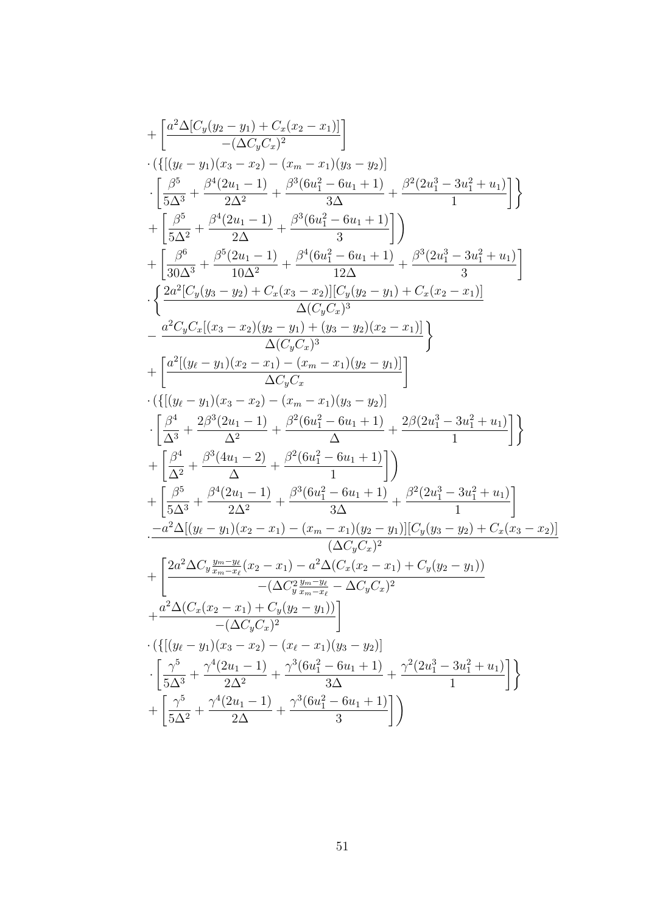$$
+ \left[ \frac{a^2 \Delta [C_y(y_2 - y_1) + C_x(x_2 - x_1)]}{-\Delta C_y C_x \bigr)^2} \right] \cdot \left\{ \left[ \frac{(y_t - y_1)(x_3 - x_2) - (x_m - x_1)(y_3 - y_2)}{2 \Delta^2} \right] \right. \\ \left. + \left[ \frac{\beta^5}{5 \Delta^3} + \frac{\beta^4 (2u_1 - 1)}{2 \Delta^2} + \frac{\beta^3 (6u_1^2 - 6u_1 + 1)}{3 \Delta} + \frac{\beta^2 (2u_1^3 - 3u_1^2 + u_1)}{1} \right] \right\} \\ + \left[ \frac{\beta^6}{5 \Delta^2} + \frac{\beta^4 (2u_1 - 1)}{2 \Delta} + \frac{\beta^3 (6u_1^2 - 6u_1 + 1)}{3} \right] \right) \\ + \left[ \frac{\beta^6}{30 \Delta^3} + \frac{\beta^5 (2u_1 - 1)}{10 \Delta^2} + \frac{\beta^4 (6u_1^2 - 6u_1 + 1)}{12 \Delta} + \frac{\beta^3 (2u_1^3 - 3u_1^2 + u_1)}{3} \right] \\ \cdot \left\{ \frac{2a^2 [C_y(y_3 - y_2) + C_x(x_3 - x_2)][C_y(y_2 - y_1) + C_x(x_2 - x_1)]}{\Delta (C_y C_x)^3} \right. \\ \left. - \frac{a^2 C_y C_x [(x_3 - x_2)(y_2 - y_1) + (y_3 - y_2)(x_2 - x_1)]}{\Delta C_y C_x} \right\} \\ + \left[ \frac{a^4 [(y_\ell - y_1)(x_2 - x_1) - (x_m - x_1)(y_2 - y_1)]}{\Delta C_y C_x} \right] \\ \cdot \left[ \frac{\beta^4}{\Delta^3} + \frac{2\beta^3 (2u_1 - 1)}{\Delta^2} + \frac{\beta^2 (6u_1^2 - 6u_1 + 1)}{\Delta} + \frac{2\beta (2u_1^3 - 3u_1^2 + u_1)}{1} \right] \right\} \\ + \left[ \frac{\beta^5}{\Delta^3} + \frac{\beta^4 (2u_1 - 1)}{\Delta^2} + \frac{\beta^2 (6u_1^2 - 6u_1 + 1)}{\Delta} + \frac{\beta
$$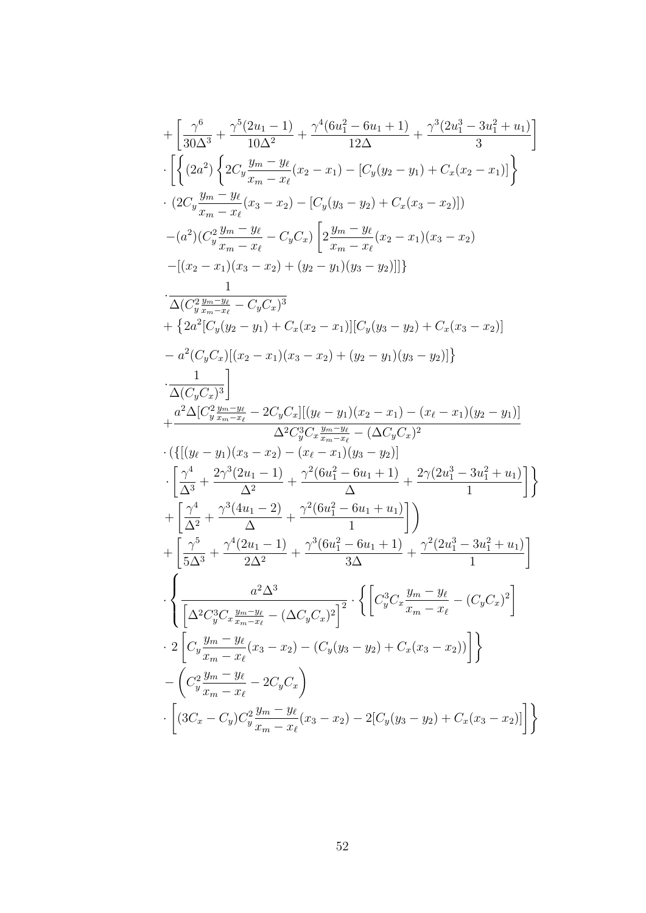$$
+ \left[ \frac{\gamma^6}{30\Delta^3} + \frac{\gamma^5(2u_1-1)}{10\Delta^2} + \frac{\gamma^4(6u_1^2-6u_1+1)}{12\Delta} + \frac{\gamma^3(2u_1^3-3u_1^2+u_1)}{3} \right]
$$
  
\n
$$
\cdot \left[ \left\{ (2a^2) \left\{ 2C_y \frac{y_m-y_\ell}{x_m-x_\ell}(x_2-x_1) - [C_y(y_2-y_1) + C_x(x_2-x_1)] \right\} \right\}
$$
  
\n
$$
\cdot (2C_y \frac{y_m-y_\ell}{x_m-x_\ell}(x_3-x_2) - [C_y(y_3-y_2) + C_x(x_3-x_2)] )
$$
  
\n
$$
- (a^2) (C_y^2 \frac{y_m-y_\ell}{x_m-x_\ell} - C_y C_x) \left[ 2\frac{y_m-y_\ell}{x_m-x_\ell}(x_2-x_1)(x_3-x_2) - [(x_2-x_1)(x_3-x_2) + (y_2-y_1)(y_3-y_2)] ] \right\}
$$
  
\n
$$
\cdot \frac{1}{\Delta(C_y^2 \frac{y_m-y_\ell}{x_m-x_\ell} - C_y C_x)^3}
$$
  
\n
$$
+ \left\{ 2a^2 [C_y(y_2-y_1) + C_x(x_2-x_1)][C_y(y_3-y_2) + C_x(x_3-x_2)] - a^2 (C_y C_x)[(x_2-x_1)(x_3-x_2) + (y_2-y_1)(y_3-y_2)] \right\}
$$
  
\n
$$
+ \frac{a^2 \Delta [C_y^2 \frac{y_m}{x_m-x_\ell} - 2C_y C_x][(y_\ell-y_1)(x_2-x_1) - (x_\ell-x_1)(y_2-y_1)]}{\Delta^2 C_y^3 C_x \frac{y_m-y_\ell}{x_m-x_\ell} - (\Delta C_y C_x)^2}
$$
  
\n
$$
\cdot \left\{ \frac{\gamma^4}{(\Delta^3} + \frac{2\gamma^3(2u_1-1)}{\Delta^2} + \frac{\gamma^2(6u_1^2-6u_1+1)}{\Delta^2} + \frac{2\gamma(2u_1^3-3u_1^2+u_1)}{1} \right\}
$$
  
\n
$$
+ \left[ \frac{\gamma^5}{\Delta^3}
$$

 $52\,$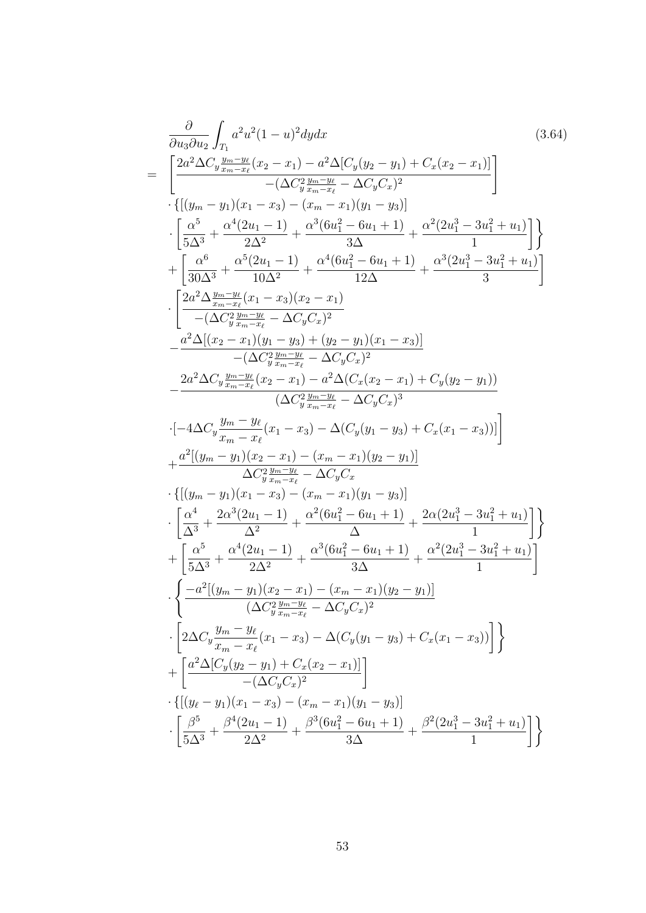$$
\frac{\partial}{\partial u_{3} \partial u_{2}} \int_{T_{1}} a^{2} u^{2} (1 - u)^{2} dy dx
$$
\n
$$
= \left[ \frac{2a^{2} \Delta C_{y} \frac{y_{m} - y_{\ell}}{s_{m} - x_{\ell}} (x_{2} - x_{1}) - a^{2} \Delta [C_{y}(y_{2} - y_{1}) + C_{x}(x_{2} - x_{1}) ]}{-(\Delta C_{y}^{2} \frac{y_{m} - x_{\ell}}{s_{m} - x_{\ell}} - \Delta C_{y} C_{x})^{2}} \right] \cdot \left[ \frac{\alpha^{5}}{5\Delta^{3}} + \frac{\alpha^{4} (2u_{1} - 1)}{2\Delta^{2}} + \frac{\alpha^{3} (6u_{1}^{2} - 6u_{1} + 1)}{3\Delta} + \frac{\alpha^{2} (2u_{1}^{3} - 3u_{1}^{2} + u_{1})}{1} \right] \right\}
$$
\n
$$
+ \left[ \frac{\alpha^{6}}{30\Delta^{3}} + \frac{\alpha^{6} (2u_{1} - 1)}{10\Delta^{2}} + \frac{\alpha^{4} (6u_{1}^{2} - 6u_{1} + 1)}{12\Delta} + \frac{\alpha^{3} (2u_{1}^{3} - 3u_{1}^{2} + u_{1})}{3} \right]
$$
\n
$$
+ \left[ \frac{2a^{2} \Delta \frac{y_{m} - y_{\ell}}{s_{m} - x_{\ell}} (x_{1} - x_{3})(x_{2} - x_{1})}{10\Delta^{2}} + \frac{\alpha^{4} (6u_{1}^{2} - 6u_{1} + 1)}{12\Delta} + \frac{\alpha^{3} (2u_{1}^{3} - 3u_{1}^{2} + u_{1})}{3} \right]
$$
\n
$$
- \left[ \frac{2a^{2} \Delta \frac{y_{m} - y_{\ell}}{s_{m} - x_{\ell}} (x_{1} - x_{3})(x_{2} - x_{1})}{\Delta \Delta^{2} \frac{y_{m} - y_{\ell}}{s_{m} - x_{\ell}} - \Delta C_{y} C_{x} \right] \right]
$$
\n
$$
- \frac{2a^{2} \Delta C_{y} \frac{y_{m} - y_{\ell}}{s_{m} - x_{\ell}} (x_{2} - x_{1}) - a^{2
$$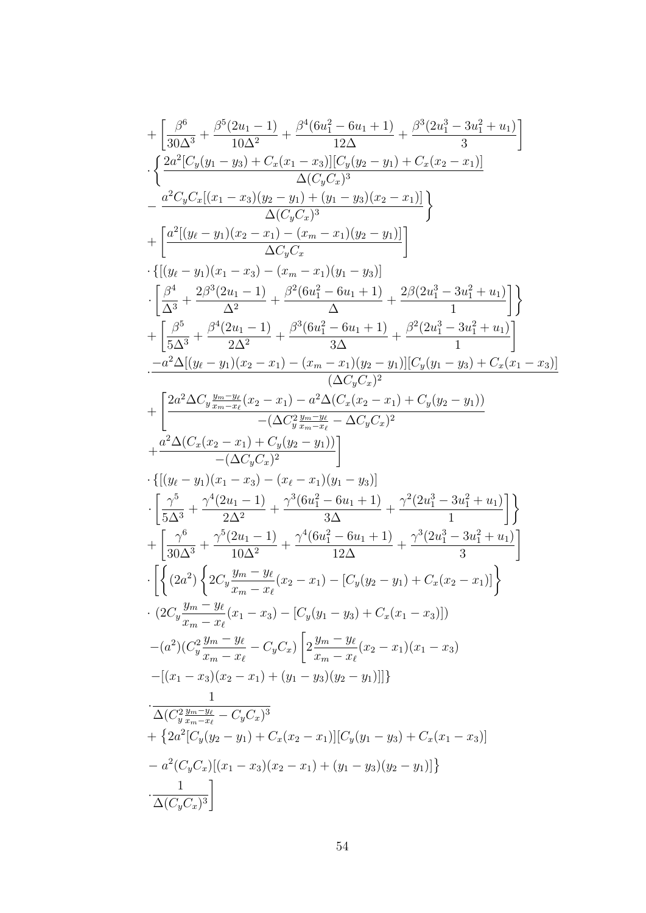$$
+ \left[ \frac{\beta^6}{30\Delta^3} + \frac{\beta^5 (2u_1 - 1)}{10\Delta^2} + \frac{\beta^4 (6u_1^2 - 6u_1 + 1)}{12\Delta} + \frac{\beta^3 (2u_1^3 - 3u_1^2 + u_1)}{3} \right]
$$
  
\n
$$
\cdot \left\{ \frac{2a^2 [C_y(y_1 - y_3) + C_x(x_1 - x_3)] (y_y(y_2 - y_1) + C_x(x_2 - x_1)]}{\Delta (C_y C_x)^3} \right\}
$$
  
\n
$$
+ \left[ \frac{a^2 [(y_\ell - y_1)(x_2 - x_1) - (y_m - x_1)(y_2 - y_1)]}{\Delta (C_y C_x)^3} \right]
$$
  
\n
$$
+ \left[ \frac{a^2 [(y_\ell - y_1)(x_2 - x_1) - (x_m - x_1)(y_2 - y_1)]}{\Delta x_y} \right]
$$
  
\n
$$
\cdot \left[ \frac{\beta^4}{\Delta^3} + \frac{2\beta^3 (2u_1 - 1)}{\Delta^2} + \frac{\beta^2 (6u_1^2 - 6u_1 + 1)}{\Delta} + \frac{2\beta (2u_1^3 - 3u_1^2 + u_1)}{1} \right]
$$
  
\n
$$
+ \left[ \frac{\beta^5}{5\Delta^3} + \frac{\beta^4 (2u_1 - 1)}{2\Delta^2} + \frac{\beta^3 (6u_1^2 - 6u_1 + 1)}{\Delta} + \frac{\beta^2 (2u_1^3 - 3u_1^2 + u_1)}{1} \right]
$$
  
\n
$$
- \frac{a^2 \Delta [(y_\ell - y_1)(x_2 - x_1) - (x_m - x_1)(y_2 - y_1)][C_y(y_1 - y_3) + C_x(x_1 - x_3)]}{\Delta (2\Delta x \frac{y_2 - y_2}{2\Delta^2} + \frac{\alpha^2 \Delta C_x (x_2 - x_1) + C_y(y_2 - y_1)}{1} \right]
$$
  
\n
$$
+ \left[ \frac{2a^2 \Delta C_y \frac{y_{m} - y_\ell}{x_{m-x_\ell}} (x_2 - x_1) - a^2 \Delta (C_x (x_2 - x_1) + C_y(y_2 - y_
$$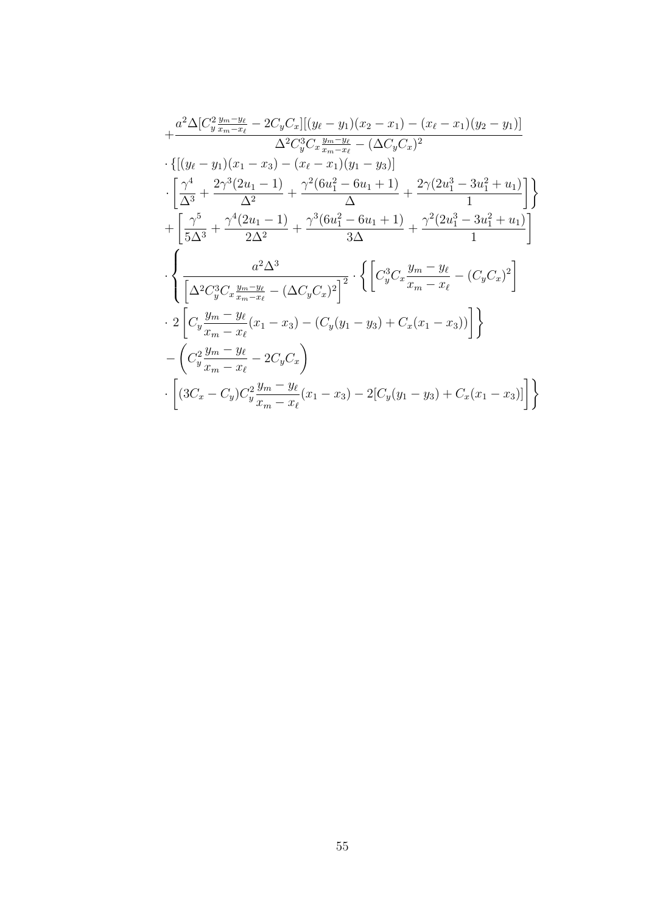$$
+\frac{a^2\Delta[C_y^2\frac{y_m-y_\ell}{x_m-x_\ell}-2C_yC_x][(y_\ell-y_1)(x_2-x_1)-(x_\ell-x_1)(y_2-y_1)]}{\Delta^2C_y^3C_x\frac{y_m-y_\ell}{x_m-x_\ell}-(\Delta C_yC_x)^2}
$$
\n
$$
\cdot\{[(y_\ell-y_1)(x_1-x_3)-(x_\ell-x_1)(y_1-y_3)]\}
$$
\n
$$
\cdot\left[\frac{\gamma^4}{\Delta^3}+\frac{2\gamma^3(2u_1-1)}{\Delta^2}+\frac{\gamma^2(6u_1^2-6u_1+1)}{\Delta}+\frac{2\gamma(2u_1^3-3u_1^2+u_1)}{1}\right]\}
$$
\n
$$
+\left[\frac{\gamma^5}{5\Delta^3}+\frac{\gamma^4(2u_1-1)}{2\Delta^2}+\frac{\gamma^3(6u_1^2-6u_1+1)}{3\Delta}+\frac{\gamma^2(2u_1^3-3u_1^2+u_1)}{1}\right]
$$
\n
$$
\cdot\left{\frac{a^2\Delta^3}{\left[\Delta^2C_y^3C_x\frac{y_m-y_\ell}{x_m-x_\ell}-(\Delta C_yC_x)^2\right]^2}\cdot\left\{\left[C_y^3C_x\frac{y_m-y_\ell}{x_m-x_\ell}-(C_yC_x)^2\right]\right.\right.
$$
\n
$$
\cdot 2\left[C_y\frac{y_m-y_\ell}{x_m-x_\ell}(x_1-x_3)-(C_y(y_1-y_3)+C_x(x_1-x_3))\right]\}
$$
\n
$$
-\left(C_y^2\frac{y_m-y_\ell}{x_m-x_\ell}-2C_yC_x\right)
$$
\n
$$
\cdot\left[(3C_x-C_y)C_y^2\frac{y_m-y_\ell}{x_m-x_\ell}(x_1-x_3)-2[C_y(y_1-y_3)+C_x(x_1-x_3)]\right]\right\}
$$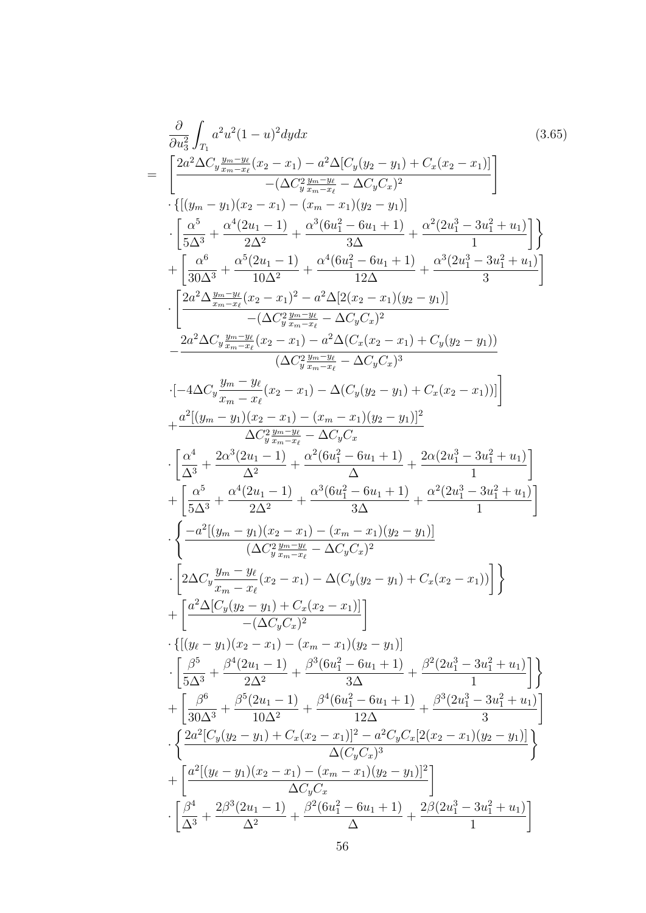$$
\frac{\partial}{\partial u_3^2} \int_{T_1} a^2 u^2 (1-u)^2 dy dx
$$
\n
$$
= \left[ \frac{2a^2 \Delta C_y \frac{y_m - y_x}{x_m - x_\ell} (x_2 - x_1) - a^2 \Delta [C_y(y_2 - y_1) + C_x(x_2 - x_1)]}{-(\Delta C_y^2 \frac{y_m - y_\ell}{x_m - x_\ell} - \Delta C_y C_x)^2} \right]
$$
\n
$$
\cdot \left[ \frac{\alpha^5}{5\Delta^3} + \frac{\alpha^4 (2u_1 - 1)}{\Delta^2} + \frac{\alpha^3 (6u_1^2 - 6u_1 + 1)}{\Delta^2} + \frac{\alpha^2 (2u_1^3 - 3u_1^2 + u_1)}{1} \right]
$$
\n
$$
+ \left[ \frac{\alpha^6}{30\Delta^3} + \frac{\alpha^5 (2u_1 - 1)}{10\Delta^2} + \frac{\alpha^4 (6u_1^2 - 6u_1 + 1)}{12\Delta} + \frac{\alpha^3 (2u_1^3 - 3u_1^2 + u_1)}{3} \right]
$$
\n
$$
+ \left[ \frac{\alpha^4 \Delta \frac{y_m - y_\ell}{x_m - x_\ell} (x_2 - x_1)^2 - a^2 \Delta [2(x_2 - x_1)(y_2 - y_1)]}{-(\Delta C_y^2 \frac{y_m - y_\ell}{x_m - x_\ell} - \Delta C_y C_x)^2} \right]
$$
\n
$$
- \frac{2a^2 \Delta C_y \frac{y_m - y_\ell}{x_m - x_\ell} (x_2 - x_1) - a^2 \Delta (C_x(x_2 - x_1) + C_y(y_2 - y_1))}{(\Delta C_y^2 \frac{y_m - y_\ell}{x_m - x_\ell} - \Delta C_y C_x)^3}
$$
\n
$$
\cdot [-4\Delta C_y \frac{y_m - y_\ell}{x_m - x_\ell} (x_2 - x_1) - \Delta (C_y(y_2 - y_1) + C_x(x_2 - x_1))]]
$$
\n
$$
+ \frac{a^2 [(y_m - y_1)(x_2 - x_1) - (x_m - x_1)(y_2 - y_1)]^2}{\Delta C_y^2 \frac{x_m - y_\ell}{x_m - x_\ell} - \Delta C_y C_x}
$$
\n
$$
\cdot \left[ \frac{\alpha^
$$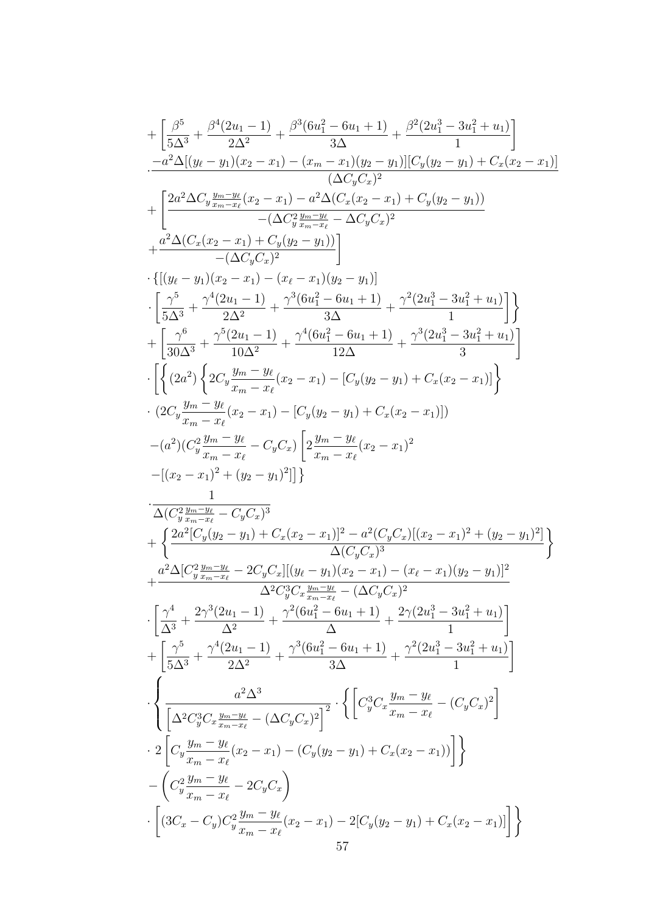$$
+\left[\frac{\beta^5}{5\Delta^3}+\frac{\beta^4(2u_1-1)}{2\Delta^2}+\frac{\beta^3(6u_1^2-6u_1+1)}{3\Delta}+\frac{\beta^2(2u_1^3-3u_1^2+u_1)}{1}\right]\\-\frac{-a^2\Delta[(y_{\ell}-y_1)(x_2-x_1)-(x_{m}-x_1)(y_2-y_1)][C_y(y_2-y_1)+C_x(x_2-x_1)]}{(\Delta C_yC_x)^2} \\+\left[\frac{2a^2\Delta C_y\frac{y_m-y_\ell}{x_m-x_\ell}(x_2-x_1)-a^2\Delta(C_x(x_2-x_1)+C_y(y_2-y_1))}{-(\Delta C_y^2\frac{y_m-y_\ell}{x_2}-\Delta C_yC_x)^2}\right]\\+\frac{a^2\Delta(C_x(x_2-x_1)+C_y(y_2-y_1)]}{-(\Delta C_yC_x)^2} \\+\frac{a^2\Delta(C_x(x_2-x_1)+C_y(y_2-y_1)]}{(\Delta\Delta^3}+\frac{\gamma^5(2u_1-1)}{2\Delta^2}+\frac{\gamma^3(6u_1^2-6u_1+1)}{3\Delta}+\frac{\gamma^3(2u_1^3-3u_1^2+u_1)}{1}\right]\\+\left[\frac{\gamma^5}{30\Delta^3}+\frac{\gamma^5(2u_1-1)}{2\Delta^2}+\frac{\gamma^4(6u_1^2-6u_1+1)}{3\Delta}+\frac{\gamma^3(2u_1^3-3u_1^2+u_1)}{1}\right]\\-\left\{ \left\{(2a^2)\left\{2C_y\frac{y_m-y_\ell}{x_m-x_\ell}(x_2-x_1)-[C_y(y_2-y_1)+C_x(x_2-x_1)]\right\}\right.\\-\left. (2C_y\frac{y_m-y_\ell}{x_m-x_\ell}(x_2-x_1)-[C_y(y_2-y_1)+C_x(x_2-x_1)]\right\} \\-\frac{(a^2)(C_y^2\frac{y_m-y_\ell}{x_m-x_\ell}-C_yC_x)\left[2\frac{y_m-y_\ell}{x_m-x_\ell}(x_2-x_1)^2\right]}{2\Delta(C_y^2\frac{y_m-y_\ell}{x_m-x_\ell}-C_yC_x)^3} \\+\left\{ \frac{2a^2[C_y(y_2-y_1)+C_x(x_2-y_1)^2- a^2(C_yC_x)((x_2-x_1)^2+(y_2-y_1
$$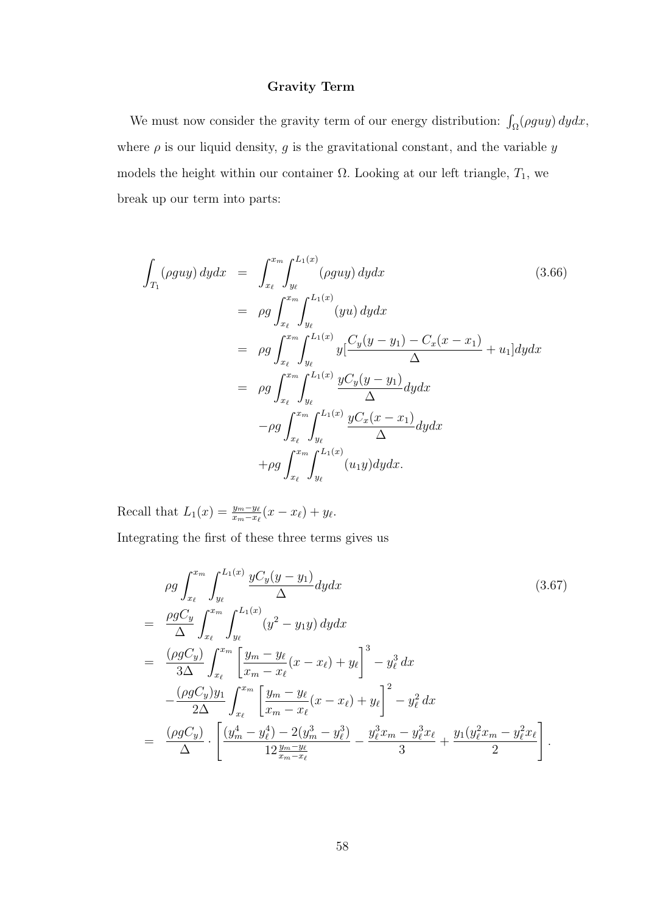## Gravity Term

We must now consider the gravity term of our energy distribution:  $\int_{\Omega} (\rho g u y) dy dx$ , where  $\rho$  is our liquid density,  $g$  is the gravitational constant, and the variable  $y$ models the height within our container  $\Omega$ . Looking at our left triangle,  $T_1$ , we break up our term into parts:

$$
\int_{T_1} (\rho g u y) \, dy dx = \int_{x_\ell}^{x_m} \int_{y_\ell}^{L_1(x)} (\rho g u y) \, dy dx \qquad (3.66)
$$
\n
$$
= \rho g \int_{x_\ell}^{x_m} \int_{y_\ell}^{L_1(x)} (yu) \, dy dx
$$
\n
$$
= \rho g \int_{x_\ell}^{x_m} \int_{y_\ell}^{L_1(x)} y \left[ \frac{C_y(y - y_1) - C_x(x - x_1)}{\Delta} + u_1 \right] dy dx
$$
\n
$$
= \rho g \int_{x_\ell}^{x_m} \int_{y_\ell}^{L_1(x)} \frac{y C_y(y - y_1)}{\Delta} dy dx
$$
\n
$$
- \rho g \int_{x_\ell}^{x_m} \int_{y_\ell}^{L_1(x)} \frac{y C_x(x - x_1)}{\Delta} dy dx
$$
\n
$$
+ \rho g \int_{x_\ell}^{x_m} \int_{y_\ell}^{L_1(x)} (u_1 y) dy dx.
$$
\n(3.66)

Recall that  $L_1(x) = \frac{y_m - y_\ell}{x_m - x_\ell}(x - x_\ell) + y_\ell$ . Integrating the first of these three terms gives us

$$
\rho g \int_{x_{\ell}}^{x_{m}} \int_{y_{\ell}}^{L_{1}(x)} \frac{yC_{y}(y-y_{1})}{\Delta} dy dx
$$
\n
$$
= \frac{\rho g C_{y}}{\Delta} \int_{x_{\ell}}^{x_{m}} \int_{y_{\ell}}^{L_{1}(x)} (y^{2} - y_{1}y) dy dx
$$
\n
$$
= \frac{(\rho g C_{y})}{3\Delta} \int_{x_{\ell}}^{x_{m}} \left[ \frac{y_{m} - y_{\ell}}{x_{m} - x_{\ell}} (x - x_{\ell}) + y_{\ell} \right]^{3} - y_{\ell}^{3} dx
$$
\n
$$
- \frac{(\rho g C_{y}) y_{1}}{2\Delta} \int_{x_{\ell}}^{x_{m}} \left[ \frac{y_{m} - y_{\ell}}{x_{m} - x_{\ell}} (x - x_{\ell}) + y_{\ell} \right]^{2} - y_{\ell}^{2} dx
$$
\n
$$
= \frac{(\rho g C_{y})}{\Delta} \cdot \left[ \frac{(y_{m}^{4} - y_{\ell}^{4}) - 2(y_{m}^{3} - y_{\ell}^{3})}{12 \frac{y_{m} - y_{\ell}}{x_{m} - x_{\ell}}} - \frac{y_{\ell}^{3} x_{m} - y_{\ell}^{3} x_{\ell}}{3} + \frac{y_{1} (y_{\ell}^{2} x_{m} - y_{\ell}^{2} x_{\ell}}{2} \right].
$$
\n(3.67)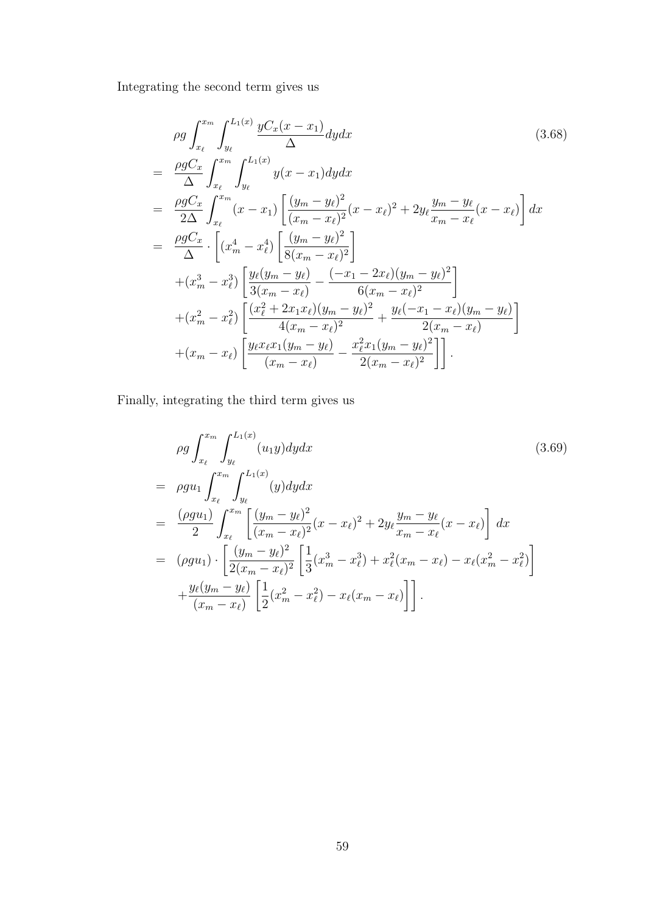Integrating the second term gives us

$$
\rho g \int_{x_{\ell}}^{x_{m}} \int_{y_{\ell}}^{L_{1}(x)} \frac{yC_{x}(x - x_{1})}{\Delta} dy dx
$$
\n
$$
= \frac{\rho g C_{x}}{\Delta} \int_{x_{\ell}}^{x_{m}} \int_{y_{\ell}}^{L_{1}(x)} y(x - x_{1}) dy dx
$$
\n
$$
= \frac{\rho g C_{x}}{2\Delta} \int_{x_{\ell}}^{x_{m}} (x - x_{1}) \left[ \frac{(y_{m} - y_{\ell})^{2}}{(x_{m} - x_{\ell})^{2}} (x - x_{\ell})^{2} + 2y_{\ell} \frac{y_{m} - y_{\ell}}{x_{m} - x_{\ell}} (x - x_{\ell}) \right] dx
$$
\n
$$
= \frac{\rho g C_{x}}{\Delta} \cdot \left[ (x_{m}^{4} - x_{\ell}^{4}) \left[ \frac{(y_{m} - y_{\ell})^{2}}{8(x_{m} - x_{\ell})^{2}} \right] + (x_{m}^{3} - x_{\ell}^{3}) \left[ \frac{y_{\ell}(y_{m} - y_{\ell})}{3(x_{m} - x_{\ell})} - \frac{(-x_{1} - 2x_{\ell})(y_{m} - y_{\ell})^{2}}{6(x_{m} - x_{\ell})^{2}} \right] + (x_{m}^{2} - x_{\ell}^{2}) \left[ \frac{(x_{\ell}^{2} + 2x_{1}x_{\ell})(y_{m} - y_{\ell})^{2}}{4(x_{m} - x_{\ell})^{2}} + \frac{y_{\ell}(-x_{1} - x_{\ell})(y_{m} - y_{\ell})}{2(x_{m} - x_{\ell})} \right] + (x_{m} - x_{\ell}) \left[ \frac{y_{\ell}x_{\ell}x_{1}(y_{m} - y_{\ell})}{(x_{m} - x_{\ell})} - \frac{x_{\ell}^{2}x_{1}(y_{m} - y_{\ell})^{2}}{2(x_{m} - x_{\ell})^{2}} \right].
$$
\n(10.10)

Finally, integrating the third term gives us

$$
\rho g \int_{x_{\ell}}^{x_{m}} \int_{y_{\ell}}^{L_{1}(x)} (u_{1}y) dy dx
$$
\n
$$
= \rho g u_{1} \int_{x_{\ell}}^{x_{m}} \int_{y_{\ell}}^{L_{1}(x)} (y) dy dx
$$
\n
$$
= \frac{(\rho g u_{1})}{2} \int_{x_{\ell}}^{x_{m}} \left[ \frac{(y_{m} - y_{\ell})^{2}}{(x_{m} - x_{\ell})^{2}} (x - x_{\ell})^{2} + 2 y_{\ell} \frac{y_{m} - y_{\ell}}{x_{m} - x_{\ell}} (x - x_{\ell}) \right] dx
$$
\n
$$
= (\rho g u_{1}) \cdot \left[ \frac{(y_{m} - y_{\ell})^{2}}{2(x_{m} - x_{\ell})^{2}} \left[ \frac{1}{3} (x_{m}^{3} - x_{\ell}^{3}) + x_{\ell}^{2} (x_{m} - x_{\ell}) - x_{\ell} (x_{m}^{2} - x_{\ell}^{2}) \right] + \frac{y_{\ell}(y_{m} - y_{\ell})}{(x_{m} - x_{\ell})} \left[ \frac{1}{2} (x_{m}^{2} - x_{\ell}^{2}) - x_{\ell} (x_{m} - x_{\ell}) \right] \right].
$$
\n(3.69)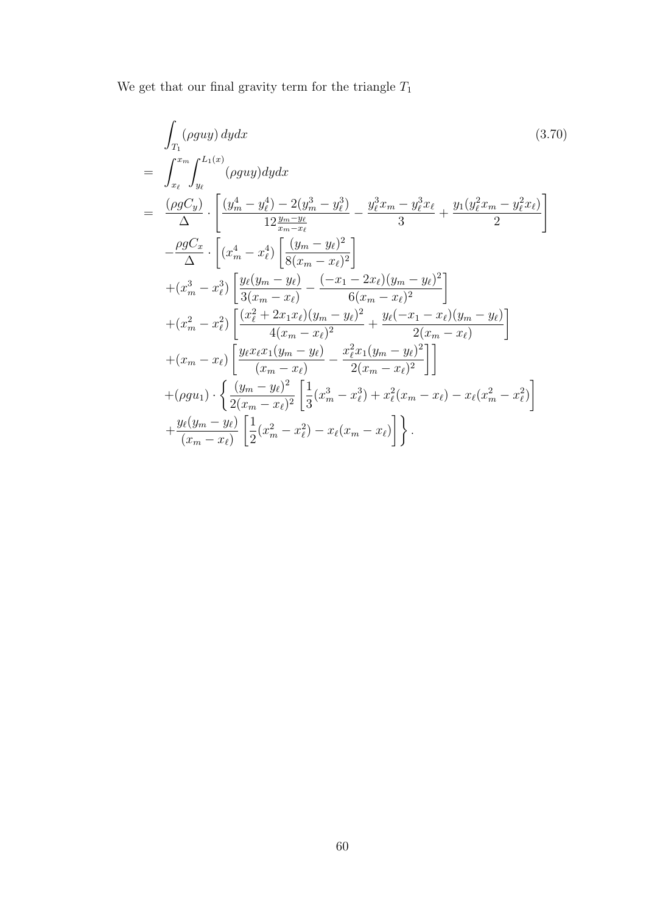We get that our final gravity term for the triangle  $\mathcal{T}_1$ 

$$
\int_{T_1} (\rho g u y) \, dy dx \qquad (3.70)
$$
\n
$$
= \int_{x_{\ell}}^{x_m} \int_{y_{\ell}}^{L_1(x)} (\rho g u y) \, dy dx
$$
\n
$$
= \frac{(\rho g C_y)}{\Delta} \cdot \left[ \frac{(y_m^4 - y_\ell^4) - 2(y_m^3 - y_\ell^3)}{12 \frac{y_m - y_\ell}{m - x_\ell}} - \frac{y_\ell^3 x_m - y_\ell^3 x_\ell}{3} + \frac{y_1 (y_\ell^2 x_m - y_\ell^2 x_\ell)}{2} \right]
$$
\n
$$
- \frac{\rho g C_x}{\Delta} \cdot \left[ (x_m^4 - x_\ell^4) \left[ \frac{(y_m - y_\ell)^2}{8(x_m - x_\ell)^2} \right] + (x_m^3 - x_\ell^3) \left[ \frac{y_\ell (y_m - y_\ell)}{3(x_m - x_\ell)} - \frac{(-x_1 - 2x_\ell)(y_m - y_\ell)^2}{6(x_m - x_\ell)^2} \right] + (x_m^2 - x_\ell^2) \left[ \frac{(x_\ell^2 + 2x_1 x_\ell)(y_m - y_\ell)^2}{4(x_m - x_\ell)^2} + \frac{y_\ell (-x_1 - x_\ell)(y_m - y_\ell)}{2(x_m - x_\ell)} \right]
$$
\n
$$
+ (x_m - x_\ell) \left[ \frac{y_\ell x_\ell x_1 (y_m - y_\ell)}{(x_m - x_\ell)} - \frac{x_\ell^2 x_1 (y_m - y_\ell)^2}{2(x_m - x_\ell)^2} \right] + (\rho g u_1) \cdot \left\{ \frac{(y_m - y_\ell)^2}{2(x_m - x_\ell)^2} \left[ \frac{1}{3} (x_m^3 - x_\ell^3) + x_\ell^2 (x_m - x_\ell) - x_\ell (x_m^2 - x_\ell^2) \right] + \frac{y_\ell (y_m - y_\ell)}{(x_m - x_\ell)} \left[ \frac{1}{2} (x_m^2 - x_\ell^2) - x_\ell (x_m - x_\ell) \right] \right\}.
$$
\n
$$
(3.70)
$$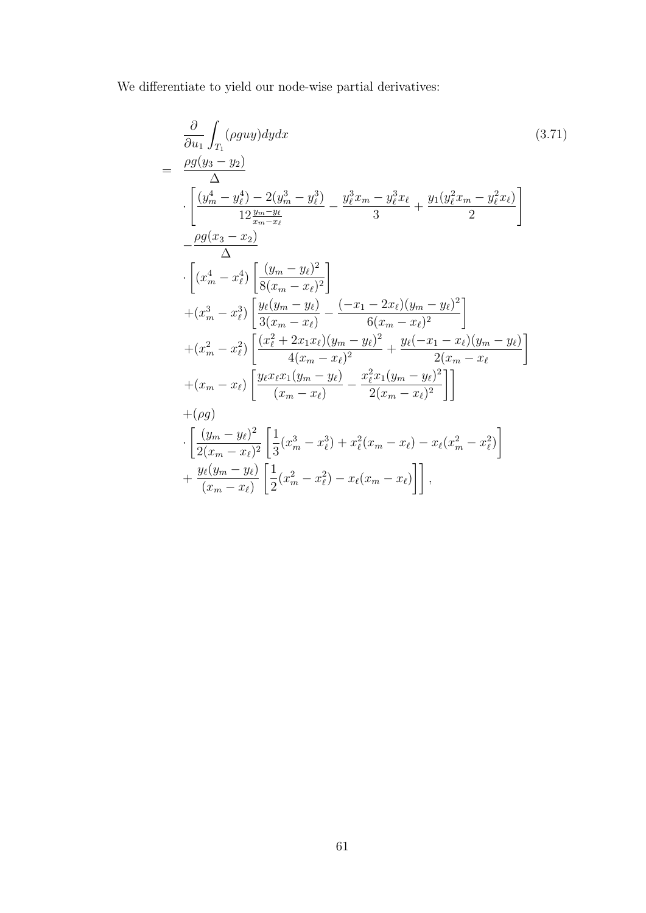We differentiate to yield our node-wise partial derivatives:

$$
\frac{\partial}{\partial u_1} \int_{T_1} (\rho g u y) dy dx \qquad (3.71)
$$
\n
$$
= \frac{\rho g(y_3 - y_2)}{\left[\frac{(y_m^4 - y_\ell^4) - 2(y_m^3 - y_\ell^3)}{12 \frac{y_{m} - y_\ell}{x_{m} - x_\ell}} - \frac{y_\ell^3 x_m - y_\ell^3 x_\ell}{3} + \frac{y_1 (y_\ell^2 x_m - y_\ell^2 x_\ell)}{2}\right]}
$$
\n
$$
- \frac{\rho g(x_3 - x_2)}{\Delta} \qquad \frac{\Delta}{\Delta} \cdot \left[ (x_m^4 - x_\ell^4) \left[ \frac{(y_m - y_\ell)^2}{8(x_m - x_\ell)^2} \right] + (x_m^3 - x_\ell^3) \left[ \frac{y_\ell (y_m - y_\ell)}{3(x_m - x_\ell)} - \frac{(-x_1 - 2x_\ell)(y_m - y_\ell)^2}{6(x_m - x_\ell)^2} \right] + (x_m^2 - x_\ell^2) \left[ \frac{(x_\ell^2 + 2x_1 x_\ell)(y_m - y_\ell)^2}{4(x_m - x_\ell)^2} + \frac{y_\ell (-x_1 - x_\ell)(y_m - y_\ell)}{2(x_m - x_\ell)} \right]
$$
\n
$$
+ (x_m - x_\ell) \left[ \frac{y_\ell x_\ell x_1 (y_m - y_\ell)}{(x_m - x_\ell)} - \frac{x_\ell^2 x_1 (y_m - y_\ell)^2}{2(x_m - x_\ell)^2} \right] \right]
$$
\n
$$
+ (\rho g)
$$
\n
$$
\cdot \left[ \frac{(y_m - y_\ell)^2}{2(x_m - x_\ell)^2} \left[ \frac{1}{3} (x_m^3 - x_\ell^3) + x_\ell^2 (x_m - x_\ell) - x_\ell (x_m^2 - x_\ell^2) \right] + \frac{y_\ell (y_m - y_\ell)}{(x_m - x_\ell)} \left[ \frac{1}{2} (x_m^2 - x_\ell^2) - x_\ell (x_m - x_\ell) \right] \right],
$$
\n(3.71)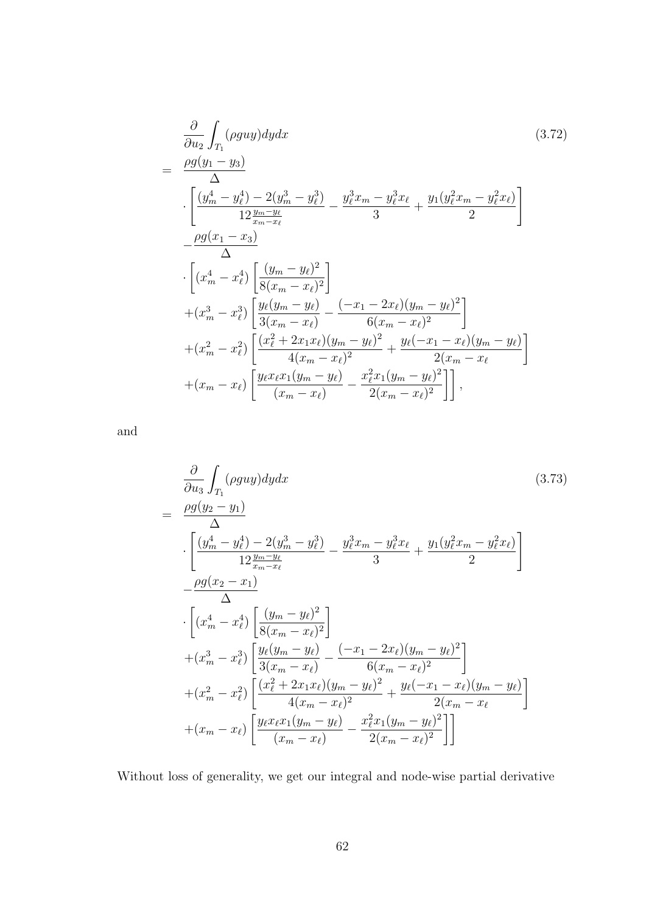$$
\frac{\partial}{\partial u_2} \int_{T_1} (\rho g u y) dy dx \qquad (3.72)
$$
\n
$$
= \frac{\rho g (y_1 - y_3)}{\Delta} \cdot \left[ \frac{(y_m^4 - y_\ell^4) - 2(y_m^3 - y_\ell^3)}{12 \frac{y_m - y_\ell}{x_m - x_\ell}} - \frac{y_\ell^3 x_m - y_\ell^3 x_\ell}{3} + \frac{y_1 (y_\ell^2 x_m - y_\ell^2 x_\ell)}{2} \right] \cdot \left[ (x_m^4 - x_\ell^4) \left[ \frac{(y_m - y_\ell)^2}{8(x_m - x_\ell)^2} \right] + (x_m^3 - x_\ell^3) \left[ \frac{y_\ell (y_m - y_\ell)}{3(x_m - x_\ell)} - \frac{(-x_1 - 2x_\ell)(y_m - y_\ell)^2}{6(x_m - x_\ell)^2} \right] + (x_m^2 - x_\ell^2) \left[ \frac{(x_\ell^2 + 2x_1 x_\ell)(y_m - y_\ell)^2}{4(x_m - x_\ell)^2} + \frac{y_\ell (-x_1 - x_\ell)(y_m - y_\ell)}{2(x_m - x_\ell)} \right] + (x_m - x_\ell) \left[ \frac{y_\ell x_\ell x_1 (y_m - y_\ell)}{(x_m - x_\ell)} - \frac{x_\ell^2 x_1 (y_m - y_\ell)^2}{2(x_m - x_\ell)^2} \right],
$$
\n
$$
(3.72)
$$

and

$$
\frac{\partial}{\partial u_3} \int_{T_1} (\rho g u y) dy dx \qquad (3.73)
$$
\n
$$
= \frac{\rho g (y_2 - y_1)}{\Delta} \cdot \left[ \frac{(y_m^4 - y_\ell^4) - 2(y_m^3 - y_\ell^3)}{12 \frac{y_m - y_\ell}{x_m - x_\ell}} - \frac{y_\ell^3 x_m - y_\ell^3 x_\ell}{3} + \frac{y_1 (y_\ell^2 x_m - y_\ell^2 x_\ell)}{2} \right] - \frac{\rho g (x_2 - x_1)}{\Delta} \cdot \left[ (x_m^4 - x_\ell^4) \left[ \frac{(y_m - y_\ell)^2}{8(x_m - x_\ell)^2} \right] + (x_m^3 - x_\ell^3) \left[ \frac{y_\ell (y_m - y_\ell)}{3(x_m - x_\ell)} - \frac{(-x_1 - 2x_\ell)(y_m - y_\ell)^2}{6(x_m - x_\ell)^2} \right] + (x_m^2 - x_\ell^2) \left[ \frac{(x_\ell^2 + 2x_1 x_\ell)(y_m - y_\ell)^2}{4(x_m - x_\ell)^2} + \frac{y_\ell (-x_1 - x_\ell)(y_m - y_\ell)}{2(x_m - x_\ell)} \right] + (x_m - x_\ell) \left[ \frac{y_\ell x_\ell x_1 (y_m - y_\ell)}{(x_m - x_\ell)} - \frac{x_\ell^2 x_1 (y_m - y_\ell)^2}{2(x_m - x_\ell)^2} \right] \right]
$$
\n(3.73)

Without loss of generality, we get our integral and node-wise partial derivative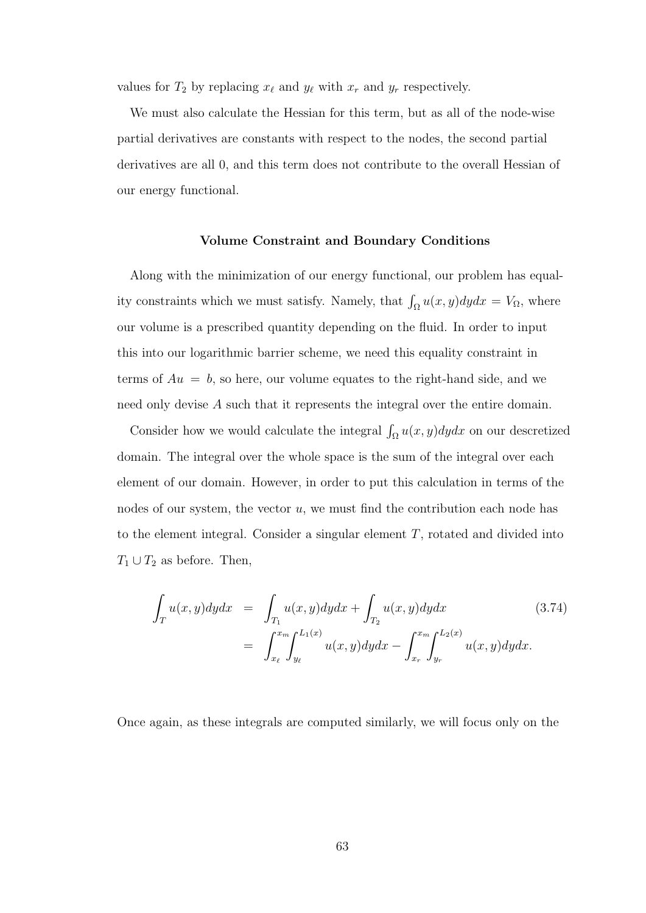values for  $T_2$  by replacing  $x_\ell$  and  $y_\ell$  with  $x_r$  and  $y_r$  respectively.

We must also calculate the Hessian for this term, but as all of the node-wise partial derivatives are constants with respect to the nodes, the second partial derivatives are all 0, and this term does not contribute to the overall Hessian of our energy functional.

## Volume Constraint and Boundary Conditions

Along with the minimization of our energy functional, our problem has equality constraints which we must satisfy. Namely, that  $\int_{\Omega} u(x, y) dy dx = V_{\Omega}$ , where our volume is a prescribed quantity depending on the fluid. In order to input this into our logarithmic barrier scheme, we need this equality constraint in terms of  $Au = b$ , so here, our volume equates to the right-hand side, and we need only devise A such that it represents the integral over the entire domain.

Consider how we would calculate the integral  $\int_{\Omega} u(x, y) dy dx$  on our descretized domain. The integral over the whole space is the sum of the integral over each element of our domain. However, in order to put this calculation in terms of the nodes of our system, the vector  $u$ , we must find the contribution each node has to the element integral. Consider a singular element T, rotated and divided into  $T_1 \cup T_2$  as before. Then,

$$
\int_{T} u(x, y) dy dx = \int_{T_1} u(x, y) dy dx + \int_{T_2} u(x, y) dy dx
$$
\n(3.74)\n
$$
= \int_{x_{\ell}}^{x_{m}} \int_{y_{\ell}}^{L_1(x)} u(x, y) dy dx - \int_{x_{r}}^{x_{m}} \int_{y_{r}}^{L_2(x)} u(x, y) dy dx.
$$

Once again, as these integrals are computed similarly, we will focus only on the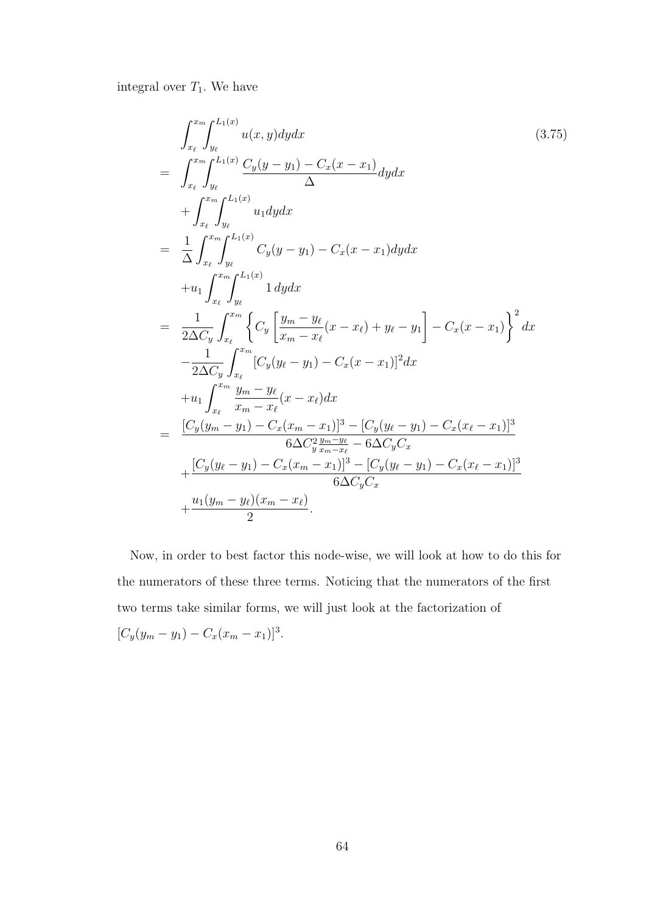integral over  $T_1$ . We have

$$
\int_{x_{\ell}}^{x_{m}} \int_{y_{\ell}}^{L_{1}(x)} u(x, y) dy dx
$$
\n
$$
= \int_{x_{\ell}}^{x_{m}} \int_{y_{\ell}}^{L_{1}(x)} \frac{C_{y}(y - y_{1}) - C_{x}(x - x_{1})}{\Delta} dy dx
$$
\n
$$
+ \int_{x_{\ell}}^{x_{m}} \int_{y_{\ell}}^{L_{1}(x)} u_{1} dy dx
$$
\n
$$
= \frac{1}{\Delta} \int_{x_{\ell}}^{x_{m}} \int_{y_{\ell}}^{L_{1}(x)} C_{y}(y - y_{1}) - C_{x}(x - x_{1}) dy dx
$$
\n
$$
+ u_{1} \int_{x_{\ell}}^{x_{m}} \int_{y_{\ell}}^{L_{1}(x)} 1 dy dx
$$
\n
$$
= \frac{1}{2\Delta C_{y}} \int_{x_{\ell}}^{x_{m}} \left\{ C_{y} \left[ \frac{y_{m} - y_{\ell}}{x_{m} - x_{\ell}} (x - x_{\ell}) + y_{\ell} - y_{1} \right] - C_{x}(x - x_{1}) \right\}^{2} dx
$$
\n
$$
- \frac{1}{2\Delta C_{y}} \int_{x_{\ell}}^{x_{m}} [C_{y}(y_{\ell} - y_{1}) - C_{x}(x - x_{1})]^{2} dx
$$
\n
$$
+ u_{1} \int_{x_{\ell}}^{x_{m}} \frac{y_{m} - y_{\ell}}{x_{m} - x_{\ell}} (x - x_{\ell}) dx
$$
\n
$$
= \frac{[C_{y}(y_{m} - y_{1}) - C_{x}(x_{m} - x_{1})]^{3} - [C_{y}(y_{\ell} - y_{1}) - C_{x}(x_{\ell} - x_{1})]^{3}}{6\Delta C_{y}^{2} \frac{y_{m} - y_{\ell}}{x_{m} - x_{\ell}} - 6\Delta C_{y} C_{x}}
$$
\n
$$
+ \frac{[C_{y}(y_{\ell} - y_{1}) - C_{x}(x_{m} - x_{1})]^{3} - [C_{y}(y_{\ell} - y_{1}) - C_{x}(x_{\ell} - x_{1})]^{3}}{6\Delta C_{y} C_{x}}
$$
\n
$$
+ \frac{u_{1}(y_{m} - y_{\ell})(x_{m} -
$$

Now, in order to best factor this node-wise, we will look at how to do this for the numerators of these three terms. Noticing that the numerators of the first two terms take similar forms, we will just look at the factorization of  $[C_y(y_m - y_1) - C_x(x_m - x_1)]^3$ .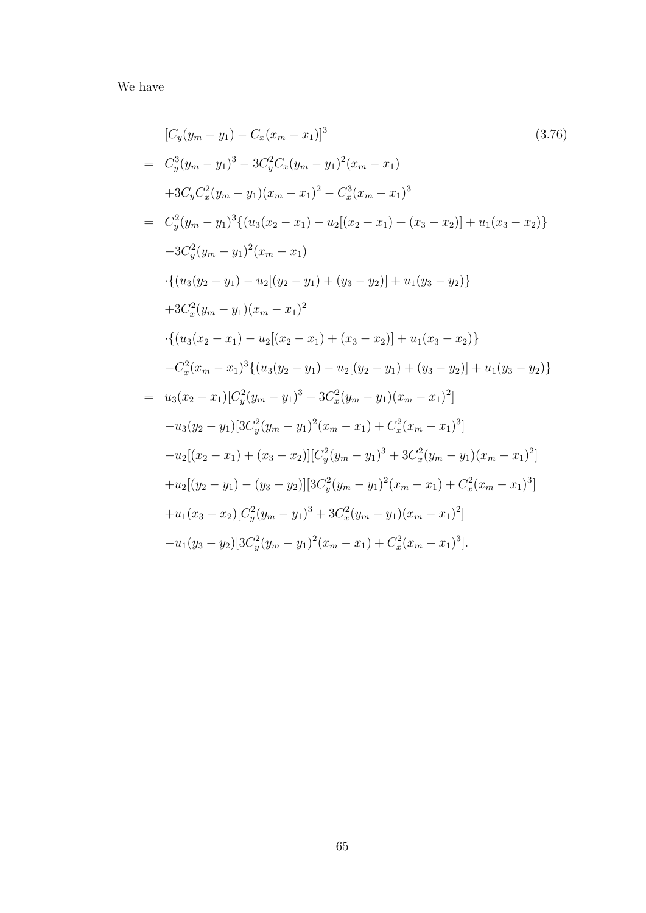We have

$$
[C_y(y_m - y_1) - C_x(x_m - x_1)]^3
$$
\n
$$
= C_y^3(y_m - y_1)^3 - 3C_y^2C_x(y_m - y_1)^2(x_m - x_1)
$$
\n
$$
+3C_yC_x^2(y_m - y_1)(x_m - x_1)^2 - C_x^3(x_m - x_1)^3
$$
\n
$$
= C_y^2(y_m - y_1)^3 \{(u_3(x_2 - x_1) - u_2[(x_2 - x_1) + (x_3 - x_2)] + u_1(x_3 - x_2)\}
$$
\n
$$
-3C_y^2(y_m - y_1)^2(x_m - x_1)
$$
\n
$$
\cdot \{(u_3(y_2 - y_1) - u_2[(y_2 - y_1) + (y_3 - y_2)] + u_1(y_3 - y_2)\}
$$
\n
$$
+3C_x^2(y_m - y_1)(x_m - x_1)^2
$$
\n
$$
\cdot \{(u_3(x_2 - x_1) - u_2[(x_2 - x_1) + (x_3 - x_2)] + u_1(x_3 - x_2)\}
$$
\n
$$
-C_x^2(x_m - x_1)^3 \{(u_3(y_2 - y_1) - u_2[(y_2 - y_1) + (y_3 - y_2)] + u_1(y_3 - y_2)\}
$$
\n
$$
-C_x^2(x_m - x_1)[C_y^2(y_m - y_1)^3 + 3C_x^2(y_m - y_1)(x_m - x_1)^2]
$$
\n
$$
-u_3(y_2 - y_1)[3C_y^2(y_m - y_1)^2(x_m - x_1) + C_x^2(x_m - x_1)^3]
$$
\n
$$
-u_2[(x_2 - x_1) + (x_3 - x_2)][C_y^2(y_m - y_1)^3 + 3C_x^2(y_m - y_1)(x_m - x_1)^2]
$$
\n
$$
+u_2[(y_2 - y_1) - (y_3 - y_2)][3C_y^2(y_m - y_1)^2(x_m - x_1) + C_x^2(x_m - x_1)^3]
$$
\n
$$
+u_1(x_3 - x_2)[C_y^2(y_m - y_1)^3 + 3C_x^2(y_m - y_1)(x_m - x_1)^2]
$$
\n
$$
-u_1(y_3 - y_2)[3C
$$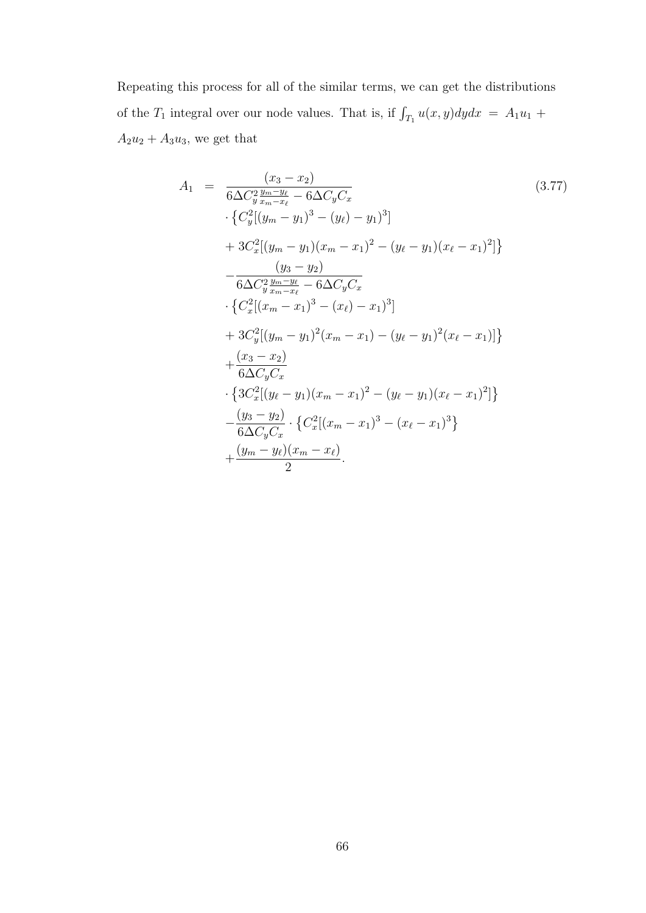Repeating this process for all of the similar terms, we can get the distributions of the  $T_1$  integral over our node values. That is, if  $\int_{T_1} u(x, y) dy dx = A_1 u_1 +$  $A_2u_2 + A_3u_3$ , we get that

$$
A_{1} = \frac{(x_{3} - x_{2})}{6\Delta C_{y}^{2} \frac{y_{m} - y_{\ell}}{x_{m} - x_{\ell}} - 6\Delta C_{y} C_{x}} \cdot \left\{ C_{y}^{2} [(y_{m} - y_{1})^{3} - (y_{\ell}) - y_{1})^{3}] \right\}
$$
  
\n
$$
+ 3C_{x}^{2} [(y_{m} - y_{1})(x_{m} - x_{1})^{2} - (y_{\ell} - y_{1})(x_{\ell} - x_{1})^{2}] \right\}
$$
  
\n
$$
- \frac{(y_{3} - y_{2})}{6\Delta C_{y}^{2} \frac{y_{m} - y_{\ell}}{x_{m} - x_{\ell}} - 6\Delta C_{y} C_{x}} \cdot \left\{ C_{x}^{2} [(x_{m} - x_{1})^{3} - (x_{\ell}) - x_{1})^{3}] \right\}
$$
  
\n
$$
+ 3C_{y}^{2} [(y_{m} - y_{1})^{2} (x_{m} - x_{1}) - (y_{\ell} - y_{1})^{2} (x_{\ell} - x_{1})] \right\}
$$
  
\n
$$
+ \frac{(x_{3} - x_{2})}{6\Delta C_{y} C_{x}} \cdot \left\{ 3C_{x}^{2} [(y_{\ell} - y_{1})(x_{m} - x_{1})^{2} - (y_{\ell} - y_{1})(x_{\ell} - x_{1})^{2}] \right\}
$$
  
\n
$$
- \frac{(y_{3} - y_{2})}{6\Delta C_{y} C_{x}} \cdot \left\{ C_{x}^{2} [(x_{m} - x_{1})^{3} - (x_{\ell} - x_{1})^{3}] \right\}
$$
  
\n
$$
+ \frac{(y_{m} - y_{\ell})(x_{m} - x_{\ell})}{2}.
$$
 (3.77)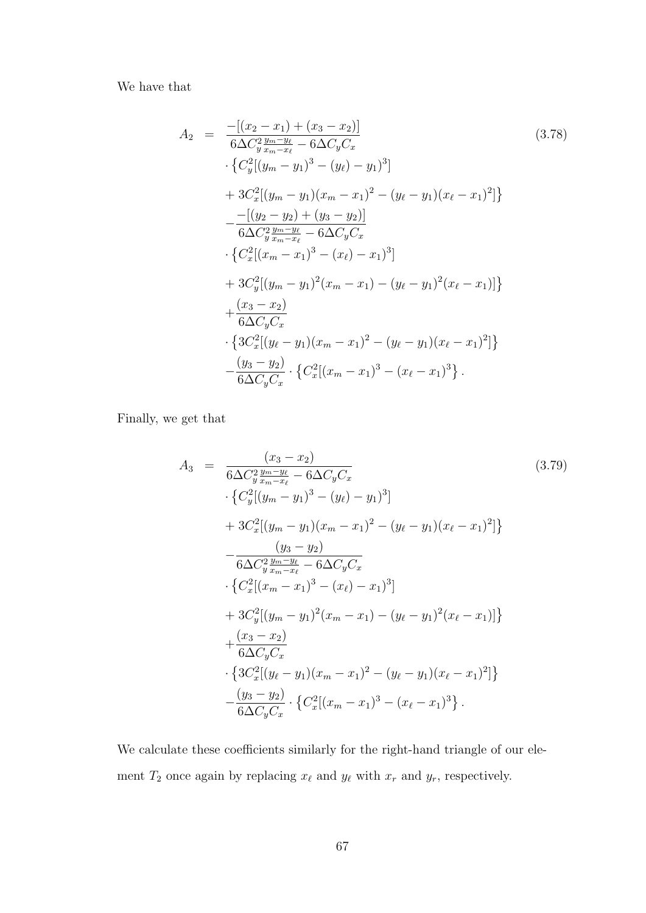We have that

$$
A_2 = \frac{-[(x_2 - x_1) + (x_3 - x_2)]}{6\Delta C_3^2 \frac{y_m - y_\ell}{x_m - x_\ell} - 6\Delta C_y C_x}
$$
\n
$$
\cdot \{C_y^2[(y_m - y_1)^3 - (y_\ell) - y_1)^3]
$$
\n
$$
+ 3C_x^2[(y_m - y_1)(x_m - x_1)^2 - (y_\ell - y_1)(x_\ell - x_1)^2]\}
$$
\n
$$
- \frac{-[(y_2 - y_2) + (y_3 - y_2)]}{6\Delta C_3^2 \frac{y_m - y_\ell}{x_m - x_\ell} - 6\Delta C_y C_x}
$$
\n
$$
\cdot \{C_x^2[(x_m - x_1)^3 - (x_\ell) - x_1)^3]
$$
\n
$$
+ 3C_y^2[(y_m - y_1)^2(x_m - x_1) - (y_\ell - y_1)^2(x_\ell - x_1)]\}
$$
\n
$$
+ \frac{(x_3 - x_2)}{6\Delta C_y C_x}
$$
\n
$$
\cdot \{3C_x^2[(y_\ell - y_1)(x_m - x_1)^2 - (y_\ell - y_1)(x_\ell - x_1)^2]\}
$$
\n
$$
- \frac{(y_3 - y_2)}{6\Delta C_y C_x} \cdot \{C_x^2[(x_m - x_1)^3 - (x_\ell - x_1)^3]\}.
$$
\n(3.78)

Finally, we get that

$$
A_3 = \frac{(x_3 - x_2)}{6\Delta C_y^2 \frac{y_m - y_\ell}{x_m - x_\ell} - 6\Delta C_y C_x}
$$
\n
$$
\cdot \{C_y^2[(y_m - y_1)^3 - (y_\ell) - y_1)^3]
$$
\n
$$
+ 3C_x^2[(y_m - y_1)(x_m - x_1)^2 - (y_\ell - y_1)(x_\ell - x_1)^2]\}
$$
\n
$$
- \frac{(y_3 - y_2)}{6\Delta C_y^2 \frac{y_m - y_\ell}{x_m - x_\ell} - 6\Delta C_y C_x}
$$
\n
$$
\cdot \{C_x^2[(x_m - x_1)^3 - (x_\ell) - x_1)^3]
$$
\n
$$
+ 3C_y^2[(y_m - y_1)^2(x_m - x_1) - (y_\ell - y_1)^2(x_\ell - x_1)]\}
$$
\n
$$
+ \frac{(x_3 - x_2)}{6\Delta C_y C_x}
$$
\n
$$
\cdot \{3C_x^2[(y_\ell - y_1)(x_m - x_1)^2 - (y_\ell - y_1)(x_\ell - x_1)^2]\}
$$
\n
$$
- \frac{(y_3 - y_2)}{6\Delta C_y C_x} \cdot \{C_x^2[(x_m - x_1)^3 - (x_\ell - x_1)^3].
$$
\n(3.79)

We calculate these coefficients similarly for the right-hand triangle of our element  $T_2$  once again by replacing  $x_\ell$  and  $y_\ell$  with  $x_r$  and  $y_r$ , respectively.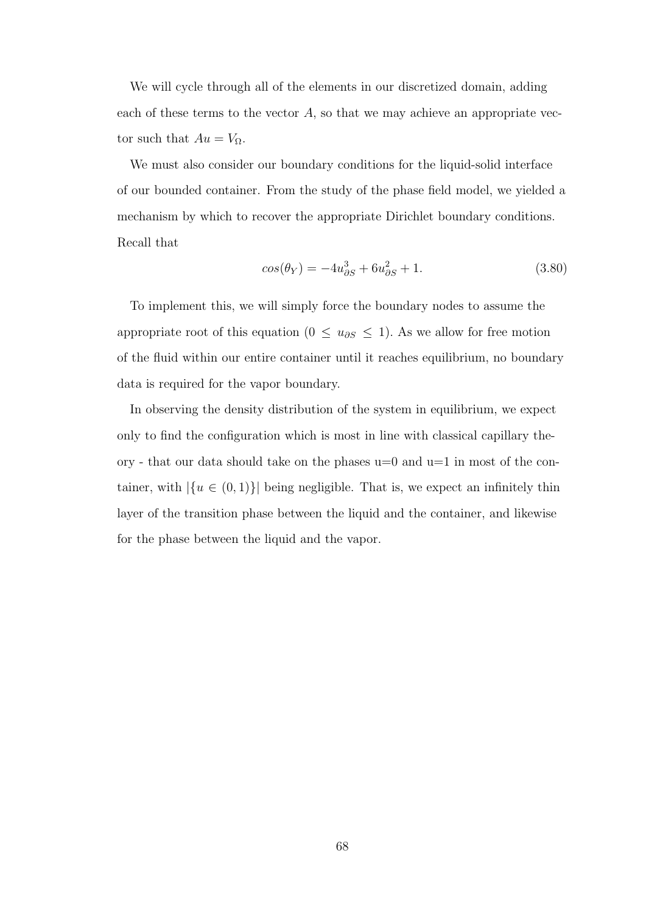We will cycle through all of the elements in our discretized domain, adding each of these terms to the vector  $A$ , so that we may achieve an appropriate vector such that  $Au = V_{\Omega}$ .

We must also consider our boundary conditions for the liquid-solid interface of our bounded container. From the study of the phase field model, we yielded a mechanism by which to recover the appropriate Dirichlet boundary conditions. Recall that

$$
cos(\theta_Y) = -4u_{\partial S}^3 + 6u_{\partial S}^2 + 1.
$$
\n(3.80)

To implement this, we will simply force the boundary nodes to assume the appropriate root of this equation (0  $\leq u_{\partial S} \leq 1$ ). As we allow for free motion of the fluid within our entire container until it reaches equilibrium, no boundary data is required for the vapor boundary.

In observing the density distribution of the system in equilibrium, we expect only to find the configuration which is most in line with classical capillary theory - that our data should take on the phases  $u=0$  and  $u=1$  in most of the container, with  $|\{u \in (0,1)\}\rangle$  being negligible. That is, we expect an infinitely thin layer of the transition phase between the liquid and the container, and likewise for the phase between the liquid and the vapor.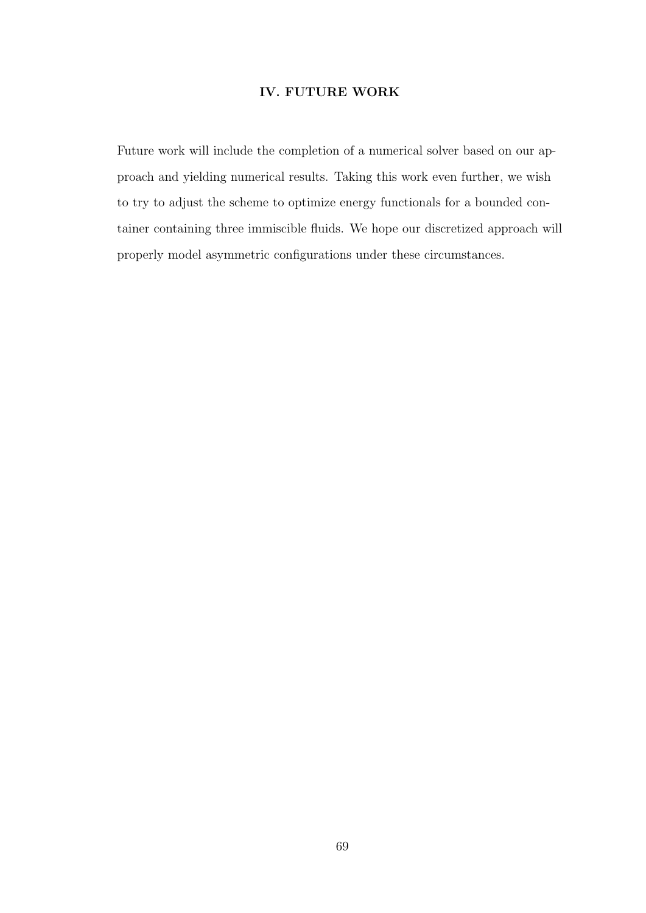## IV. FUTURE WORK

Future work will include the completion of a numerical solver based on our approach and yielding numerical results. Taking this work even further, we wish to try to adjust the scheme to optimize energy functionals for a bounded container containing three immiscible fluids. We hope our discretized approach will properly model asymmetric configurations under these circumstances.